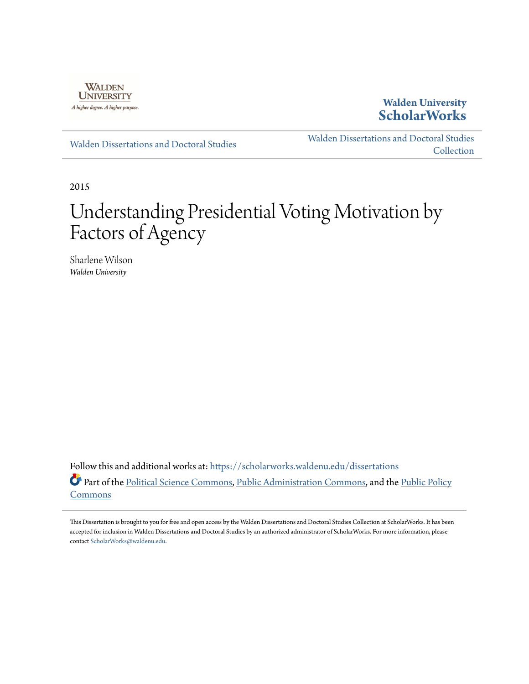

**Walden University [ScholarWorks](https://scholarworks.waldenu.edu?utm_source=scholarworks.waldenu.edu%2Fdissertations%2F427&utm_medium=PDF&utm_campaign=PDFCoverPages)**

[Walden Dissertations and Doctoral Studies](https://scholarworks.waldenu.edu/dissertations?utm_source=scholarworks.waldenu.edu%2Fdissertations%2F427&utm_medium=PDF&utm_campaign=PDFCoverPages)

[Walden Dissertations and Doctoral Studies](https://scholarworks.waldenu.edu/dissanddoc?utm_source=scholarworks.waldenu.edu%2Fdissertations%2F427&utm_medium=PDF&utm_campaign=PDFCoverPages) [Collection](https://scholarworks.waldenu.edu/dissanddoc?utm_source=scholarworks.waldenu.edu%2Fdissertations%2F427&utm_medium=PDF&utm_campaign=PDFCoverPages)

2015

# Understanding Presidential Voting Motivation by Factors of Agency

Sharlene Wilson *Walden University*

Follow this and additional works at: [https://scholarworks.waldenu.edu/dissertations](https://scholarworks.waldenu.edu/dissertations?utm_source=scholarworks.waldenu.edu%2Fdissertations%2F427&utm_medium=PDF&utm_campaign=PDFCoverPages) Part of the [Political Science Commons,](http://network.bepress.com/hgg/discipline/386?utm_source=scholarworks.waldenu.edu%2Fdissertations%2F427&utm_medium=PDF&utm_campaign=PDFCoverPages) [Public Administration Commons](http://network.bepress.com/hgg/discipline/398?utm_source=scholarworks.waldenu.edu%2Fdissertations%2F427&utm_medium=PDF&utm_campaign=PDFCoverPages), and the [Public Policy](http://network.bepress.com/hgg/discipline/400?utm_source=scholarworks.waldenu.edu%2Fdissertations%2F427&utm_medium=PDF&utm_campaign=PDFCoverPages) [Commons](http://network.bepress.com/hgg/discipline/400?utm_source=scholarworks.waldenu.edu%2Fdissertations%2F427&utm_medium=PDF&utm_campaign=PDFCoverPages)

This Dissertation is brought to you for free and open access by the Walden Dissertations and Doctoral Studies Collection at ScholarWorks. It has been accepted for inclusion in Walden Dissertations and Doctoral Studies by an authorized administrator of ScholarWorks. For more information, please contact [ScholarWorks@waldenu.edu](mailto:ScholarWorks@waldenu.edu).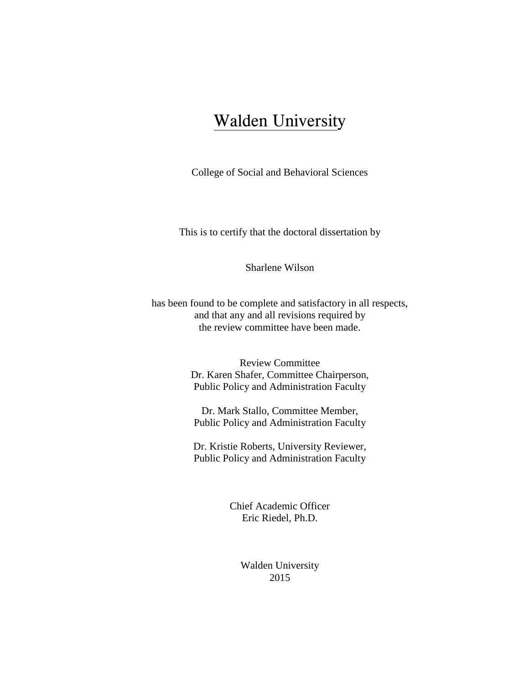## Walden University

College of Social and Behavioral Sciences

This is to certify that the doctoral dissertation by

Sharlene Wilson

has been found to be complete and satisfactory in all respects, and that any and all revisions required by the review committee have been made.

> Review Committee Dr. Karen Shafer, Committee Chairperson, Public Policy and Administration Faculty

Dr. Mark Stallo, Committee Member, Public Policy and Administration Faculty

Dr. Kristie Roberts, University Reviewer, Public Policy and Administration Faculty

> Chief Academic Officer Eric Riedel, Ph.D.

> > Walden University 2015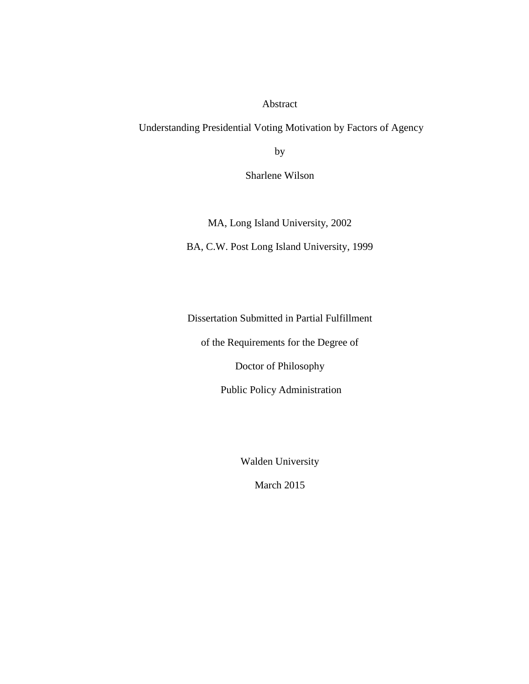Abstract

Understanding Presidential Voting Motivation by Factors of Agency

by

Sharlene Wilson

MA, Long Island University, 2002

BA, C.W. Post Long Island University, 1999

Dissertation Submitted in Partial Fulfillment

of the Requirements for the Degree of

Doctor of Philosophy

Public Policy Administration

Walden University

March 2015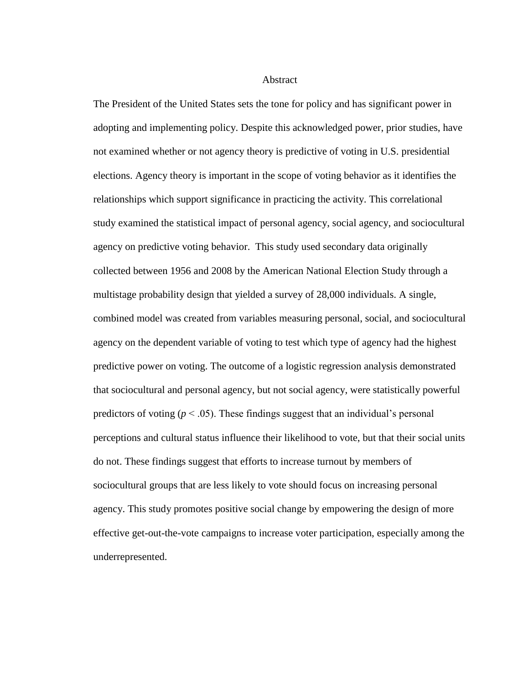**Abstract** 

The President of the United States sets the tone for policy and has significant power in adopting and implementing policy. Despite this acknowledged power, prior studies, have not examined whether or not agency theory is predictive of voting in U.S. presidential elections. Agency theory is important in the scope of voting behavior as it identifies the relationships which support significance in practicing the activity. This correlational study examined the statistical impact of personal agency, social agency, and sociocultural agency on predictive voting behavior. This study used secondary data originally collected between 1956 and 2008 by the American National Election Study through a multistage probability design that yielded a survey of 28,000 individuals. A single, combined model was created from variables measuring personal, social, and sociocultural agency on the dependent variable of voting to test which type of agency had the highest predictive power on voting. The outcome of a logistic regression analysis demonstrated that sociocultural and personal agency, but not social agency, were statistically powerful predictors of voting ( $p < .05$ ). These findings suggest that an individual's personal perceptions and cultural status influence their likelihood to vote, but that their social units do not. These findings suggest that efforts to increase turnout by members of sociocultural groups that are less likely to vote should focus on increasing personal agency. This study promotes positive social change by empowering the design of more effective get-out-the-vote campaigns to increase voter participation, especially among the underrepresented.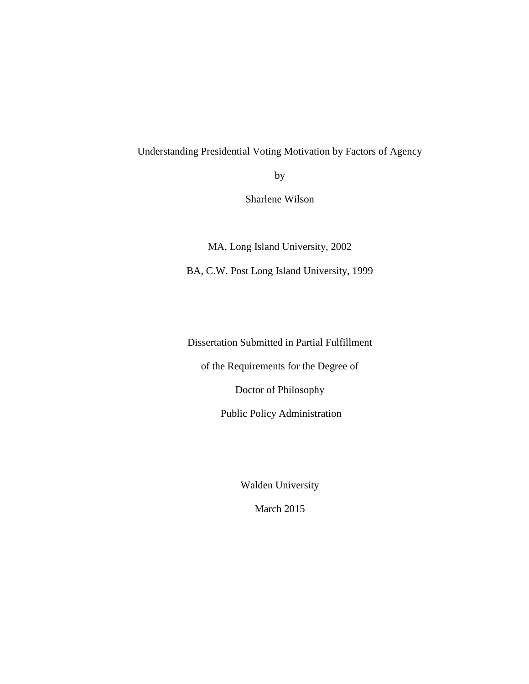### Understanding Presidential Voting Motivation by Factors of Agency

by

Sharlene Wilson

MA, Long Island University, 2002 BA, C.W. Post Long Island University, 1999

Dissertation Submitted in Partial Fulfillment

of the Requirements for the Degree of

Doctor of Philosophy

Public Policy Administration

Walden University

March 2015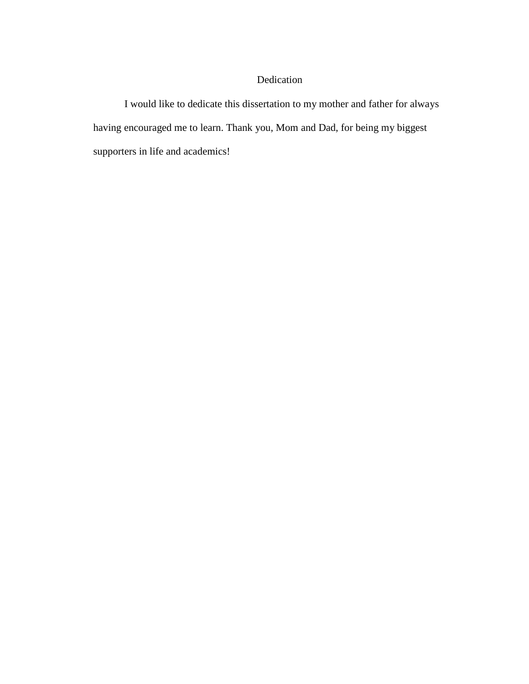## Dedication

I would like to dedicate this dissertation to my mother and father for always having encouraged me to learn. Thank you, Mom and Dad, for being my biggest supporters in life and academics!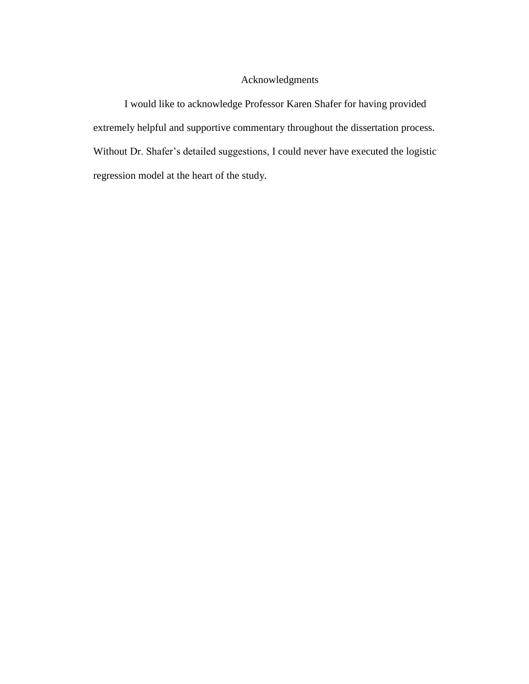### Acknowledgments

I would like to acknowledge Professor Karen Shafer for having provided extremely helpful and supportive commentary throughout the dissertation process. Without Dr. Shafer's detailed suggestions, I could never have executed the logistic regression model at the heart of the study.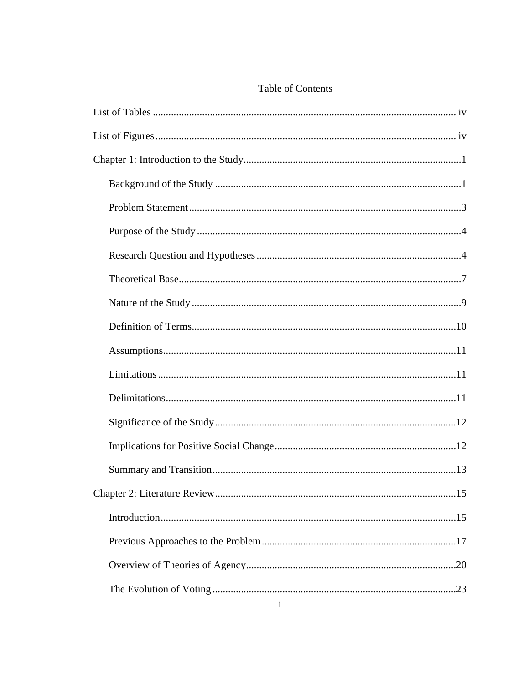## Table of Contents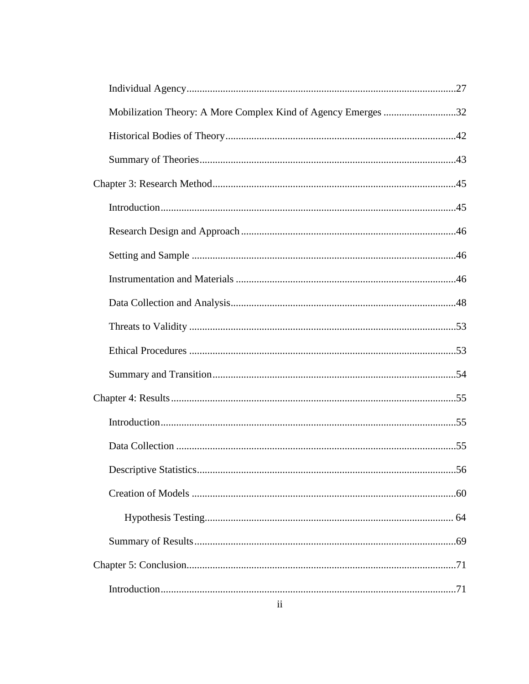| Mobilization Theory: A More Complex Kind of Agency Emerges 32 |    |
|---------------------------------------------------------------|----|
|                                                               |    |
|                                                               |    |
|                                                               |    |
|                                                               |    |
|                                                               |    |
|                                                               |    |
|                                                               |    |
|                                                               |    |
|                                                               |    |
|                                                               |    |
|                                                               |    |
|                                                               |    |
|                                                               |    |
|                                                               |    |
|                                                               | 56 |
|                                                               |    |
|                                                               |    |
|                                                               |    |
|                                                               |    |
|                                                               |    |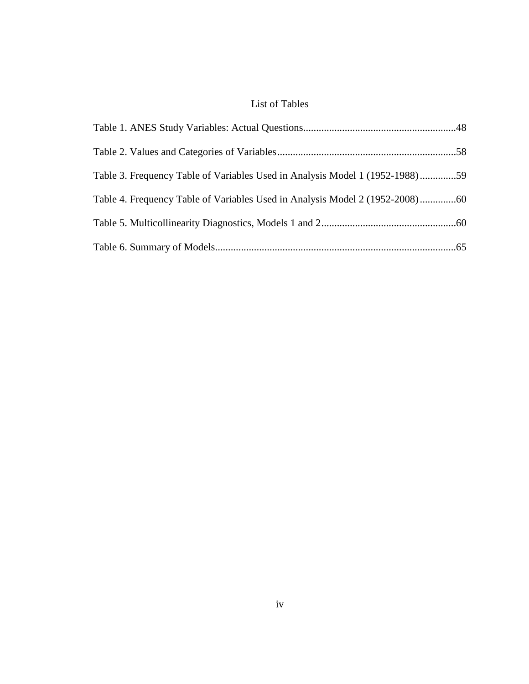## List of Tables

| Table 3. Frequency Table of Variables Used in Analysis Model 1 (1952-1988)59 |  |
|------------------------------------------------------------------------------|--|
|                                                                              |  |
|                                                                              |  |
|                                                                              |  |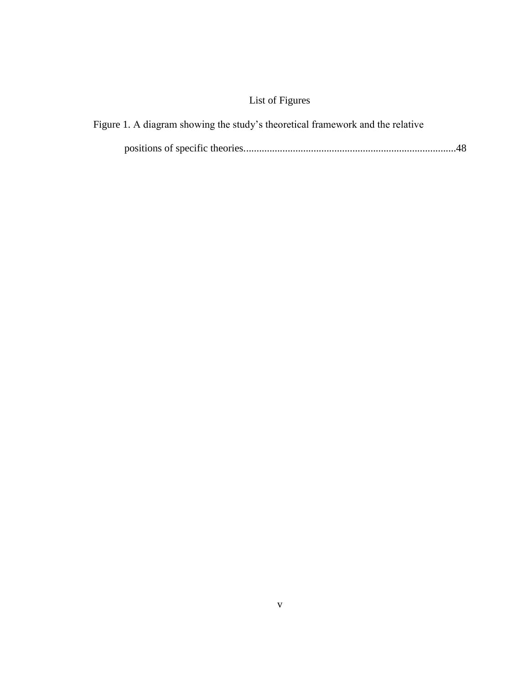## List of Figures

| Figure 1. A diagram showing the study's theoretical framework and the relative |  |
|--------------------------------------------------------------------------------|--|
|                                                                                |  |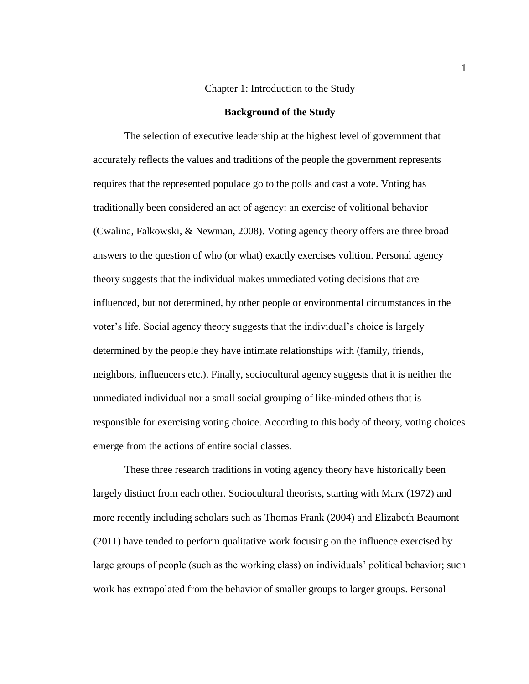#### Chapter 1: Introduction to the Study

#### **Background of the Study**

The selection of executive leadership at the highest level of government that accurately reflects the values and traditions of the people the government represents requires that the represented populace go to the polls and cast a vote. Voting has traditionally been considered an act of agency: an exercise of volitional behavior (Cwalina, Falkowski, & Newman, 2008). Voting agency theory offers are three broad answers to the question of who (or what) exactly exercises volition. Personal agency theory suggests that the individual makes unmediated voting decisions that are influenced, but not determined, by other people or environmental circumstances in the voter's life. Social agency theory suggests that the individual's choice is largely determined by the people they have intimate relationships with (family, friends, neighbors, influencers etc.). Finally, sociocultural agency suggests that it is neither the unmediated individual nor a small social grouping of like-minded others that is responsible for exercising voting choice. According to this body of theory, voting choices emerge from the actions of entire social classes.

These three research traditions in voting agency theory have historically been largely distinct from each other. Sociocultural theorists, starting with Marx (1972) and more recently including scholars such as Thomas Frank (2004) and Elizabeth Beaumont (2011) have tended to perform qualitative work focusing on the influence exercised by large groups of people (such as the working class) on individuals' political behavior; such work has extrapolated from the behavior of smaller groups to larger groups. Personal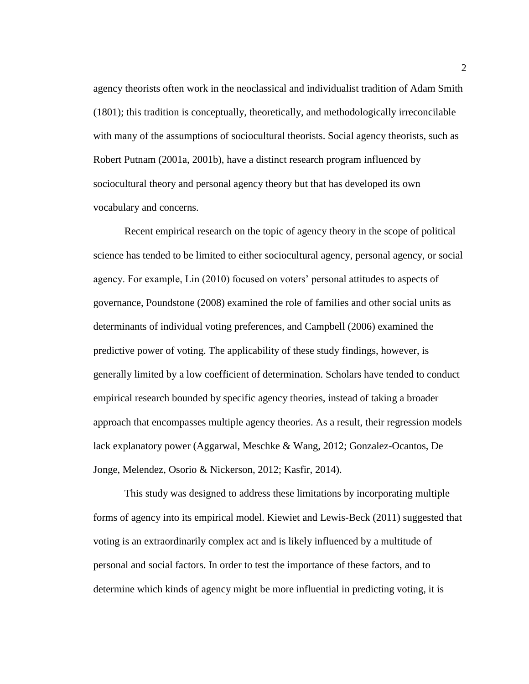agency theorists often work in the neoclassical and individualist tradition of Adam Smith (1801); this tradition is conceptually, theoretically, and methodologically irreconcilable with many of the assumptions of sociocultural theorists. Social agency theorists, such as Robert Putnam (2001a, 2001b), have a distinct research program influenced by sociocultural theory and personal agency theory but that has developed its own vocabulary and concerns.

Recent empirical research on the topic of agency theory in the scope of political science has tended to be limited to either sociocultural agency, personal agency, or social agency. For example, Lin (2010) focused on voters' personal attitudes to aspects of governance, Poundstone (2008) examined the role of families and other social units as determinants of individual voting preferences, and Campbell (2006) examined the predictive power of voting. The applicability of these study findings, however, is generally limited by a low coefficient of determination. Scholars have tended to conduct empirical research bounded by specific agency theories, instead of taking a broader approach that encompasses multiple agency theories. As a result, their regression models lack explanatory power (Aggarwal, Meschke & Wang, 2012; Gonzalez-Ocantos, De Jonge, Melendez, Osorio & Nickerson, 2012; Kasfir, 2014).

This study was designed to address these limitations by incorporating multiple forms of agency into its empirical model. Kiewiet and Lewis-Beck (2011) suggested that voting is an extraordinarily complex act and is likely influenced by a multitude of personal and social factors. In order to test the importance of these factors, and to determine which kinds of agency might be more influential in predicting voting, it is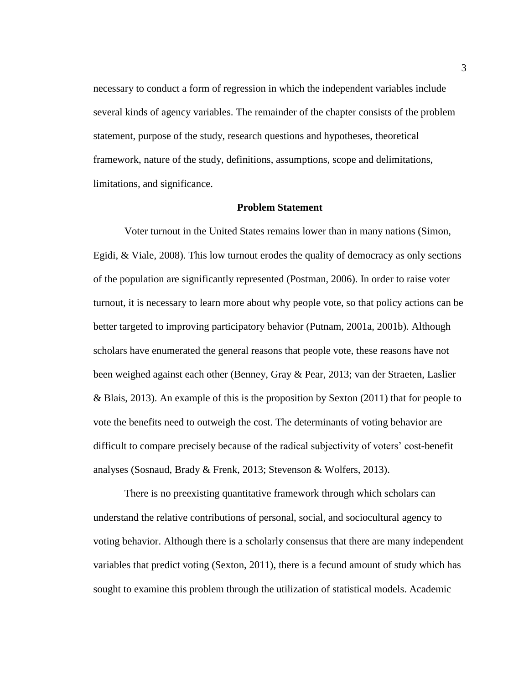necessary to conduct a form of regression in which the independent variables include several kinds of agency variables. The remainder of the chapter consists of the problem statement, purpose of the study, research questions and hypotheses, theoretical framework, nature of the study, definitions, assumptions, scope and delimitations, limitations, and significance.

#### **Problem Statement**

Voter turnout in the United States remains lower than in many nations (Simon, Egidi, & Viale, 2008). This low turnout erodes the quality of democracy as only sections of the population are significantly represented (Postman, 2006). In order to raise voter turnout, it is necessary to learn more about why people vote, so that policy actions can be better targeted to improving participatory behavior (Putnam, 2001a, 2001b). Although scholars have enumerated the general reasons that people vote, these reasons have not been weighed against each other (Benney, Gray & Pear, 2013; van der Straeten, Laslier & Blais, 2013). An example of this is the proposition by Sexton (2011) that for people to vote the benefits need to outweigh the cost. The determinants of voting behavior are difficult to compare precisely because of the radical subjectivity of voters' cost-benefit analyses (Sosnaud, Brady & Frenk, 2013; Stevenson & Wolfers, 2013).

There is no preexisting quantitative framework through which scholars can understand the relative contributions of personal, social, and sociocultural agency to voting behavior. Although there is a scholarly consensus that there are many independent variables that predict voting (Sexton, 2011), there is a fecund amount of study which has sought to examine this problem through the utilization of statistical models. Academic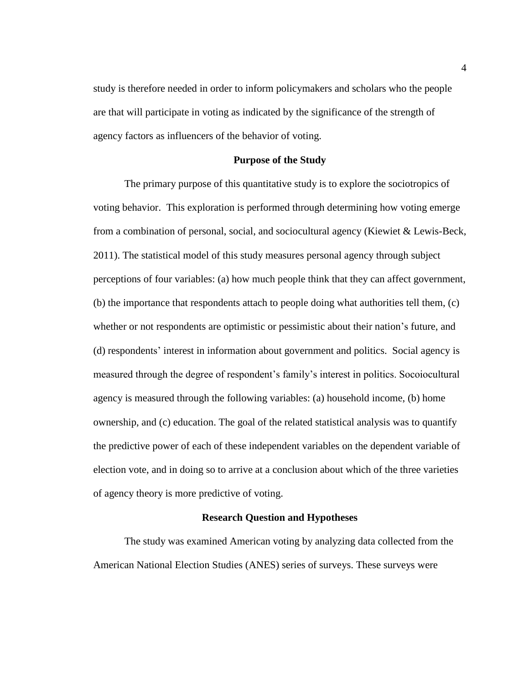study is therefore needed in order to inform policymakers and scholars who the people are that will participate in voting as indicated by the significance of the strength of agency factors as influencers of the behavior of voting.

#### **Purpose of the Study**

The primary purpose of this quantitative study is to explore the sociotropics of voting behavior. This exploration is performed through determining how voting emerge from a combination of personal, social, and sociocultural agency (Kiewiet & Lewis-Beck, 2011). The statistical model of this study measures personal agency through subject perceptions of four variables: (a) how much people think that they can affect government, (b) the importance that respondents attach to people doing what authorities tell them, (c) whether or not respondents are optimistic or pessimistic about their nation's future, and (d) respondents' interest in information about government and politics. Social agency is measured through the degree of respondent's family's interest in politics. Socoiocultural agency is measured through the following variables: (a) household income, (b) home ownership, and (c) education. The goal of the related statistical analysis was to quantify the predictive power of each of these independent variables on the dependent variable of election vote, and in doing so to arrive at a conclusion about which of the three varieties of agency theory is more predictive of voting.

#### **Research Question and Hypotheses**

The study was examined American voting by analyzing data collected from the American National Election Studies (ANES) series of surveys. These surveys were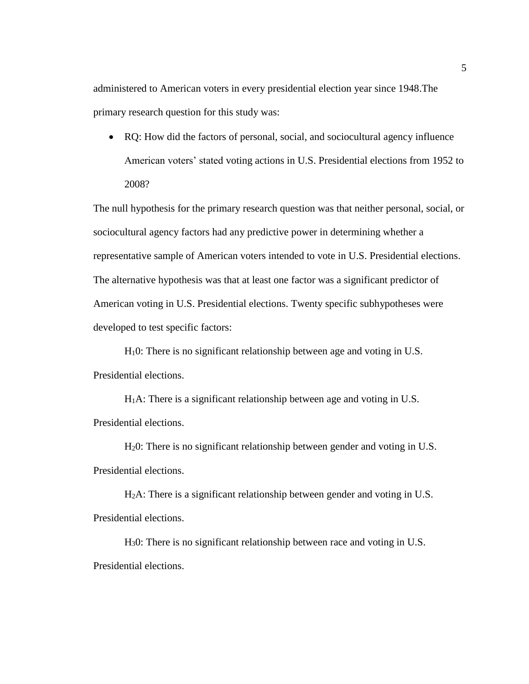administered to American voters in every presidential election year since 1948.The primary research question for this study was:

 RQ: How did the factors of personal, social, and sociocultural agency influence American voters' stated voting actions in U.S. Presidential elections from 1952 to 2008?

The null hypothesis for the primary research question was that neither personal, social, or sociocultural agency factors had any predictive power in determining whether a representative sample of American voters intended to vote in U.S. Presidential elections. The alternative hypothesis was that at least one factor was a significant predictor of American voting in U.S. Presidential elections. Twenty specific subhypotheses were developed to test specific factors:

H10: There is no significant relationship between age and voting in U.S. Presidential elections.

 $H_1A$ : There is a significant relationship between age and voting in U.S. Presidential elections.

H20: There is no significant relationship between gender and voting in U.S. Presidential elections.

H2A: There is a significant relationship between gender and voting in U.S. Presidential elections.

H30: There is no significant relationship between race and voting in U.S. Presidential elections.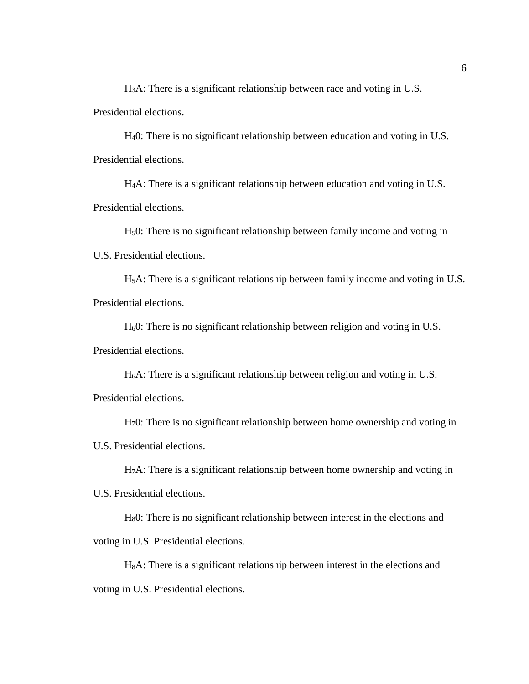H3A: There is a significant relationship between race and voting in U.S. Presidential elections.

H40: There is no significant relationship between education and voting in U.S. Presidential elections.

H4A: There is a significant relationship between education and voting in U.S. Presidential elections.

H50: There is no significant relationship between family income and voting in U.S. Presidential elections.

H5A: There is a significant relationship between family income and voting in U.S. Presidential elections.

H60: There is no significant relationship between religion and voting in U.S. Presidential elections.

H6A: There is a significant relationship between religion and voting in U.S. Presidential elections.

H70: There is no significant relationship between home ownership and voting in U.S. Presidential elections.

H7A: There is a significant relationship between home ownership and voting in

U.S. Presidential elections.

H80: There is no significant relationship between interest in the elections and voting in U.S. Presidential elections.

H8A: There is a significant relationship between interest in the elections and voting in U.S. Presidential elections.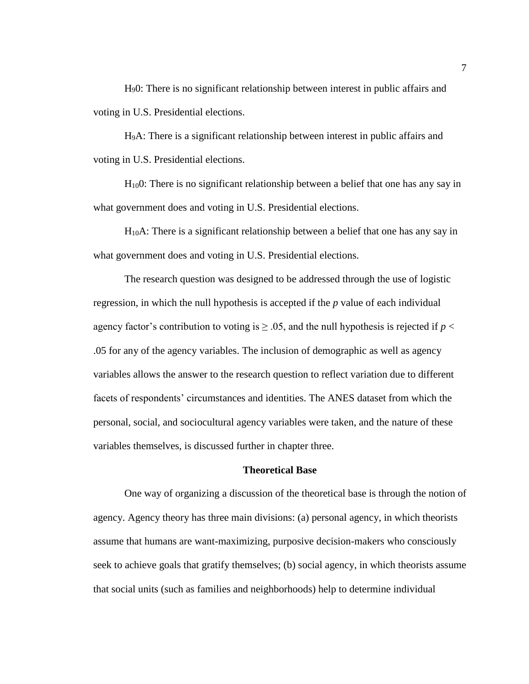H90: There is no significant relationship between interest in public affairs and voting in U.S. Presidential elections.

H9A: There is a significant relationship between interest in public affairs and voting in U.S. Presidential elections.

H100: There is no significant relationship between a belief that one has any say in what government does and voting in U.S. Presidential elections.

H10A: There is a significant relationship between a belief that one has any say in what government does and voting in U.S. Presidential elections.

The research question was designed to be addressed through the use of logistic regression, in which the null hypothesis is accepted if the *p* value of each individual agency factor's contribution to voting is  $\geq$  0.05, and the null hypothesis is rejected if  $p <$ .05 for any of the agency variables. The inclusion of demographic as well as agency variables allows the answer to the research question to reflect variation due to different facets of respondents' circumstances and identities. The ANES dataset from which the personal, social, and sociocultural agency variables were taken, and the nature of these variables themselves, is discussed further in chapter three.

#### **Theoretical Base**

One way of organizing a discussion of the theoretical base is through the notion of agency. Agency theory has three main divisions: (a) personal agency, in which theorists assume that humans are want-maximizing, purposive decision-makers who consciously seek to achieve goals that gratify themselves; (b) social agency, in which theorists assume that social units (such as families and neighborhoods) help to determine individual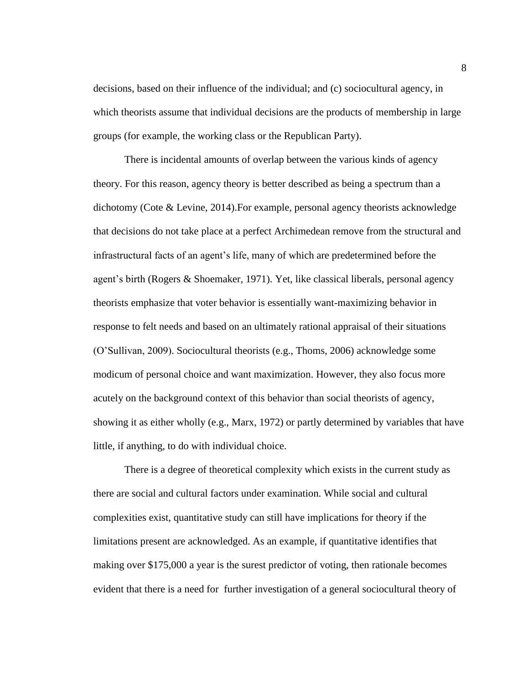decisions, based on their influence of the individual; and (c) sociocultural agency, in which theorists assume that individual decisions are the products of membership in large groups (for example, the working class or the Republican Party).

There is incidental amounts of overlap between the various kinds of agency theory. For this reason, agency theory is better described as being a spectrum than a dichotomy (Cote & Levine, 2014).For example, personal agency theorists acknowledge that decisions do not take place at a perfect Archimedean remove from the structural and infrastructural facts of an agent's life, many of which are predetermined before the agent's birth (Rogers & Shoemaker, 1971). Yet, like classical liberals, personal agency theorists emphasize that voter behavior is essentially want-maximizing behavior in response to felt needs and based on an ultimately rational appraisal of their situations (O'Sullivan, 2009). Sociocultural theorists (e.g., Thoms, 2006) acknowledge some modicum of personal choice and want maximization. However, they also focus more acutely on the background context of this behavior than social theorists of agency, showing it as either wholly (e.g., Marx, 1972) or partly determined by variables that have little, if anything, to do with individual choice.

There is a degree of theoretical complexity which exists in the current study as there are social and cultural factors under examination. While social and cultural complexities exist, quantitative study can still have implications for theory if the limitations present are acknowledged. As an example, if quantitative identifies that making over \$175,000 a year is the surest predictor of voting, then rationale becomes evident that there is a need for further investigation of a general sociocultural theory of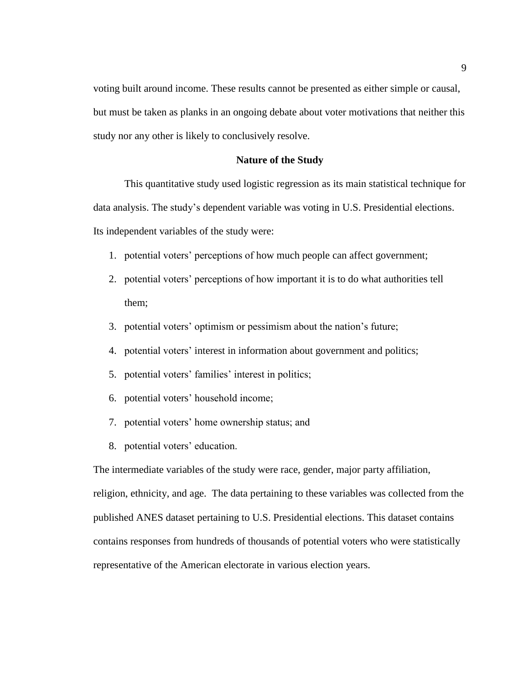voting built around income. These results cannot be presented as either simple or causal, but must be taken as planks in an ongoing debate about voter motivations that neither this study nor any other is likely to conclusively resolve.

#### **Nature of the Study**

This quantitative study used logistic regression as its main statistical technique for data analysis. The study's dependent variable was voting in U.S. Presidential elections. Its independent variables of the study were:

- 1. potential voters' perceptions of how much people can affect government;
- 2. potential voters' perceptions of how important it is to do what authorities tell them;
- 3. potential voters' optimism or pessimism about the nation's future;
- 4. potential voters' interest in information about government and politics;
- 5. potential voters' families' interest in politics;
- 6. potential voters' household income;
- 7. potential voters' home ownership status; and
- 8. potential voters' education.

The intermediate variables of the study were race, gender, major party affiliation, religion, ethnicity, and age. The data pertaining to these variables was collected from the published ANES dataset pertaining to U.S. Presidential elections. This dataset contains contains responses from hundreds of thousands of potential voters who were statistically representative of the American electorate in various election years.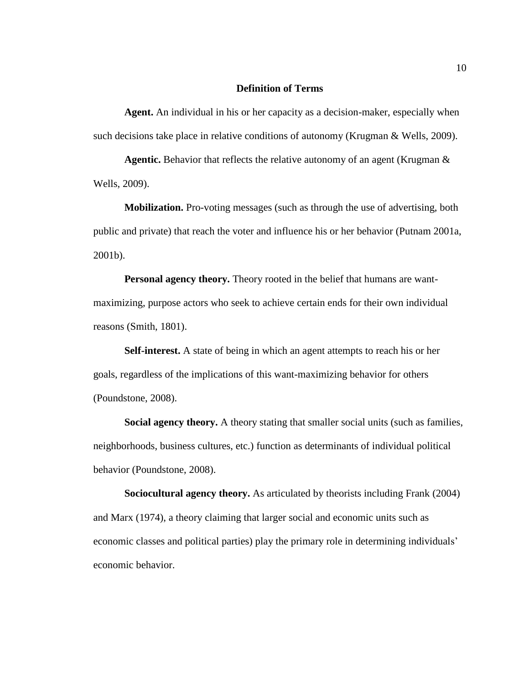#### **Definition of Terms**

**Agent.** An individual in his or her capacity as a decision-maker, especially when such decisions take place in relative conditions of autonomy (Krugman & Wells, 2009).

**Agentic.** Behavior that reflects the relative autonomy of an agent (Krugman & Wells, 2009).

**Mobilization.** Pro-voting messages (such as through the use of advertising, both public and private) that reach the voter and influence his or her behavior (Putnam 2001a, 2001b).

**Personal agency theory.** Theory rooted in the belief that humans are wantmaximizing, purpose actors who seek to achieve certain ends for their own individual reasons (Smith, 1801).

**Self-interest.** A state of being in which an agent attempts to reach his or her goals, regardless of the implications of this want-maximizing behavior for others (Poundstone, 2008).

**Social agency theory.** A theory stating that smaller social units (such as families, neighborhoods, business cultures, etc.) function as determinants of individual political behavior (Poundstone, 2008).

**Sociocultural agency theory.** As articulated by theorists including Frank (2004) and Marx (1974), a theory claiming that larger social and economic units such as economic classes and political parties) play the primary role in determining individuals' economic behavior.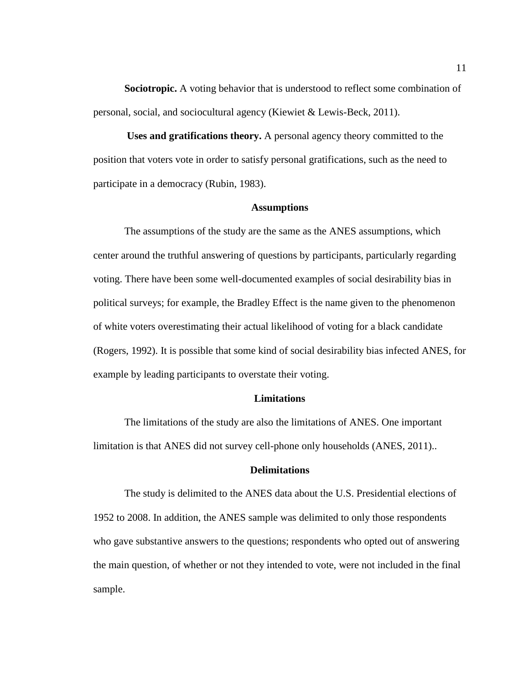**Sociotropic.** A voting behavior that is understood to reflect some combination of personal, social, and sociocultural agency (Kiewiet & Lewis-Beck, 2011).

**Uses and gratifications theory.** A personal agency theory committed to the position that voters vote in order to satisfy personal gratifications, such as the need to participate in a democracy (Rubin, 1983).

#### **Assumptions**

The assumptions of the study are the same as the ANES assumptions, which center around the truthful answering of questions by participants, particularly regarding voting. There have been some well-documented examples of social desirability bias in political surveys; for example, the Bradley Effect is the name given to the phenomenon of white voters overestimating their actual likelihood of voting for a black candidate (Rogers, 1992). It is possible that some kind of social desirability bias infected ANES, for example by leading participants to overstate their voting.

#### **Limitations**

The limitations of the study are also the limitations of ANES. One important limitation is that ANES did not survey cell-phone only households (ANES, 2011)..

#### **Delimitations**

The study is delimited to the ANES data about the U.S. Presidential elections of 1952 to 2008. In addition, the ANES sample was delimited to only those respondents who gave substantive answers to the questions; respondents who opted out of answering the main question, of whether or not they intended to vote, were not included in the final sample.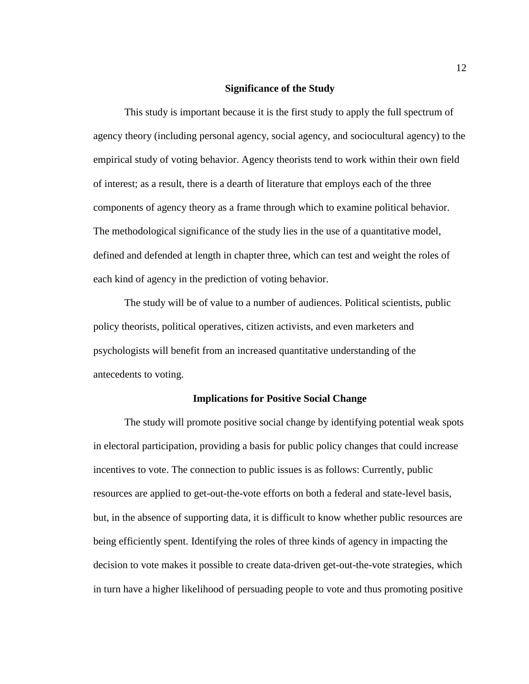#### **Significance of the Study**

This study is important because it is the first study to apply the full spectrum of agency theory (including personal agency, social agency, and sociocultural agency) to the empirical study of voting behavior. Agency theorists tend to work within their own field of interest; as a result, there is a dearth of literature that employs each of the three components of agency theory as a frame through which to examine political behavior. The methodological significance of the study lies in the use of a quantitative model, defined and defended at length in chapter three, which can test and weight the roles of each kind of agency in the prediction of voting behavior.

The study will be of value to a number of audiences. Political scientists, public policy theorists, political operatives, citizen activists, and even marketers and psychologists will benefit from an increased quantitative understanding of the antecedents to voting.

#### **Implications for Positive Social Change**

The study will promote positive social change by identifying potential weak spots in electoral participation, providing a basis for public policy changes that could increase incentives to vote. The connection to public issues is as follows: Currently, public resources are applied to get-out-the-vote efforts on both a federal and state-level basis, but, in the absence of supporting data, it is difficult to know whether public resources are being efficiently spent. Identifying the roles of three kinds of agency in impacting the decision to vote makes it possible to create data-driven get-out-the-vote strategies, which in turn have a higher likelihood of persuading people to vote and thus promoting positive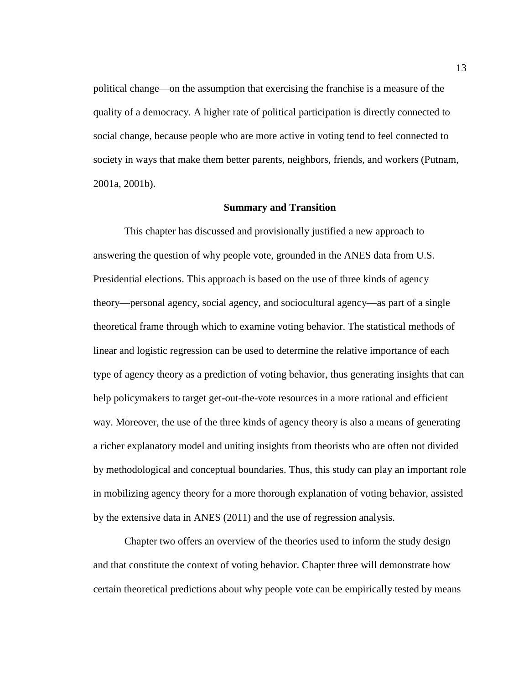political change—on the assumption that exercising the franchise is a measure of the quality of a democracy. A higher rate of political participation is directly connected to social change, because people who are more active in voting tend to feel connected to society in ways that make them better parents, neighbors, friends, and workers (Putnam, 2001a, 2001b).

#### **Summary and Transition**

This chapter has discussed and provisionally justified a new approach to answering the question of why people vote, grounded in the ANES data from U.S. Presidential elections. This approach is based on the use of three kinds of agency theory—personal agency, social agency, and sociocultural agency—as part of a single theoretical frame through which to examine voting behavior. The statistical methods of linear and logistic regression can be used to determine the relative importance of each type of agency theory as a prediction of voting behavior, thus generating insights that can help policymakers to target get-out-the-vote resources in a more rational and efficient way. Moreover, the use of the three kinds of agency theory is also a means of generating a richer explanatory model and uniting insights from theorists who are often not divided by methodological and conceptual boundaries. Thus, this study can play an important role in mobilizing agency theory for a more thorough explanation of voting behavior, assisted by the extensive data in ANES (2011) and the use of regression analysis.

Chapter two offers an overview of the theories used to inform the study design and that constitute the context of voting behavior. Chapter three will demonstrate how certain theoretical predictions about why people vote can be empirically tested by means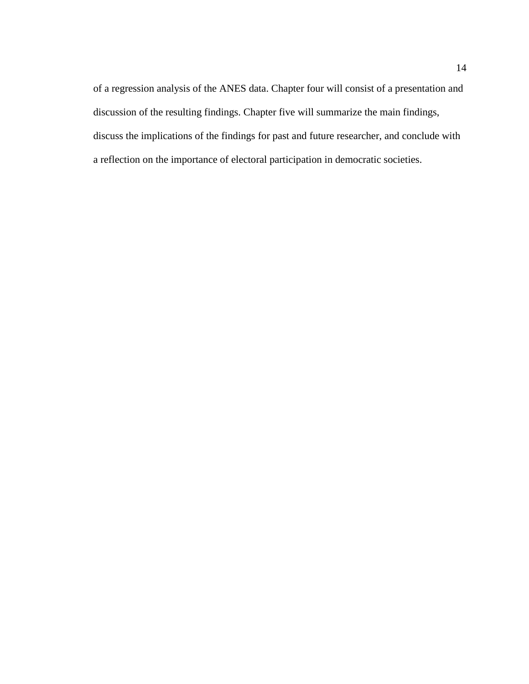of a regression analysis of the ANES data. Chapter four will consist of a presentation and discussion of the resulting findings. Chapter five will summarize the main findings, discuss the implications of the findings for past and future researcher, and conclude with a reflection on the importance of electoral participation in democratic societies.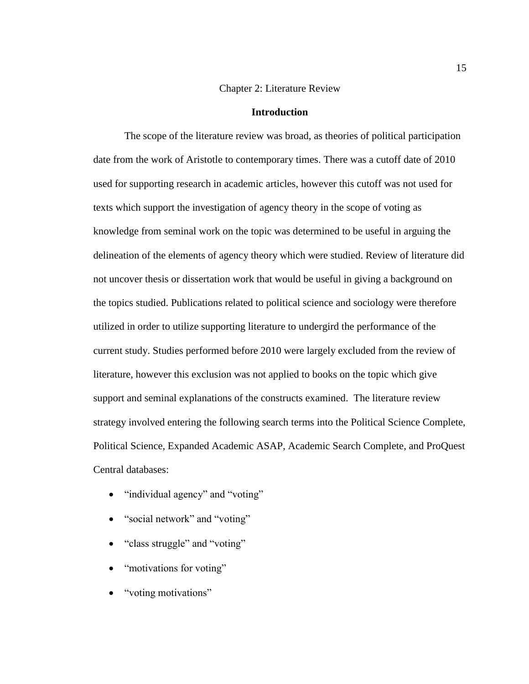#### Chapter 2: Literature Review

#### **Introduction**

The scope of the literature review was broad, as theories of political participation date from the work of Aristotle to contemporary times. There was a cutoff date of 2010 used for supporting research in academic articles, however this cutoff was not used for texts which support the investigation of agency theory in the scope of voting as knowledge from seminal work on the topic was determined to be useful in arguing the delineation of the elements of agency theory which were studied. Review of literature did not uncover thesis or dissertation work that would be useful in giving a background on the topics studied. Publications related to political science and sociology were therefore utilized in order to utilize supporting literature to undergird the performance of the current study. Studies performed before 2010 were largely excluded from the review of literature, however this exclusion was not applied to books on the topic which give support and seminal explanations of the constructs examined. The literature review strategy involved entering the following search terms into the Political Science Complete, Political Science, Expanded Academic ASAP, Academic Search Complete, and ProQuest Central databases:

- "individual agency" and "voting"
- "social network" and "voting"
- "class struggle" and "voting"
- "motivations for voting"
- "voting motivations"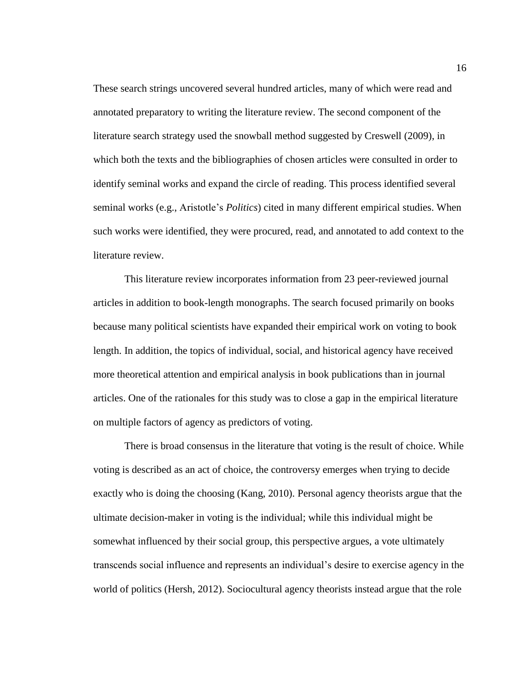These search strings uncovered several hundred articles, many of which were read and annotated preparatory to writing the literature review. The second component of the literature search strategy used the snowball method suggested by Creswell (2009), in which both the texts and the bibliographies of chosen articles were consulted in order to identify seminal works and expand the circle of reading. This process identified several seminal works (e.g., Aristotle's *Politics*) cited in many different empirical studies. When such works were identified, they were procured, read, and annotated to add context to the literature review.

This literature review incorporates information from 23 peer-reviewed journal articles in addition to book-length monographs. The search focused primarily on books because many political scientists have expanded their empirical work on voting to book length. In addition, the topics of individual, social, and historical agency have received more theoretical attention and empirical analysis in book publications than in journal articles. One of the rationales for this study was to close a gap in the empirical literature on multiple factors of agency as predictors of voting.

There is broad consensus in the literature that voting is the result of choice. While voting is described as an act of choice, the controversy emerges when trying to decide exactly who is doing the choosing (Kang, 2010). Personal agency theorists argue that the ultimate decision-maker in voting is the individual; while this individual might be somewhat influenced by their social group, this perspective argues, a vote ultimately transcends social influence and represents an individual's desire to exercise agency in the world of politics (Hersh, 2012). Sociocultural agency theorists instead argue that the role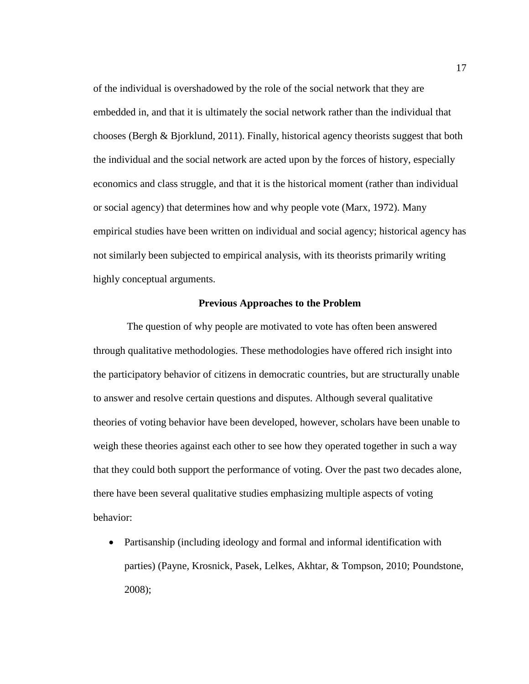of the individual is overshadowed by the role of the social network that they are embedded in, and that it is ultimately the social network rather than the individual that chooses (Bergh & Bjorklund, 2011). Finally, historical agency theorists suggest that both the individual and the social network are acted upon by the forces of history, especially economics and class struggle, and that it is the historical moment (rather than individual or social agency) that determines how and why people vote (Marx, 1972). Many empirical studies have been written on individual and social agency; historical agency has not similarly been subjected to empirical analysis, with its theorists primarily writing highly conceptual arguments.

#### **Previous Approaches to the Problem**

The question of why people are motivated to vote has often been answered through qualitative methodologies. These methodologies have offered rich insight into the participatory behavior of citizens in democratic countries, but are structurally unable to answer and resolve certain questions and disputes. Although several qualitative theories of voting behavior have been developed, however, scholars have been unable to weigh these theories against each other to see how they operated together in such a way that they could both support the performance of voting. Over the past two decades alone, there have been several qualitative studies emphasizing multiple aspects of voting behavior:

 Partisanship (including ideology and formal and informal identification with parties) (Payne, Krosnick, Pasek, Lelkes, Akhtar, & Tompson, 2010; Poundstone, 2008);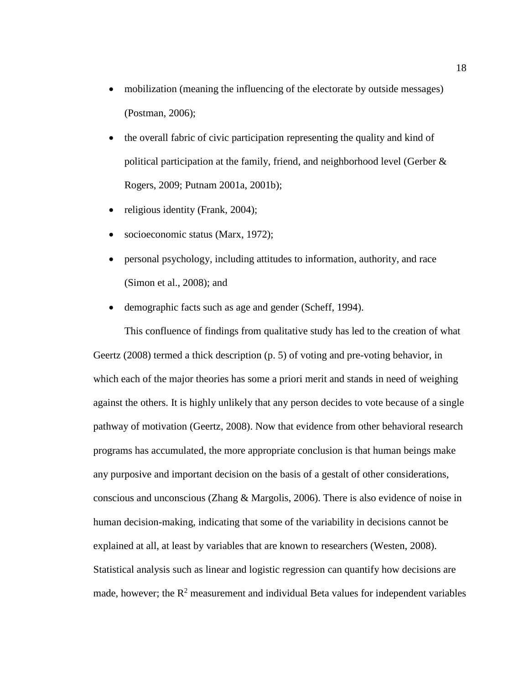- mobilization (meaning the influencing of the electorate by outside messages) (Postman, 2006);
- the overall fabric of civic participation representing the quality and kind of political participation at the family, friend, and neighborhood level (Gerber & Rogers, 2009; Putnam 2001a, 2001b);
- religious identity (Frank,  $2004$ );
- socioeconomic status (Marx, 1972);
- personal psychology, including attitudes to information, authority, and race (Simon et al., 2008); and
- demographic facts such as age and gender (Scheff, 1994).

This confluence of findings from qualitative study has led to the creation of what Geertz (2008) termed a thick description (p. 5) of voting and pre-voting behavior, in which each of the major theories has some a priori merit and stands in need of weighing against the others. It is highly unlikely that any person decides to vote because of a single pathway of motivation (Geertz, 2008). Now that evidence from other behavioral research programs has accumulated, the more appropriate conclusion is that human beings make any purposive and important decision on the basis of a gestalt of other considerations, conscious and unconscious (Zhang & Margolis, 2006). There is also evidence of noise in human decision-making, indicating that some of the variability in decisions cannot be explained at all, at least by variables that are known to researchers (Westen, 2008). Statistical analysis such as linear and logistic regression can quantify how decisions are made, however; the  $R^2$  measurement and individual Beta values for independent variables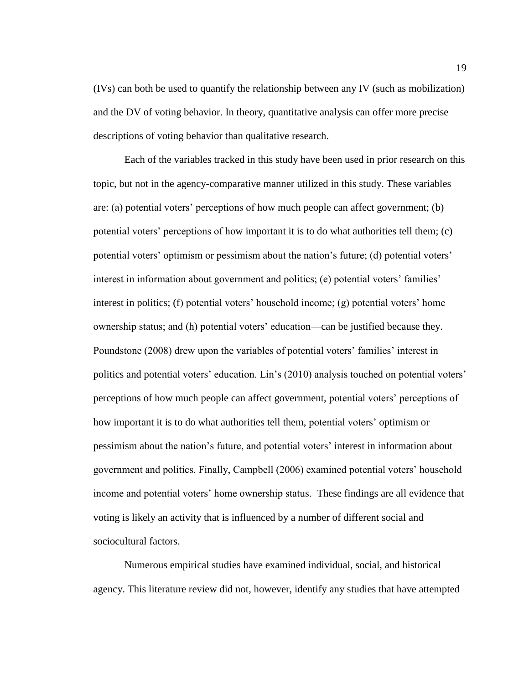(IVs) can both be used to quantify the relationship between any IV (such as mobilization) and the DV of voting behavior. In theory, quantitative analysis can offer more precise descriptions of voting behavior than qualitative research.

Each of the variables tracked in this study have been used in prior research on this topic, but not in the agency-comparative manner utilized in this study. These variables are: (a) potential voters' perceptions of how much people can affect government; (b) potential voters' perceptions of how important it is to do what authorities tell them; (c) potential voters' optimism or pessimism about the nation's future; (d) potential voters' interest in information about government and politics; (e) potential voters' families' interest in politics; (f) potential voters' household income; (g) potential voters' home ownership status; and (h) potential voters' education—can be justified because they. Poundstone (2008) drew upon the variables of potential voters' families' interest in politics and potential voters' education. Lin's (2010) analysis touched on potential voters' perceptions of how much people can affect government, potential voters' perceptions of how important it is to do what authorities tell them, potential voters' optimism or pessimism about the nation's future, and potential voters' interest in information about government and politics. Finally, Campbell (2006) examined potential voters' household income and potential voters' home ownership status. These findings are all evidence that voting is likely an activity that is influenced by a number of different social and sociocultural factors.

Numerous empirical studies have examined individual, social, and historical agency. This literature review did not, however, identify any studies that have attempted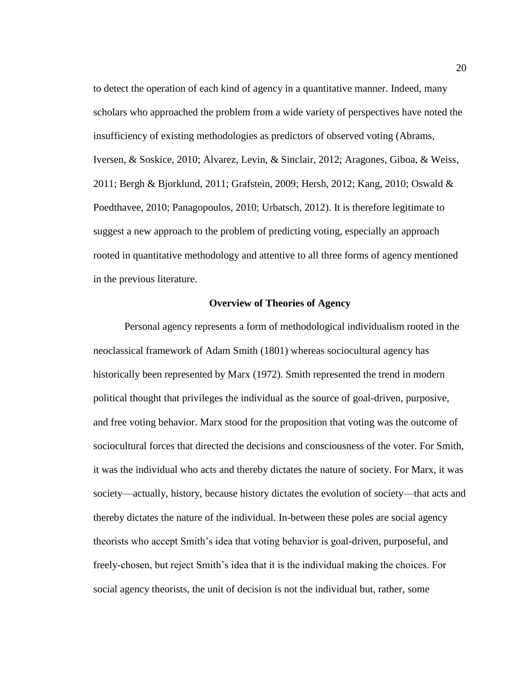to detect the operation of each kind of agency in a quantitative manner. Indeed, many scholars who approached the problem from a wide variety of perspectives have noted the insufficiency of existing methodologies as predictors of observed voting (Abrams, Iversen, & Soskice, 2010; Alvarez, Levin, & Sinclair, 2012; Aragones, Giboa, & Weiss, 2011; Bergh & Bjorklund, 2011; Grafstein, 2009; Hersh, 2012; Kang, 2010; Oswald & Poedthavee, 2010; Panagopoulos, 2010; Urbatsch, 2012). It is therefore legitimate to suggest a new approach to the problem of predicting voting, especially an approach rooted in quantitative methodology and attentive to all three forms of agency mentioned in the previous literature.

#### **Overview of Theories of Agency**

Personal agency represents a form of methodological individualism rooted in the neoclassical framework of Adam Smith (1801) whereas sociocultural agency has historically been represented by Marx (1972). Smith represented the trend in modern political thought that privileges the individual as the source of goal-driven, purposive, and free voting behavior. Marx stood for the proposition that voting was the outcome of sociocultural forces that directed the decisions and consciousness of the voter. For Smith, it was the individual who acts and thereby dictates the nature of society. For Marx, it was society—actually, history, because history dictates the evolution of society—that acts and thereby dictates the nature of the individual. In-between these poles are social agency theorists who accept Smith's idea that voting behavior is goal-driven, purposeful, and freely-chosen, but reject Smith's idea that it is the individual making the choices. For social agency theorists, the unit of decision is not the individual but, rather, some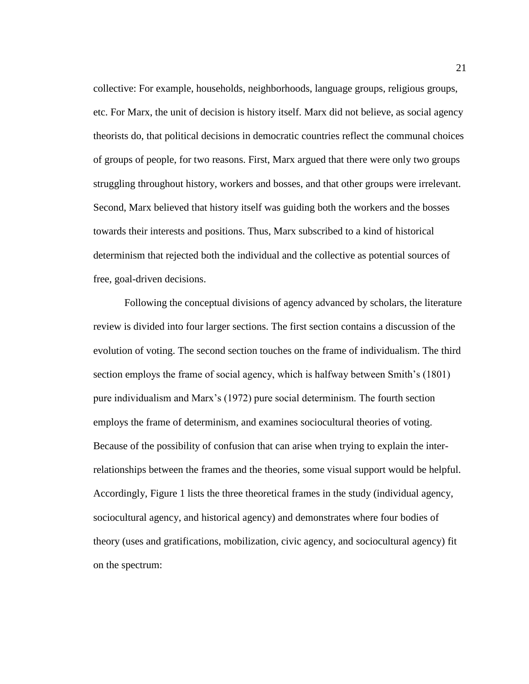collective: For example, households, neighborhoods, language groups, religious groups, etc. For Marx, the unit of decision is history itself. Marx did not believe, as social agency theorists do, that political decisions in democratic countries reflect the communal choices of groups of people, for two reasons. First, Marx argued that there were only two groups struggling throughout history, workers and bosses, and that other groups were irrelevant. Second, Marx believed that history itself was guiding both the workers and the bosses towards their interests and positions. Thus, Marx subscribed to a kind of historical determinism that rejected both the individual and the collective as potential sources of free, goal-driven decisions.

Following the conceptual divisions of agency advanced by scholars, the literature review is divided into four larger sections. The first section contains a discussion of the evolution of voting. The second section touches on the frame of individualism. The third section employs the frame of social agency, which is halfway between Smith's (1801) pure individualism and Marx's (1972) pure social determinism. The fourth section employs the frame of determinism, and examines sociocultural theories of voting. Because of the possibility of confusion that can arise when trying to explain the interrelationships between the frames and the theories, some visual support would be helpful. Accordingly, Figure 1 lists the three theoretical frames in the study (individual agency, sociocultural agency, and historical agency) and demonstrates where four bodies of theory (uses and gratifications, mobilization, civic agency, and sociocultural agency) fit on the spectrum: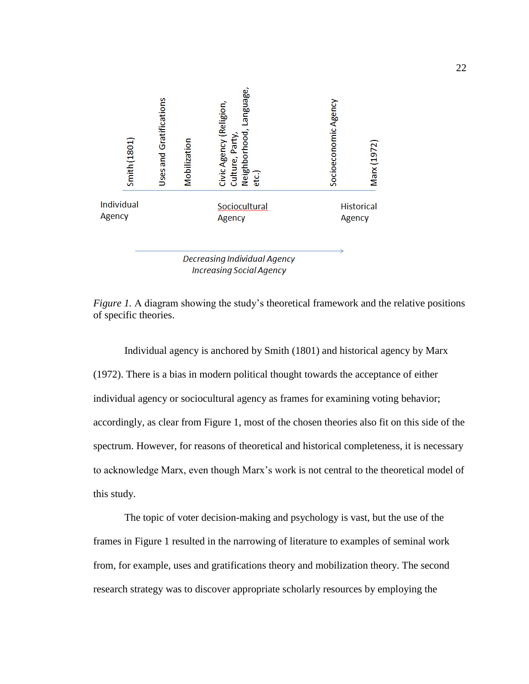

**Decreasing Individual Agency Increasing Social Agency** 

*Figure 1.* A diagram showing the study's theoretical framework and the relative positions of specific theories.

Individual agency is anchored by Smith (1801) and historical agency by Marx (1972). There is a bias in modern political thought towards the acceptance of either individual agency or sociocultural agency as frames for examining voting behavior; accordingly, as clear from Figure 1, most of the chosen theories also fit on this side of the spectrum. However, for reasons of theoretical and historical completeness, it is necessary to acknowledge Marx, even though Marx's work is not central to the theoretical model of this study.

The topic of voter decision-making and psychology is vast, but the use of the frames in Figure 1 resulted in the narrowing of literature to examples of seminal work from, for example, uses and gratifications theory and mobilization theory. The second research strategy was to discover appropriate scholarly resources by employing the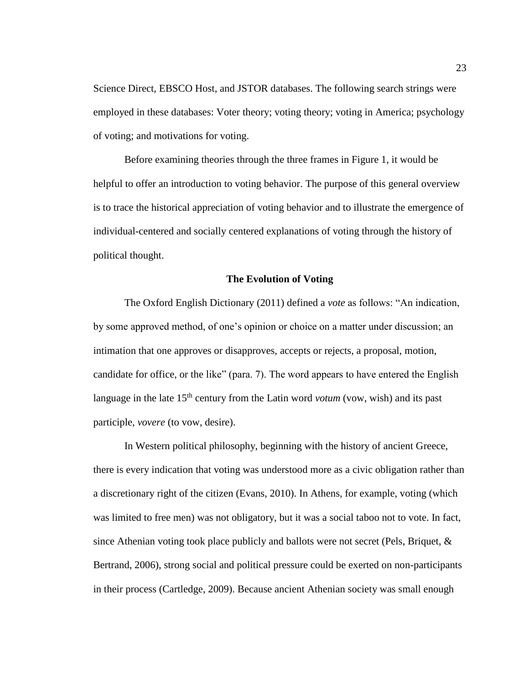Science Direct, EBSCO Host, and JSTOR databases. The following search strings were employed in these databases: Voter theory; voting theory; voting in America; psychology of voting; and motivations for voting.

Before examining theories through the three frames in Figure 1, it would be helpful to offer an introduction to voting behavior. The purpose of this general overview is to trace the historical appreciation of voting behavior and to illustrate the emergence of individual-centered and socially centered explanations of voting through the history of political thought.

#### **The Evolution of Voting**

The Oxford English Dictionary (2011) defined a *vote* as follows: "An indication, by some approved method, of one's opinion or choice on a matter under discussion; an intimation that one approves or disapproves, accepts or rejects, a proposal, motion, candidate for office, or the like" (para. 7). The word appears to have entered the English language in the late 15<sup>th</sup> century from the Latin word *votum* (vow, wish) and its past participle, *vovere* (to vow, desire).

In Western political philosophy, beginning with the history of ancient Greece, there is every indication that voting was understood more as a civic obligation rather than a discretionary right of the citizen (Evans, 2010). In Athens, for example, voting (which was limited to free men) was not obligatory, but it was a social taboo not to vote. In fact, since Athenian voting took place publicly and ballots were not secret (Pels, Briquet, & Bertrand, 2006), strong social and political pressure could be exerted on non-participants in their process (Cartledge, 2009). Because ancient Athenian society was small enough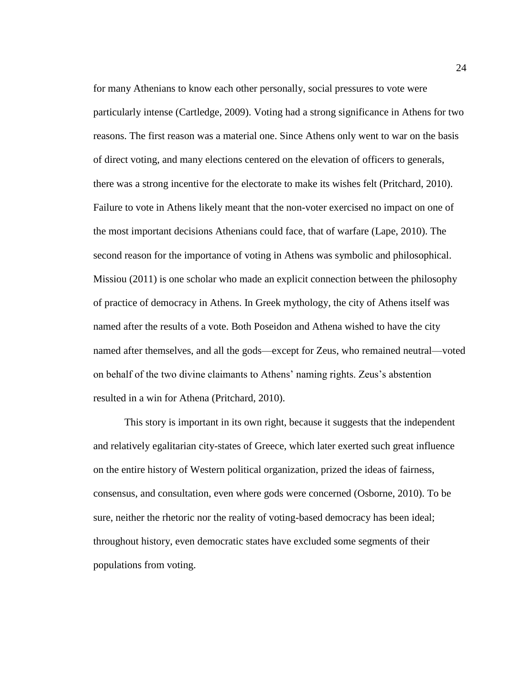for many Athenians to know each other personally, social pressures to vote were particularly intense (Cartledge, 2009). Voting had a strong significance in Athens for two reasons. The first reason was a material one. Since Athens only went to war on the basis of direct voting, and many elections centered on the elevation of officers to generals, there was a strong incentive for the electorate to make its wishes felt (Pritchard, 2010). Failure to vote in Athens likely meant that the non-voter exercised no impact on one of the most important decisions Athenians could face, that of warfare (Lape, 2010). The second reason for the importance of voting in Athens was symbolic and philosophical. Missiou (2011) is one scholar who made an explicit connection between the philosophy of practice of democracy in Athens. In Greek mythology, the city of Athens itself was named after the results of a vote. Both Poseidon and Athena wished to have the city named after themselves, and all the gods—except for Zeus, who remained neutral—voted on behalf of the two divine claimants to Athens' naming rights. Zeus's abstention resulted in a win for Athena (Pritchard, 2010).

This story is important in its own right, because it suggests that the independent and relatively egalitarian city-states of Greece, which later exerted such great influence on the entire history of Western political organization, prized the ideas of fairness, consensus, and consultation, even where gods were concerned (Osborne, 2010). To be sure, neither the rhetoric nor the reality of voting-based democracy has been ideal; throughout history, even democratic states have excluded some segments of their populations from voting.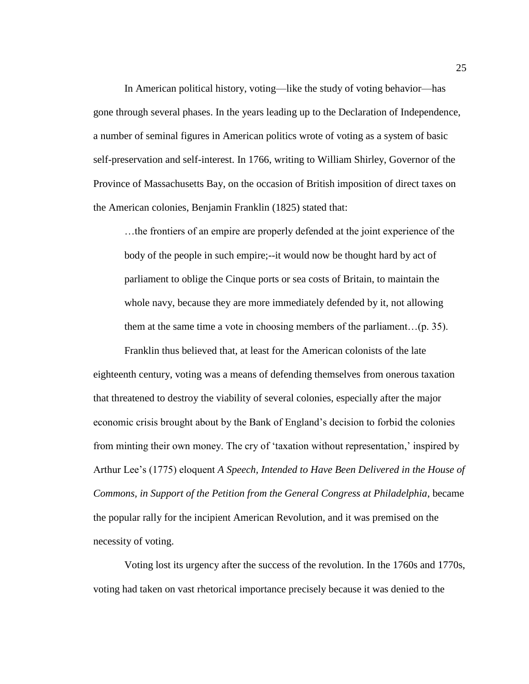In American political history, voting—like the study of voting behavior—has gone through several phases. In the years leading up to the Declaration of Independence, a number of seminal figures in American politics wrote of voting as a system of basic self-preservation and self-interest. In 1766, writing to William Shirley, Governor of the Province of Massachusetts Bay, on the occasion of British imposition of direct taxes on the American colonies, Benjamin Franklin (1825) stated that:

…the frontiers of an empire are properly defended at the joint experience of the body of the people in such empire;--it would now be thought hard by act of parliament to oblige the Cinque ports or sea costs of Britain, to maintain the whole navy, because they are more immediately defended by it, not allowing them at the same time a vote in choosing members of the parliament…(p. 35).

Franklin thus believed that, at least for the American colonists of the late eighteenth century, voting was a means of defending themselves from onerous taxation that threatened to destroy the viability of several colonies, especially after the major economic crisis brought about by the Bank of England's decision to forbid the colonies from minting their own money. The cry of 'taxation without representation,' inspired by Arthur Lee's (1775) eloquent *A Speech, Intended to Have Been Delivered in the House of Commons, in Support of the Petition from the General Congress at Philadelphia*, became the popular rally for the incipient American Revolution, and it was premised on the necessity of voting.

Voting lost its urgency after the success of the revolution. In the 1760s and 1770s, voting had taken on vast rhetorical importance precisely because it was denied to the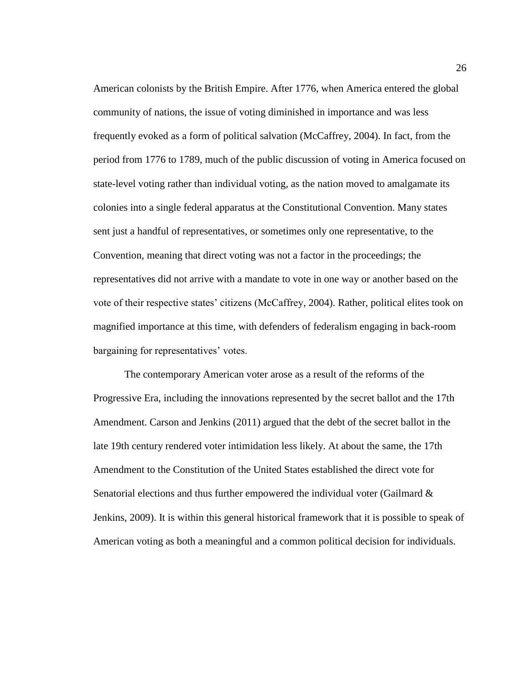American colonists by the British Empire. After 1776, when America entered the global community of nations, the issue of voting diminished in importance and was less frequently evoked as a form of political salvation (McCaffrey, 2004). In fact, from the period from 1776 to 1789, much of the public discussion of voting in America focused on state-level voting rather than individual voting, as the nation moved to amalgamate its colonies into a single federal apparatus at the Constitutional Convention. Many states sent just a handful of representatives, or sometimes only one representative, to the Convention, meaning that direct voting was not a factor in the proceedings; the representatives did not arrive with a mandate to vote in one way or another based on the vote of their respective states' citizens (McCaffrey, 2004). Rather, political elites took on magnified importance at this time, with defenders of federalism engaging in back-room bargaining for representatives' votes.

The contemporary American voter arose as a result of the reforms of the Progressive Era, including the innovations represented by the secret ballot and the 17th Amendment. Carson and Jenkins (2011) argued that the debt of the secret ballot in the late 19th century rendered voter intimidation less likely. At about the same, the 17th Amendment to the Constitution of the United States established the direct vote for Senatorial elections and thus further empowered the individual voter (Gailmard & Jenkins, 2009). It is within this general historical framework that it is possible to speak of American voting as both a meaningful and a common political decision for individuals.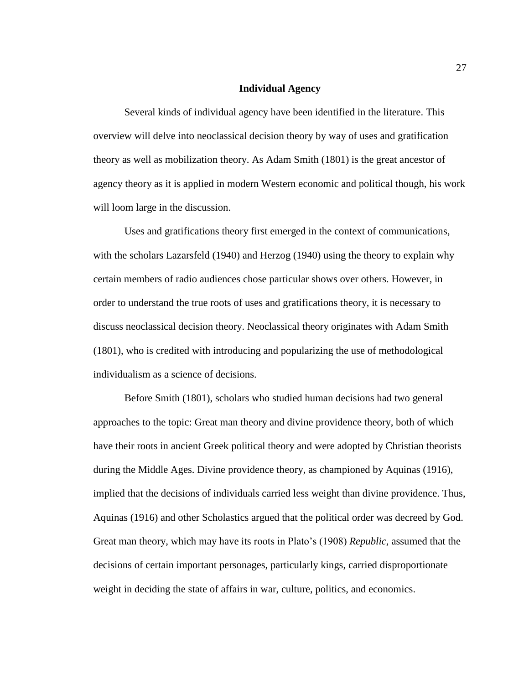#### **Individual Agency**

Several kinds of individual agency have been identified in the literature. This overview will delve into neoclassical decision theory by way of uses and gratification theory as well as mobilization theory. As Adam Smith (1801) is the great ancestor of agency theory as it is applied in modern Western economic and political though, his work will loom large in the discussion.

Uses and gratifications theory first emerged in the context of communications, with the scholars Lazarsfeld (1940) and Herzog (1940) using the theory to explain why certain members of radio audiences chose particular shows over others. However, in order to understand the true roots of uses and gratifications theory, it is necessary to discuss neoclassical decision theory. Neoclassical theory originates with Adam Smith (1801), who is credited with introducing and popularizing the use of methodological individualism as a science of decisions.

Before Smith (1801), scholars who studied human decisions had two general approaches to the topic: Great man theory and divine providence theory, both of which have their roots in ancient Greek political theory and were adopted by Christian theorists during the Middle Ages. Divine providence theory, as championed by Aquinas (1916), implied that the decisions of individuals carried less weight than divine providence. Thus, Aquinas (1916) and other Scholastics argued that the political order was decreed by God. Great man theory, which may have its roots in Plato's (1908) *Republic*, assumed that the decisions of certain important personages, particularly kings, carried disproportionate weight in deciding the state of affairs in war, culture, politics, and economics.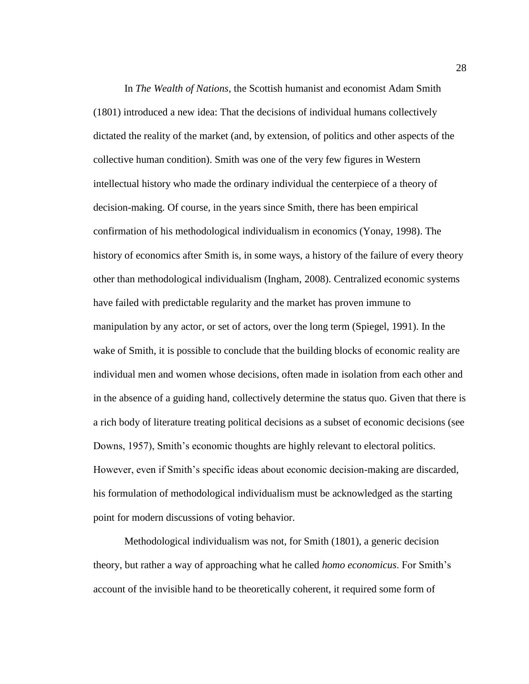In *The Wealth of Nations*, the Scottish humanist and economist Adam Smith (1801) introduced a new idea: That the decisions of individual humans collectively dictated the reality of the market (and, by extension, of politics and other aspects of the collective human condition). Smith was one of the very few figures in Western intellectual history who made the ordinary individual the centerpiece of a theory of decision-making. Of course, in the years since Smith, there has been empirical confirmation of his methodological individualism in economics (Yonay, 1998). The history of economics after Smith is, in some ways, a history of the failure of every theory other than methodological individualism (Ingham, 2008). Centralized economic systems have failed with predictable regularity and the market has proven immune to manipulation by any actor, or set of actors, over the long term (Spiegel, 1991). In the wake of Smith, it is possible to conclude that the building blocks of economic reality are individual men and women whose decisions, often made in isolation from each other and in the absence of a guiding hand, collectively determine the status quo. Given that there is a rich body of literature treating political decisions as a subset of economic decisions (see Downs, 1957), Smith's economic thoughts are highly relevant to electoral politics. However, even if Smith's specific ideas about economic decision-making are discarded, his formulation of methodological individualism must be acknowledged as the starting point for modern discussions of voting behavior.

Methodological individualism was not, for Smith (1801), a generic decision theory, but rather a way of approaching what he called *homo economicus*. For Smith's account of the invisible hand to be theoretically coherent, it required some form of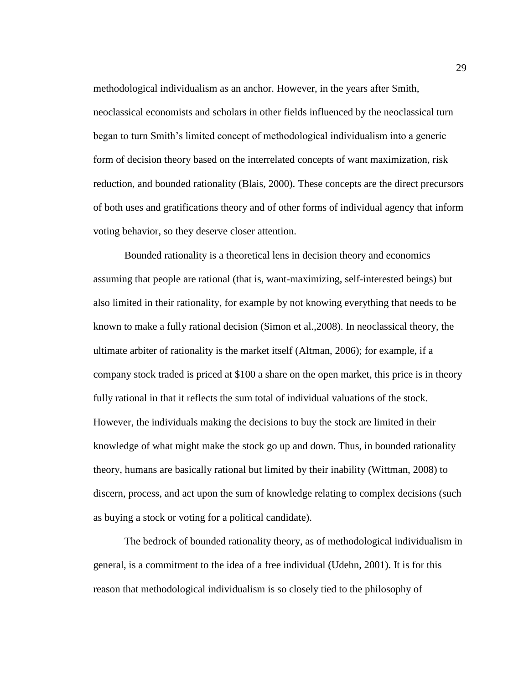methodological individualism as an anchor. However, in the years after Smith, neoclassical economists and scholars in other fields influenced by the neoclassical turn began to turn Smith's limited concept of methodological individualism into a generic form of decision theory based on the interrelated concepts of want maximization, risk reduction, and bounded rationality (Blais, 2000). These concepts are the direct precursors of both uses and gratifications theory and of other forms of individual agency that inform voting behavior, so they deserve closer attention.

Bounded rationality is a theoretical lens in decision theory and economics assuming that people are rational (that is, want-maximizing, self-interested beings) but also limited in their rationality, for example by not knowing everything that needs to be known to make a fully rational decision (Simon et al.,2008). In neoclassical theory, the ultimate arbiter of rationality is the market itself (Altman, 2006); for example, if a company stock traded is priced at \$100 a share on the open market, this price is in theory fully rational in that it reflects the sum total of individual valuations of the stock. However, the individuals making the decisions to buy the stock are limited in their knowledge of what might make the stock go up and down. Thus, in bounded rationality theory, humans are basically rational but limited by their inability (Wittman, 2008) to discern, process, and act upon the sum of knowledge relating to complex decisions (such as buying a stock or voting for a political candidate).

The bedrock of bounded rationality theory, as of methodological individualism in general, is a commitment to the idea of a free individual (Udehn, 2001). It is for this reason that methodological individualism is so closely tied to the philosophy of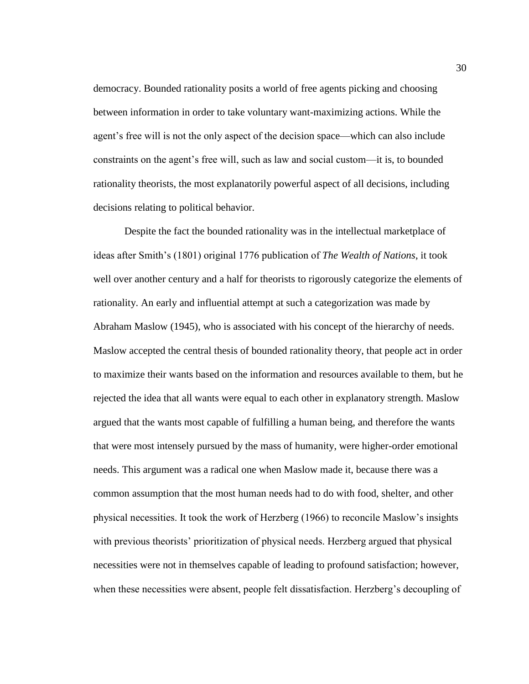democracy. Bounded rationality posits a world of free agents picking and choosing between information in order to take voluntary want-maximizing actions. While the agent's free will is not the only aspect of the decision space—which can also include constraints on the agent's free will, such as law and social custom—it is, to bounded rationality theorists, the most explanatorily powerful aspect of all decisions, including decisions relating to political behavior.

Despite the fact the bounded rationality was in the intellectual marketplace of ideas after Smith's (1801) original 1776 publication of *The Wealth of Nations*, it took well over another century and a half for theorists to rigorously categorize the elements of rationality. An early and influential attempt at such a categorization was made by Abraham Maslow (1945), who is associated with his concept of the hierarchy of needs. Maslow accepted the central thesis of bounded rationality theory, that people act in order to maximize their wants based on the information and resources available to them, but he rejected the idea that all wants were equal to each other in explanatory strength. Maslow argued that the wants most capable of fulfilling a human being, and therefore the wants that were most intensely pursued by the mass of humanity, were higher-order emotional needs. This argument was a radical one when Maslow made it, because there was a common assumption that the most human needs had to do with food, shelter, and other physical necessities. It took the work of Herzberg (1966) to reconcile Maslow's insights with previous theorists' prioritization of physical needs. Herzberg argued that physical necessities were not in themselves capable of leading to profound satisfaction; however, when these necessities were absent, people felt dissatisfaction. Herzberg's decoupling of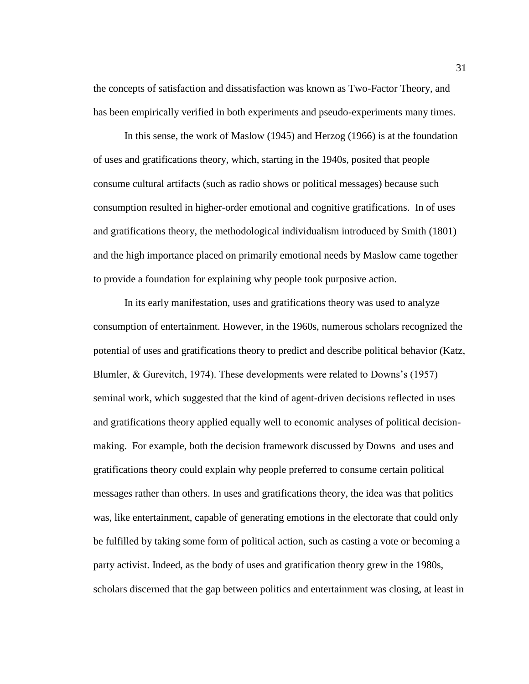the concepts of satisfaction and dissatisfaction was known as Two-Factor Theory, and has been empirically verified in both experiments and pseudo-experiments many times.

In this sense, the work of Maslow (1945) and Herzog (1966) is at the foundation of uses and gratifications theory, which, starting in the 1940s, posited that people consume cultural artifacts (such as radio shows or political messages) because such consumption resulted in higher-order emotional and cognitive gratifications. In of uses and gratifications theory, the methodological individualism introduced by Smith (1801) and the high importance placed on primarily emotional needs by Maslow came together to provide a foundation for explaining why people took purposive action.

In its early manifestation, uses and gratifications theory was used to analyze consumption of entertainment. However, in the 1960s, numerous scholars recognized the potential of uses and gratifications theory to predict and describe political behavior (Katz, Blumler, & Gurevitch, 1974). These developments were related to Downs's (1957) seminal work, which suggested that the kind of agent-driven decisions reflected in uses and gratifications theory applied equally well to economic analyses of political decisionmaking. For example, both the decision framework discussed by Downs and uses and gratifications theory could explain why people preferred to consume certain political messages rather than others. In uses and gratifications theory, the idea was that politics was, like entertainment, capable of generating emotions in the electorate that could only be fulfilled by taking some form of political action, such as casting a vote or becoming a party activist. Indeed, as the body of uses and gratification theory grew in the 1980s, scholars discerned that the gap between politics and entertainment was closing, at least in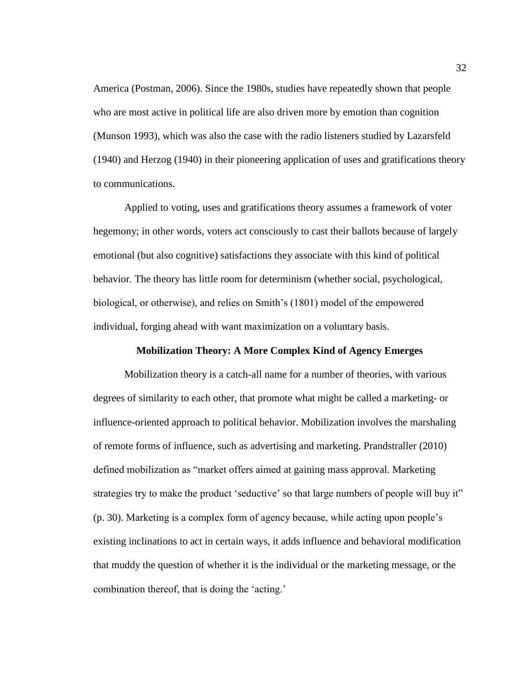America (Postman, 2006). Since the 1980s, studies have repeatedly shown that people who are most active in political life are also driven more by emotion than cognition (Munson 1993), which was also the case with the radio listeners studied by Lazarsfeld (1940) and Herzog (1940) in their pioneering application of uses and gratifications theory to communications.

Applied to voting, uses and gratifications theory assumes a framework of voter hegemony; in other words, voters act consciously to cast their ballots because of largely emotional (but also cognitive) satisfactions they associate with this kind of political behavior. The theory has little room for determinism (whether social, psychological, biological, or otherwise), and relies on Smith's (1801) model of the empowered individual, forging ahead with want maximization on a voluntary basis.

# **Mobilization Theory: A More Complex Kind of Agency Emerges**

Mobilization theory is a catch-all name for a number of theories, with various degrees of similarity to each other, that promote what might be called a marketing- or influence-oriented approach to political behavior. Mobilization involves the marshaling of remote forms of influence, such as advertising and marketing. Prandstraller (2010) defined mobilization as "market offers aimed at gaining mass approval. Marketing strategies try to make the product 'seductive' so that large numbers of people will buy it" (p. 30). Marketing is a complex form of agency because, while acting upon people's existing inclinations to act in certain ways, it adds influence and behavioral modification that muddy the question of whether it is the individual or the marketing message, or the combination thereof, that is doing the 'acting.'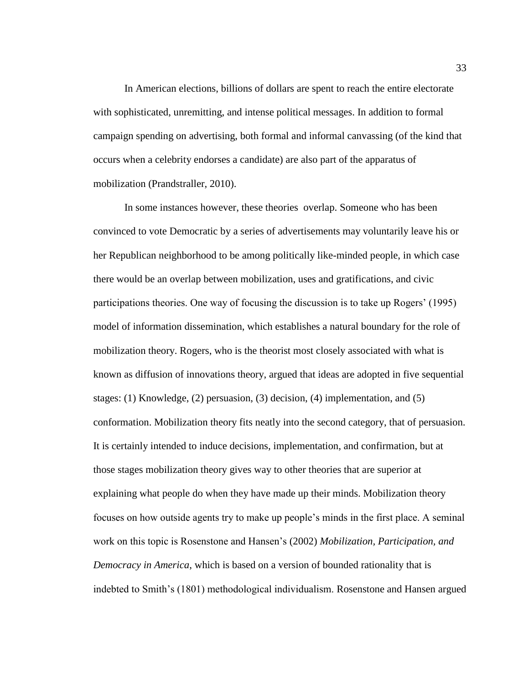In American elections, billions of dollars are spent to reach the entire electorate with sophisticated, unremitting, and intense political messages. In addition to formal campaign spending on advertising, both formal and informal canvassing (of the kind that occurs when a celebrity endorses a candidate) are also part of the apparatus of mobilization (Prandstraller, 2010).

In some instances however, these theories overlap. Someone who has been convinced to vote Democratic by a series of advertisements may voluntarily leave his or her Republican neighborhood to be among politically like-minded people, in which case there would be an overlap between mobilization, uses and gratifications, and civic participations theories. One way of focusing the discussion is to take up Rogers' (1995) model of information dissemination, which establishes a natural boundary for the role of mobilization theory. Rogers, who is the theorist most closely associated with what is known as diffusion of innovations theory, argued that ideas are adopted in five sequential stages: (1) Knowledge, (2) persuasion, (3) decision, (4) implementation, and (5) conformation. Mobilization theory fits neatly into the second category, that of persuasion. It is certainly intended to induce decisions, implementation, and confirmation, but at those stages mobilization theory gives way to other theories that are superior at explaining what people do when they have made up their minds. Mobilization theory focuses on how outside agents try to make up people's minds in the first place. A seminal work on this topic is Rosenstone and Hansen's (2002) *Mobilization, Participation, and Democracy in America*, which is based on a version of bounded rationality that is indebted to Smith's (1801) methodological individualism. Rosenstone and Hansen argued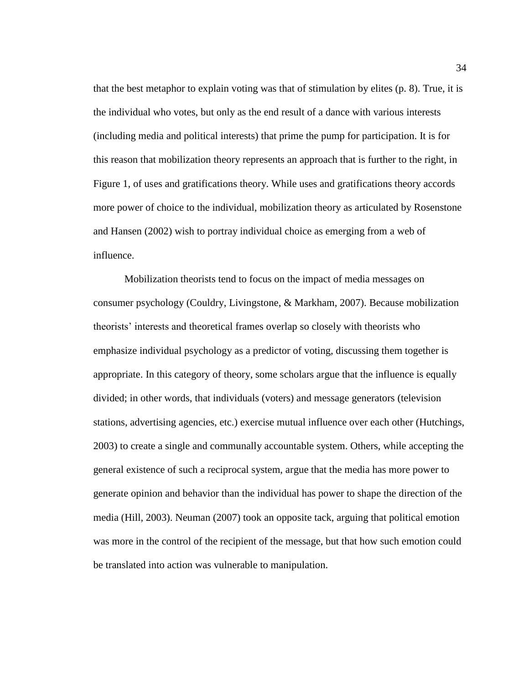that the best metaphor to explain voting was that of stimulation by elites (p. 8). True, it is the individual who votes, but only as the end result of a dance with various interests (including media and political interests) that prime the pump for participation. It is for this reason that mobilization theory represents an approach that is further to the right, in Figure 1, of uses and gratifications theory. While uses and gratifications theory accords more power of choice to the individual, mobilization theory as articulated by Rosenstone and Hansen (2002) wish to portray individual choice as emerging from a web of influence.

Mobilization theorists tend to focus on the impact of media messages on consumer psychology (Couldry, Livingstone, & Markham, 2007). Because mobilization theorists' interests and theoretical frames overlap so closely with theorists who emphasize individual psychology as a predictor of voting, discussing them together is appropriate. In this category of theory, some scholars argue that the influence is equally divided; in other words, that individuals (voters) and message generators (television stations, advertising agencies, etc.) exercise mutual influence over each other (Hutchings, 2003) to create a single and communally accountable system. Others, while accepting the general existence of such a reciprocal system, argue that the media has more power to generate opinion and behavior than the individual has power to shape the direction of the media (Hill, 2003). Neuman (2007) took an opposite tack, arguing that political emotion was more in the control of the recipient of the message, but that how such emotion could be translated into action was vulnerable to manipulation.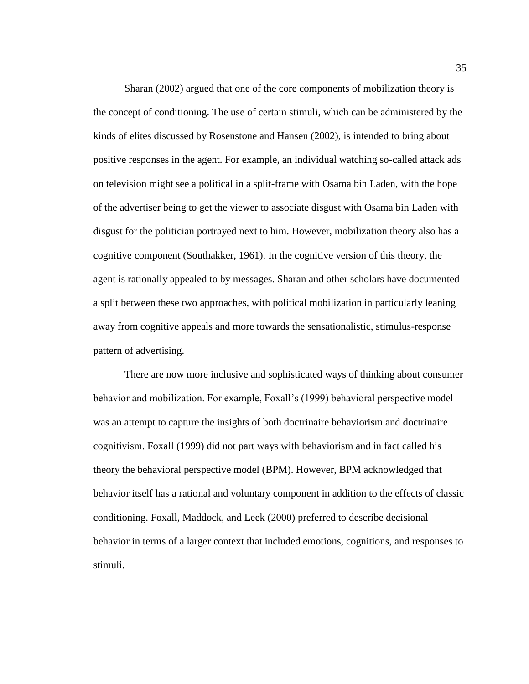Sharan (2002) argued that one of the core components of mobilization theory is the concept of conditioning. The use of certain stimuli, which can be administered by the kinds of elites discussed by Rosenstone and Hansen (2002), is intended to bring about positive responses in the agent. For example, an individual watching so-called attack ads on television might see a political in a split-frame with Osama bin Laden, with the hope of the advertiser being to get the viewer to associate disgust with Osama bin Laden with disgust for the politician portrayed next to him. However, mobilization theory also has a cognitive component (Southakker, 1961). In the cognitive version of this theory, the agent is rationally appealed to by messages. Sharan and other scholars have documented a split between these two approaches, with political mobilization in particularly leaning away from cognitive appeals and more towards the sensationalistic, stimulus-response pattern of advertising.

There are now more inclusive and sophisticated ways of thinking about consumer behavior and mobilization. For example, Foxall's (1999) behavioral perspective model was an attempt to capture the insights of both doctrinaire behaviorism and doctrinaire cognitivism. Foxall (1999) did not part ways with behaviorism and in fact called his theory the behavioral perspective model (BPM). However, BPM acknowledged that behavior itself has a rational and voluntary component in addition to the effects of classic conditioning. Foxall, Maddock, and Leek (2000) preferred to describe decisional behavior in terms of a larger context that included emotions, cognitions, and responses to stimuli.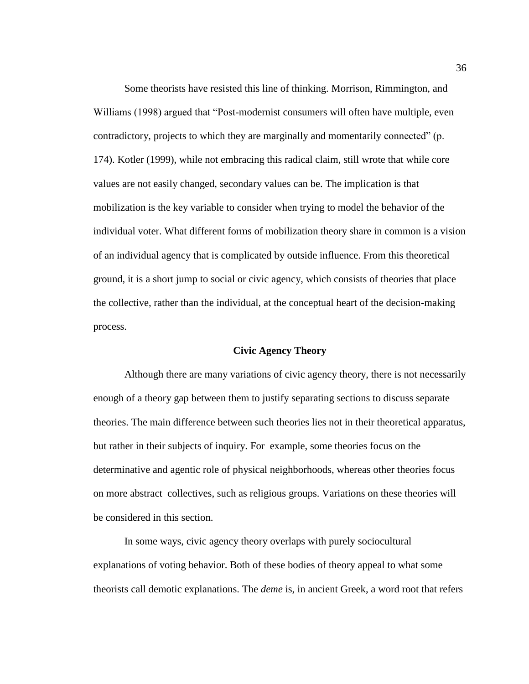Some theorists have resisted this line of thinking. Morrison, Rimmington, and Williams (1998) argued that "Post-modernist consumers will often have multiple, even contradictory, projects to which they are marginally and momentarily connected" (p. 174). Kotler (1999), while not embracing this radical claim, still wrote that while core values are not easily changed, secondary values can be. The implication is that mobilization is the key variable to consider when trying to model the behavior of the individual voter. What different forms of mobilization theory share in common is a vision of an individual agency that is complicated by outside influence. From this theoretical ground, it is a short jump to social or civic agency, which consists of theories that place the collective, rather than the individual, at the conceptual heart of the decision-making process.

# **Civic Agency Theory**

Although there are many variations of civic agency theory, there is not necessarily enough of a theory gap between them to justify separating sections to discuss separate theories. The main difference between such theories lies not in their theoretical apparatus, but rather in their subjects of inquiry. For example, some theories focus on the determinative and agentic role of physical neighborhoods, whereas other theories focus on more abstract collectives, such as religious groups. Variations on these theories will be considered in this section.

In some ways, civic agency theory overlaps with purely sociocultural explanations of voting behavior. Both of these bodies of theory appeal to what some theorists call demotic explanations. The *deme* is, in ancient Greek, a word root that refers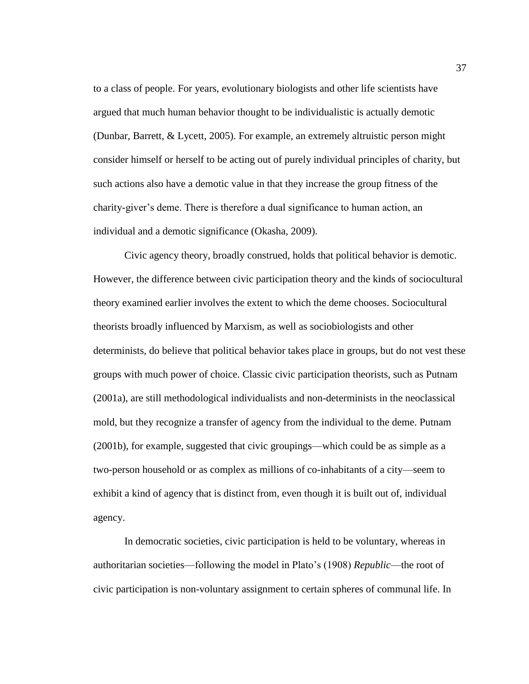to a class of people. For years, evolutionary biologists and other life scientists have argued that much human behavior thought to be individualistic is actually demotic (Dunbar, Barrett, & Lycett, 2005). For example, an extremely altruistic person might consider himself or herself to be acting out of purely individual principles of charity, but such actions also have a demotic value in that they increase the group fitness of the charity-giver's deme. There is therefore a dual significance to human action, an individual and a demotic significance (Okasha, 2009).

Civic agency theory, broadly construed, holds that political behavior is demotic. However, the difference between civic participation theory and the kinds of sociocultural theory examined earlier involves the extent to which the deme chooses. Sociocultural theorists broadly influenced by Marxism, as well as sociobiologists and other determinists, do believe that political behavior takes place in groups, but do not vest these groups with much power of choice. Classic civic participation theorists, such as Putnam (2001a), are still methodological individualists and non-determinists in the neoclassical mold, but they recognize a transfer of agency from the individual to the deme. Putnam (2001b), for example, suggested that civic groupings—which could be as simple as a two-person household or as complex as millions of co-inhabitants of a city—seem to exhibit a kind of agency that is distinct from, even though it is built out of, individual agency.

In democratic societies, civic participation is held to be voluntary, whereas in authoritarian societies—following the model in Plato's (1908) *Republic*—the root of civic participation is non-voluntary assignment to certain spheres of communal life. In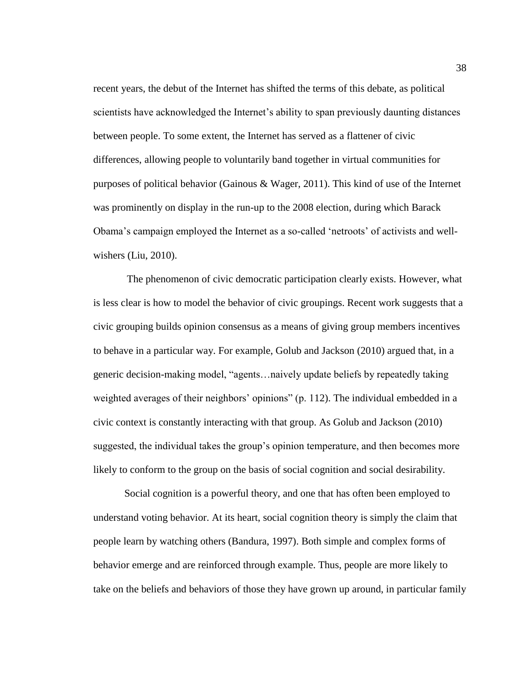recent years, the debut of the Internet has shifted the terms of this debate, as political scientists have acknowledged the Internet's ability to span previously daunting distances between people. To some extent, the Internet has served as a flattener of civic differences, allowing people to voluntarily band together in virtual communities for purposes of political behavior (Gainous & Wager, 2011). This kind of use of the Internet was prominently on display in the run-up to the 2008 election, during which Barack Obama's campaign employed the Internet as a so-called 'netroots' of activists and wellwishers (Liu, 2010).

The phenomenon of civic democratic participation clearly exists. However, what is less clear is how to model the behavior of civic groupings. Recent work suggests that a civic grouping builds opinion consensus as a means of giving group members incentives to behave in a particular way. For example, Golub and Jackson (2010) argued that, in a generic decision-making model, "agents…naively update beliefs by repeatedly taking weighted averages of their neighbors' opinions" (p. 112). The individual embedded in a civic context is constantly interacting with that group. As Golub and Jackson (2010) suggested, the individual takes the group's opinion temperature, and then becomes more likely to conform to the group on the basis of social cognition and social desirability.

Social cognition is a powerful theory, and one that has often been employed to understand voting behavior. At its heart, social cognition theory is simply the claim that people learn by watching others (Bandura, 1997). Both simple and complex forms of behavior emerge and are reinforced through example. Thus, people are more likely to take on the beliefs and behaviors of those they have grown up around, in particular family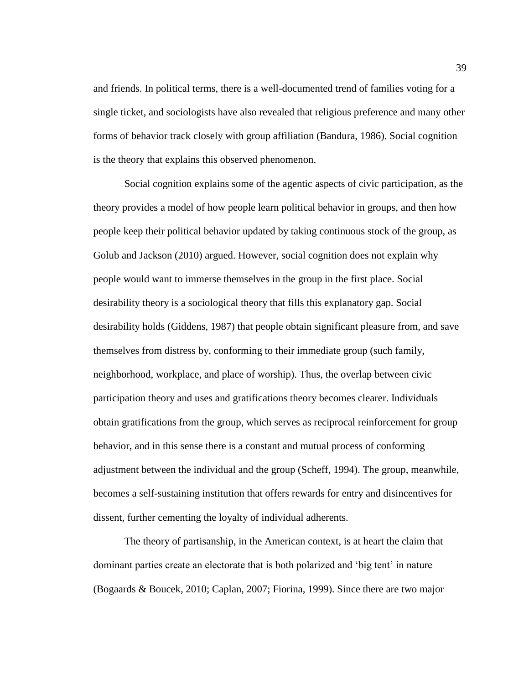and friends. In political terms, there is a well-documented trend of families voting for a single ticket, and sociologists have also revealed that religious preference and many other forms of behavior track closely with group affiliation (Bandura, 1986). Social cognition is the theory that explains this observed phenomenon.

Social cognition explains some of the agentic aspects of civic participation, as the theory provides a model of how people learn political behavior in groups, and then how people keep their political behavior updated by taking continuous stock of the group, as Golub and Jackson (2010) argued. However, social cognition does not explain why people would want to immerse themselves in the group in the first place. Social desirability theory is a sociological theory that fills this explanatory gap. Social desirability holds (Giddens, 1987) that people obtain significant pleasure from, and save themselves from distress by, conforming to their immediate group (such family, neighborhood, workplace, and place of worship). Thus, the overlap between civic participation theory and uses and gratifications theory becomes clearer. Individuals obtain gratifications from the group, which serves as reciprocal reinforcement for group behavior, and in this sense there is a constant and mutual process of conforming adjustment between the individual and the group (Scheff, 1994). The group, meanwhile, becomes a self-sustaining institution that offers rewards for entry and disincentives for dissent, further cementing the loyalty of individual adherents.

The theory of partisanship, in the American context, is at heart the claim that dominant parties create an electorate that is both polarized and 'big tent' in nature (Bogaards & Boucek, 2010; Caplan, 2007; Fiorina, 1999). Since there are two major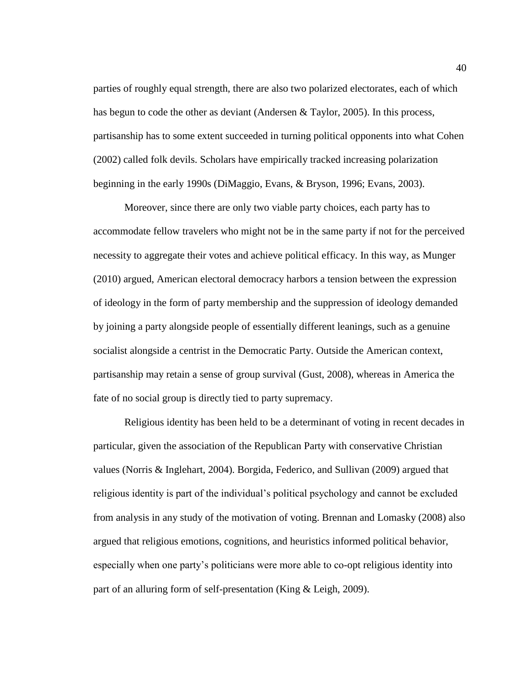parties of roughly equal strength, there are also two polarized electorates, each of which has begun to code the other as deviant (Andersen & Taylor, 2005). In this process, partisanship has to some extent succeeded in turning political opponents into what Cohen (2002) called folk devils. Scholars have empirically tracked increasing polarization beginning in the early 1990s (DiMaggio, Evans, & Bryson, 1996; Evans, 2003).

Moreover, since there are only two viable party choices, each party has to accommodate fellow travelers who might not be in the same party if not for the perceived necessity to aggregate their votes and achieve political efficacy. In this way, as Munger (2010) argued, American electoral democracy harbors a tension between the expression of ideology in the form of party membership and the suppression of ideology demanded by joining a party alongside people of essentially different leanings, such as a genuine socialist alongside a centrist in the Democratic Party. Outside the American context, partisanship may retain a sense of group survival (Gust, 2008), whereas in America the fate of no social group is directly tied to party supremacy.

Religious identity has been held to be a determinant of voting in recent decades in particular, given the association of the Republican Party with conservative Christian values (Norris & Inglehart, 2004). Borgida, Federico, and Sullivan (2009) argued that religious identity is part of the individual's political psychology and cannot be excluded from analysis in any study of the motivation of voting. Brennan and Lomasky (2008) also argued that religious emotions, cognitions, and heuristics informed political behavior, especially when one party's politicians were more able to co-opt religious identity into part of an alluring form of self-presentation (King & Leigh, 2009).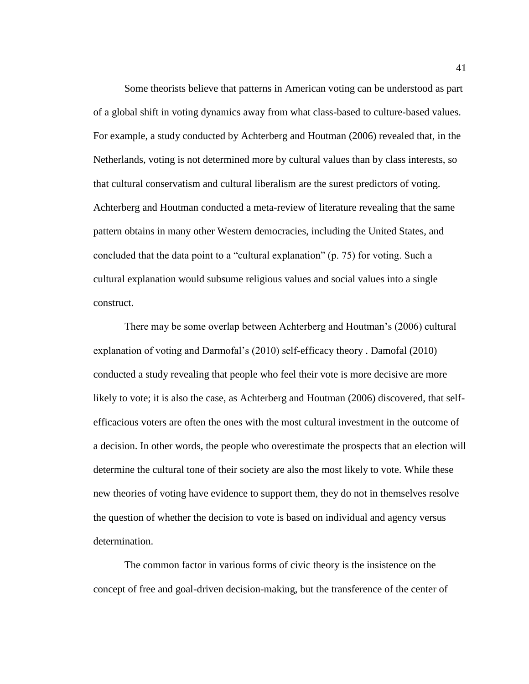Some theorists believe that patterns in American voting can be understood as part of a global shift in voting dynamics away from what class-based to culture-based values. For example, a study conducted by Achterberg and Houtman (2006) revealed that, in the Netherlands, voting is not determined more by cultural values than by class interests, so that cultural conservatism and cultural liberalism are the surest predictors of voting. Achterberg and Houtman conducted a meta-review of literature revealing that the same pattern obtains in many other Western democracies, including the United States, and concluded that the data point to a "cultural explanation" (p. 75) for voting. Such a cultural explanation would subsume religious values and social values into a single construct.

There may be some overlap between Achterberg and Houtman's (2006) cultural explanation of voting and Darmofal's (2010) self-efficacy theory . Damofal (2010) conducted a study revealing that people who feel their vote is more decisive are more likely to vote; it is also the case, as Achterberg and Houtman (2006) discovered, that selfefficacious voters are often the ones with the most cultural investment in the outcome of a decision. In other words, the people who overestimate the prospects that an election will determine the cultural tone of their society are also the most likely to vote. While these new theories of voting have evidence to support them, they do not in themselves resolve the question of whether the decision to vote is based on individual and agency versus determination.

The common factor in various forms of civic theory is the insistence on the concept of free and goal-driven decision-making, but the transference of the center of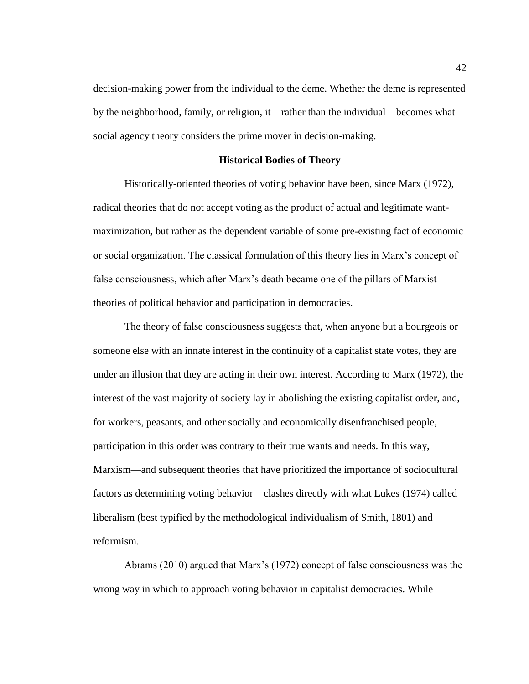decision-making power from the individual to the deme. Whether the deme is represented by the neighborhood, family, or religion, it—rather than the individual—becomes what social agency theory considers the prime mover in decision-making.

## **Historical Bodies of Theory**

Historically-oriented theories of voting behavior have been, since Marx (1972), radical theories that do not accept voting as the product of actual and legitimate wantmaximization, but rather as the dependent variable of some pre-existing fact of economic or social organization. The classical formulation of this theory lies in Marx's concept of false consciousness, which after Marx's death became one of the pillars of Marxist theories of political behavior and participation in democracies.

The theory of false consciousness suggests that, when anyone but a bourgeois or someone else with an innate interest in the continuity of a capitalist state votes, they are under an illusion that they are acting in their own interest. According to Marx (1972), the interest of the vast majority of society lay in abolishing the existing capitalist order, and, for workers, peasants, and other socially and economically disenfranchised people, participation in this order was contrary to their true wants and needs. In this way, Marxism—and subsequent theories that have prioritized the importance of sociocultural factors as determining voting behavior—clashes directly with what Lukes (1974) called liberalism (best typified by the methodological individualism of Smith, 1801) and reformism.

Abrams (2010) argued that Marx's (1972) concept of false consciousness was the wrong way in which to approach voting behavior in capitalist democracies. While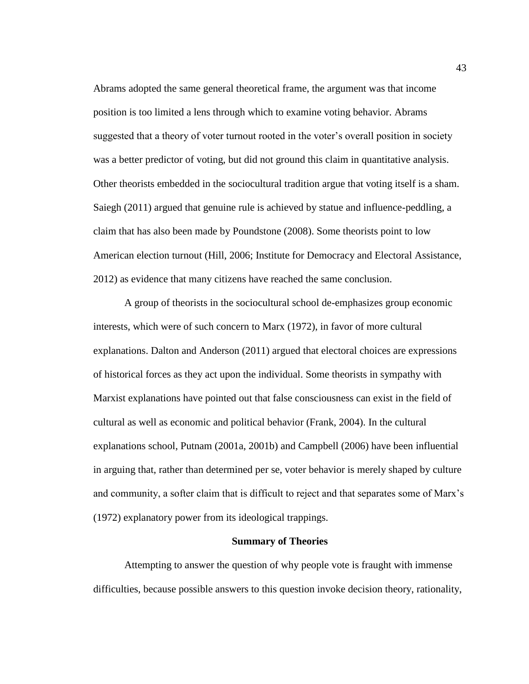Abrams adopted the same general theoretical frame, the argument was that income position is too limited a lens through which to examine voting behavior. Abrams suggested that a theory of voter turnout rooted in the voter's overall position in society was a better predictor of voting, but did not ground this claim in quantitative analysis. Other theorists embedded in the sociocultural tradition argue that voting itself is a sham. Saiegh (2011) argued that genuine rule is achieved by statue and influence-peddling, a claim that has also been made by Poundstone (2008). Some theorists point to low American election turnout (Hill, 2006; Institute for Democracy and Electoral Assistance, 2012) as evidence that many citizens have reached the same conclusion.

A group of theorists in the sociocultural school de-emphasizes group economic interests, which were of such concern to Marx (1972), in favor of more cultural explanations. Dalton and Anderson (2011) argued that electoral choices are expressions of historical forces as they act upon the individual. Some theorists in sympathy with Marxist explanations have pointed out that false consciousness can exist in the field of cultural as well as economic and political behavior (Frank, 2004). In the cultural explanations school, Putnam (2001a, 2001b) and Campbell (2006) have been influential in arguing that, rather than determined per se, voter behavior is merely shaped by culture and community, a softer claim that is difficult to reject and that separates some of Marx's (1972) explanatory power from its ideological trappings.

# **Summary of Theories**

Attempting to answer the question of why people vote is fraught with immense difficulties, because possible answers to this question invoke decision theory, rationality,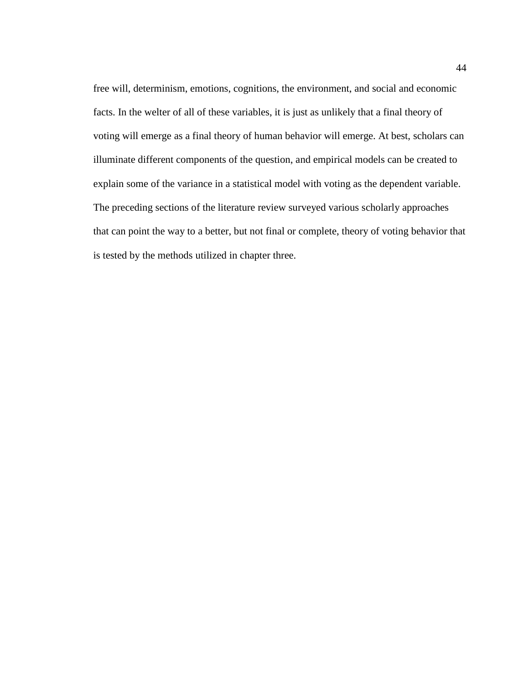free will, determinism, emotions, cognitions, the environment, and social and economic facts. In the welter of all of these variables, it is just as unlikely that a final theory of voting will emerge as a final theory of human behavior will emerge. At best, scholars can illuminate different components of the question, and empirical models can be created to explain some of the variance in a statistical model with voting as the dependent variable. The preceding sections of the literature review surveyed various scholarly approaches that can point the way to a better, but not final or complete, theory of voting behavior that is tested by the methods utilized in chapter three.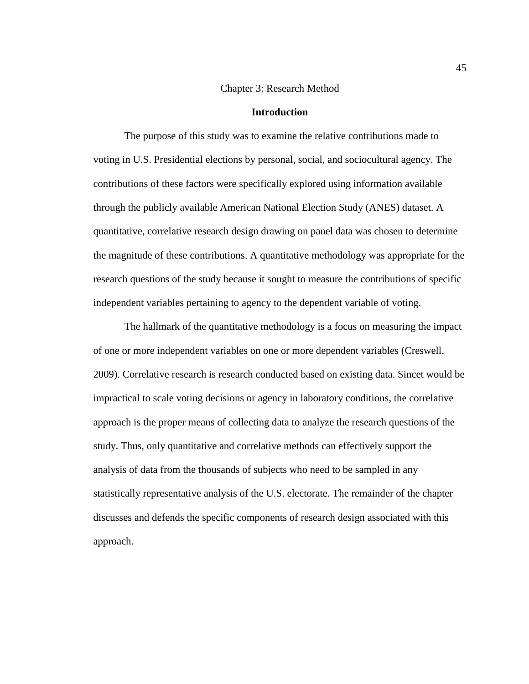#### Chapter 3: Research Method

#### **Introduction**

The purpose of this study was to examine the relative contributions made to voting in U.S. Presidential elections by personal, social, and sociocultural agency. The contributions of these factors were specifically explored using information available through the publicly available American National Election Study (ANES) dataset. A quantitative, correlative research design drawing on panel data was chosen to determine the magnitude of these contributions. A quantitative methodology was appropriate for the research questions of the study because it sought to measure the contributions of specific independent variables pertaining to agency to the dependent variable of voting.

The hallmark of the quantitative methodology is a focus on measuring the impact of one or more independent variables on one or more dependent variables (Creswell, 2009). Correlative research is research conducted based on existing data. Sincet would be impractical to scale voting decisions or agency in laboratory conditions, the correlative approach is the proper means of collecting data to analyze the research questions of the study. Thus, only quantitative and correlative methods can effectively support the analysis of data from the thousands of subjects who need to be sampled in any statistically representative analysis of the U.S. electorate. The remainder of the chapter discusses and defends the specific components of research design associated with this approach.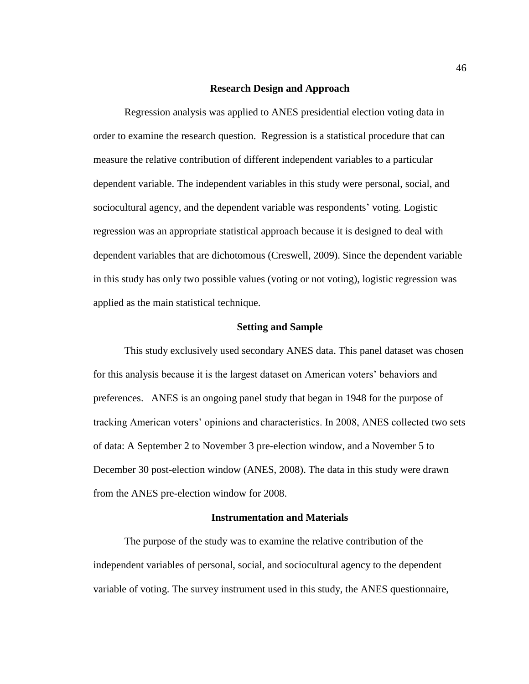#### **Research Design and Approach**

Regression analysis was applied to ANES presidential election voting data in order to examine the research question. Regression is a statistical procedure that can measure the relative contribution of different independent variables to a particular dependent variable. The independent variables in this study were personal, social, and sociocultural agency, and the dependent variable was respondents' voting. Logistic regression was an appropriate statistical approach because it is designed to deal with dependent variables that are dichotomous (Creswell, 2009). Since the dependent variable in this study has only two possible values (voting or not voting), logistic regression was applied as the main statistical technique.

## **Setting and Sample**

This study exclusively used secondary ANES data. This panel dataset was chosen for this analysis because it is the largest dataset on American voters' behaviors and preferences. ANES is an ongoing panel study that began in 1948 for the purpose of tracking American voters' opinions and characteristics. In 2008, ANES collected two sets of data: A September 2 to November 3 pre-election window, and a November 5 to December 30 post-election window (ANES, 2008). The data in this study were drawn from the ANES pre-election window for 2008.

## **Instrumentation and Materials**

The purpose of the study was to examine the relative contribution of the independent variables of personal, social, and sociocultural agency to the dependent variable of voting. The survey instrument used in this study, the ANES questionnaire,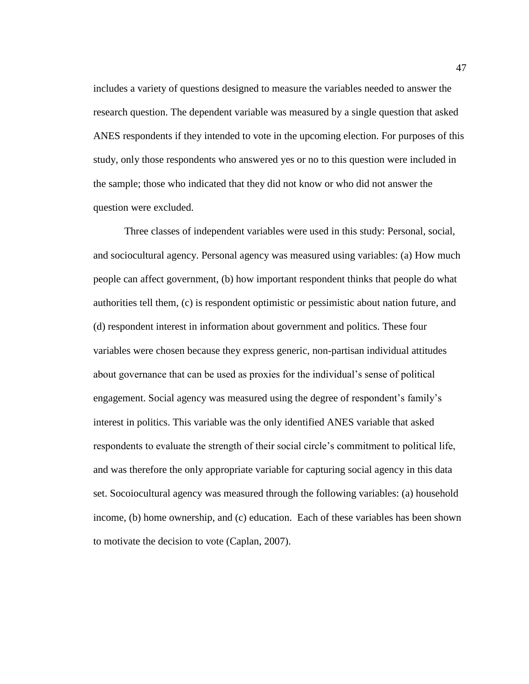includes a variety of questions designed to measure the variables needed to answer the research question. The dependent variable was measured by a single question that asked ANES respondents if they intended to vote in the upcoming election. For purposes of this study, only those respondents who answered yes or no to this question were included in the sample; those who indicated that they did not know or who did not answer the question were excluded.

Three classes of independent variables were used in this study: Personal, social, and sociocultural agency. Personal agency was measured using variables: (a) How much people can affect government, (b) how important respondent thinks that people do what authorities tell them, (c) is respondent optimistic or pessimistic about nation future, and (d) respondent interest in information about government and politics. These four variables were chosen because they express generic, non-partisan individual attitudes about governance that can be used as proxies for the individual's sense of political engagement. Social agency was measured using the degree of respondent's family's interest in politics. This variable was the only identified ANES variable that asked respondents to evaluate the strength of their social circle's commitment to political life, and was therefore the only appropriate variable for capturing social agency in this data set. Socoiocultural agency was measured through the following variables: (a) household income, (b) home ownership, and (c) education. Each of these variables has been shown to motivate the decision to vote (Caplan, 2007).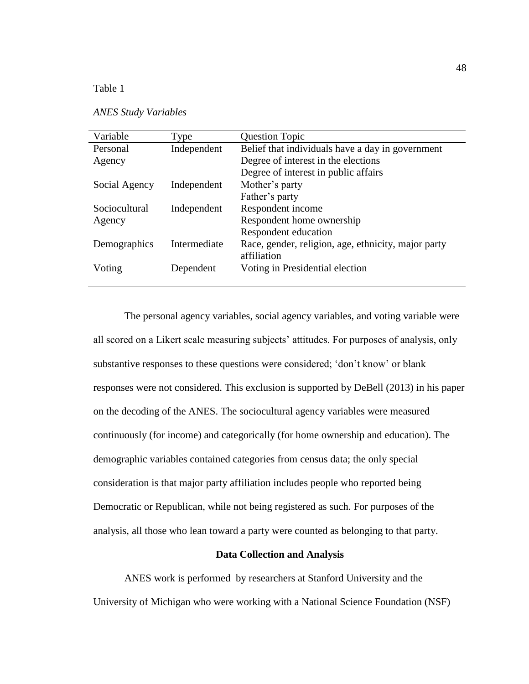# Table 1

# *ANES Study Variables*

| Variable      | Type         | <b>Question Topic</b>                               |
|---------------|--------------|-----------------------------------------------------|
| Personal      | Independent  | Belief that individuals have a day in government    |
| Agency        |              | Degree of interest in the elections                 |
|               |              | Degree of interest in public affairs                |
| Social Agency | Independent  | Mother's party                                      |
|               |              | Father's party                                      |
| Sociocultural | Independent  | Respondent income                                   |
| Agency        |              | Respondent home ownership                           |
|               |              | Respondent education                                |
| Demographics  | Intermediate | Race, gender, religion, age, ethnicity, major party |
|               |              | affiliation                                         |
| Voting        | Dependent    | Voting in Presidential election                     |
|               |              |                                                     |
|               |              |                                                     |

The personal agency variables, social agency variables, and voting variable were all scored on a Likert scale measuring subjects' attitudes. For purposes of analysis, only substantive responses to these questions were considered; 'don't know' or blank responses were not considered. This exclusion is supported by DeBell (2013) in his paper on the decoding of the ANES. The sociocultural agency variables were measured continuously (for income) and categorically (for home ownership and education). The demographic variables contained categories from census data; the only special consideration is that major party affiliation includes people who reported being Democratic or Republican, while not being registered as such. For purposes of the analysis, all those who lean toward a party were counted as belonging to that party.

# **Data Collection and Analysis**

ANES work is performed by researchers at Stanford University and the University of Michigan who were working with a National Science Foundation (NSF)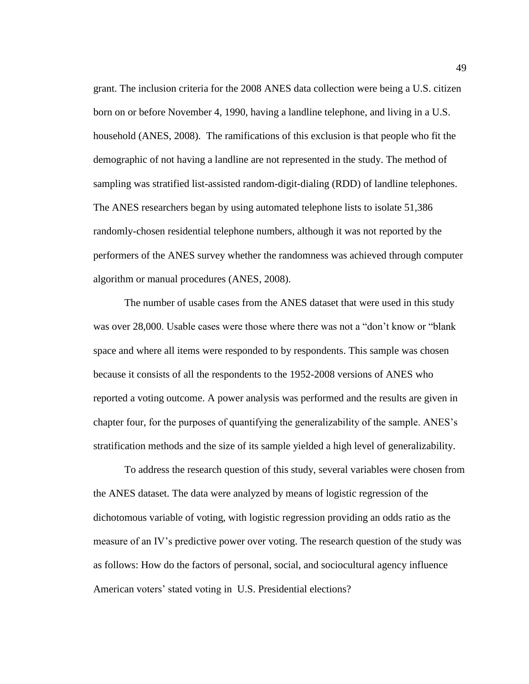grant. The inclusion criteria for the 2008 ANES data collection were being a U.S. citizen born on or before November 4, 1990, having a landline telephone, and living in a U.S. household (ANES, 2008). The ramifications of this exclusion is that people who fit the demographic of not having a landline are not represented in the study. The method of sampling was stratified list-assisted random-digit-dialing (RDD) of landline telephones. The ANES researchers began by using automated telephone lists to isolate 51,386 randomly-chosen residential telephone numbers, although it was not reported by the performers of the ANES survey whether the randomness was achieved through computer algorithm or manual procedures (ANES, 2008).

The number of usable cases from the ANES dataset that were used in this study was over 28,000. Usable cases were those where there was not a "don't know or "blank space and where all items were responded to by respondents. This sample was chosen because it consists of all the respondents to the 1952-2008 versions of ANES who reported a voting outcome. A power analysis was performed and the results are given in chapter four, for the purposes of quantifying the generalizability of the sample. ANES's stratification methods and the size of its sample yielded a high level of generalizability.

To address the research question of this study, several variables were chosen from the ANES dataset. The data were analyzed by means of logistic regression of the dichotomous variable of voting, with logistic regression providing an odds ratio as the measure of an IV's predictive power over voting. The research question of the study was as follows: How do the factors of personal, social, and sociocultural agency influence American voters' stated voting in U.S. Presidential elections?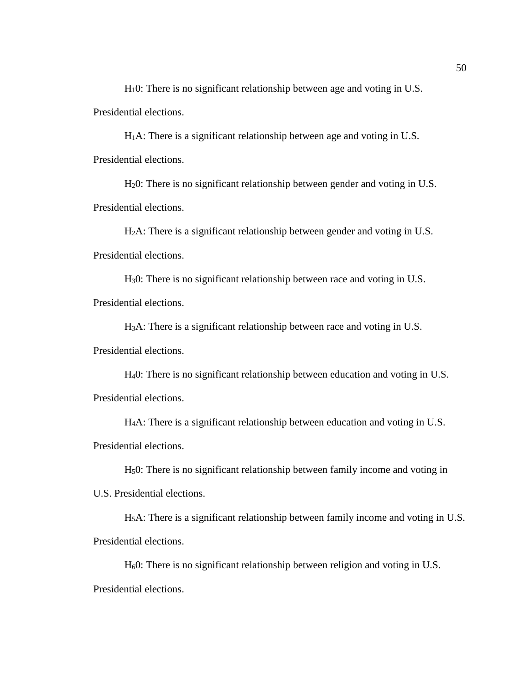H10: There is no significant relationship between age and voting in U.S. Presidential elections.

 $H_1A$ : There is a significant relationship between age and voting in U.S. Presidential elections.

H20: There is no significant relationship between gender and voting in U.S. Presidential elections.

H2A: There is a significant relationship between gender and voting in U.S. Presidential elections.

H30: There is no significant relationship between race and voting in U.S. Presidential elections.

H3A: There is a significant relationship between race and voting in U.S. Presidential elections.

H40: There is no significant relationship between education and voting in U.S. Presidential elections.

H4A: There is a significant relationship between education and voting in U.S. Presidential elections.

H50: There is no significant relationship between family income and voting in

U.S. Presidential elections.

H5A: There is a significant relationship between family income and voting in U.S. Presidential elections.

H60: There is no significant relationship between religion and voting in U.S. Presidential elections.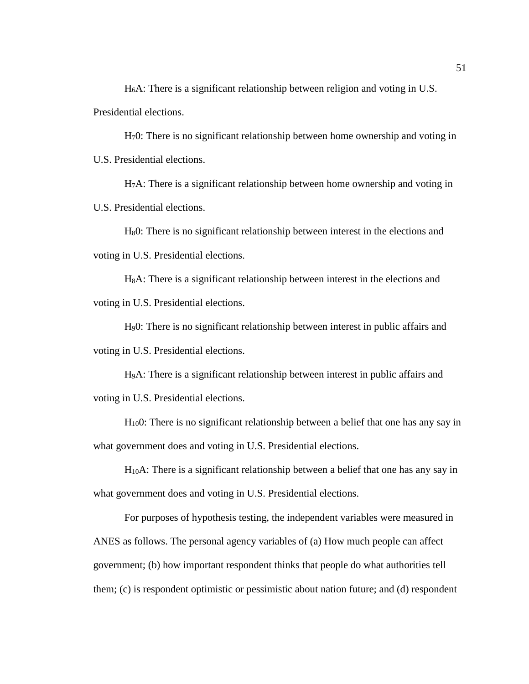H6A: There is a significant relationship between religion and voting in U.S. Presidential elections.

H70: There is no significant relationship between home ownership and voting in U.S. Presidential elections.

H7A: There is a significant relationship between home ownership and voting in U.S. Presidential elections.

H80: There is no significant relationship between interest in the elections and voting in U.S. Presidential elections.

H8A: There is a significant relationship between interest in the elections and voting in U.S. Presidential elections.

H90: There is no significant relationship between interest in public affairs and voting in U.S. Presidential elections.

H9A: There is a significant relationship between interest in public affairs and voting in U.S. Presidential elections.

H100: There is no significant relationship between a belief that one has any say in what government does and voting in U.S. Presidential elections.

H10A: There is a significant relationship between a belief that one has any say in what government does and voting in U.S. Presidential elections.

For purposes of hypothesis testing, the independent variables were measured in ANES as follows. The personal agency variables of (a) How much people can affect government; (b) how important respondent thinks that people do what authorities tell them; (c) is respondent optimistic or pessimistic about nation future; and (d) respondent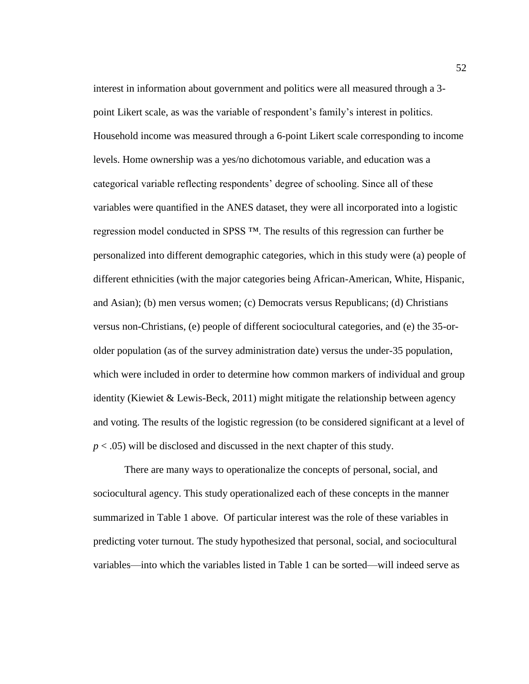interest in information about government and politics were all measured through a 3 point Likert scale, as was the variable of respondent's family's interest in politics. Household income was measured through a 6-point Likert scale corresponding to income levels. Home ownership was a yes/no dichotomous variable, and education was a categorical variable reflecting respondents' degree of schooling. Since all of these variables were quantified in the ANES dataset, they were all incorporated into a logistic regression model conducted in SPSS ™. The results of this regression can further be personalized into different demographic categories, which in this study were (a) people of different ethnicities (with the major categories being African-American, White, Hispanic, and Asian); (b) men versus women; (c) Democrats versus Republicans; (d) Christians versus non-Christians, (e) people of different sociocultural categories, and (e) the 35-orolder population (as of the survey administration date) versus the under-35 population, which were included in order to determine how common markers of individual and group identity (Kiewiet & Lewis-Beck, 2011) might mitigate the relationship between agency and voting. The results of the logistic regression (to be considered significant at a level of *p* < .05) will be disclosed and discussed in the next chapter of this study.

There are many ways to operationalize the concepts of personal, social, and sociocultural agency. This study operationalized each of these concepts in the manner summarized in Table 1 above. Of particular interest was the role of these variables in predicting voter turnout. The study hypothesized that personal, social, and sociocultural variables—into which the variables listed in Table 1 can be sorted—will indeed serve as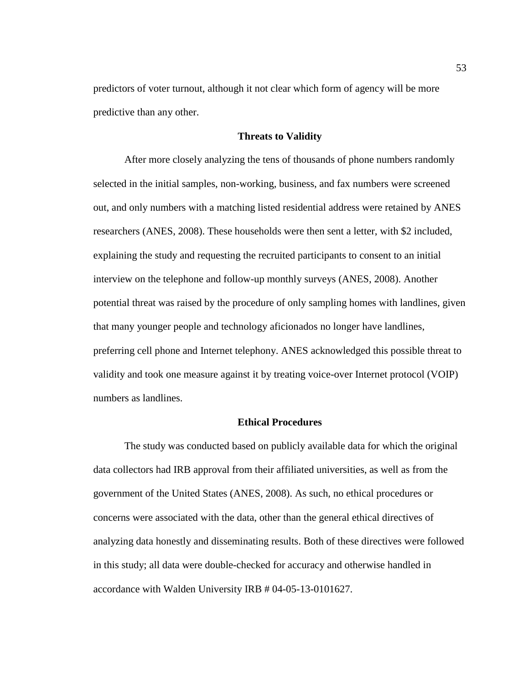predictors of voter turnout, although it not clear which form of agency will be more predictive than any other.

## **Threats to Validity**

After more closely analyzing the tens of thousands of phone numbers randomly selected in the initial samples, non-working, business, and fax numbers were screened out, and only numbers with a matching listed residential address were retained by ANES researchers (ANES, 2008). These households were then sent a letter, with \$2 included, explaining the study and requesting the recruited participants to consent to an initial interview on the telephone and follow-up monthly surveys (ANES, 2008). Another potential threat was raised by the procedure of only sampling homes with landlines, given that many younger people and technology aficionados no longer have landlines, preferring cell phone and Internet telephony. ANES acknowledged this possible threat to validity and took one measure against it by treating voice-over Internet protocol (VOIP) numbers as landlines.

## **Ethical Procedures**

The study was conducted based on publicly available data for which the original data collectors had IRB approval from their affiliated universities, as well as from the government of the United States (ANES, 2008). As such, no ethical procedures or concerns were associated with the data, other than the general ethical directives of analyzing data honestly and disseminating results. Both of these directives were followed in this study; all data were double-checked for accuracy and otherwise handled in accordance with Walden University IRB # 04-05-13-0101627.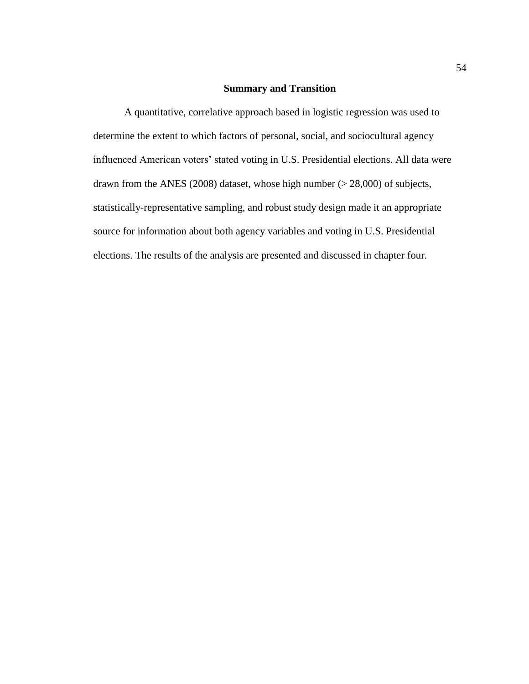# **Summary and Transition**

A quantitative, correlative approach based in logistic regression was used to determine the extent to which factors of personal, social, and sociocultural agency influenced American voters' stated voting in U.S. Presidential elections. All data were drawn from the ANES (2008) dataset, whose high number (> 28,000) of subjects, statistically-representative sampling, and robust study design made it an appropriate source for information about both agency variables and voting in U.S. Presidential elections. The results of the analysis are presented and discussed in chapter four.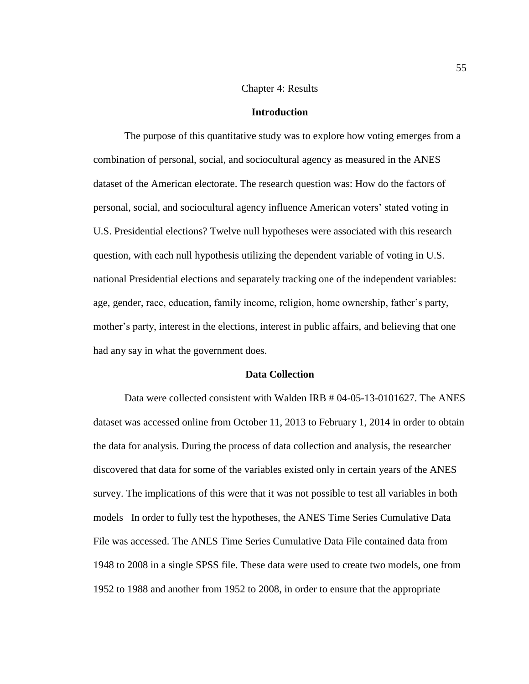## Chapter 4: Results

## **Introduction**

The purpose of this quantitative study was to explore how voting emerges from a combination of personal, social, and sociocultural agency as measured in the ANES dataset of the American electorate. The research question was: How do the factors of personal, social, and sociocultural agency influence American voters' stated voting in U.S. Presidential elections? Twelve null hypotheses were associated with this research question, with each null hypothesis utilizing the dependent variable of voting in U.S. national Presidential elections and separately tracking one of the independent variables: age, gender, race, education, family income, religion, home ownership, father's party, mother's party, interest in the elections, interest in public affairs, and believing that one had any say in what the government does.

## **Data Collection**

Data were collected consistent with Walden IRB # 04-05-13-0101627. The ANES dataset was accessed online from October 11, 2013 to February 1, 2014 in order to obtain the data for analysis. During the process of data collection and analysis, the researcher discovered that data for some of the variables existed only in certain years of the ANES survey. The implications of this were that it was not possible to test all variables in both models In order to fully test the hypotheses, the ANES Time Series Cumulative Data File was accessed. The ANES Time Series Cumulative Data File contained data from 1948 to 2008 in a single SPSS file. These data were used to create two models, one from 1952 to 1988 and another from 1952 to 2008, in order to ensure that the appropriate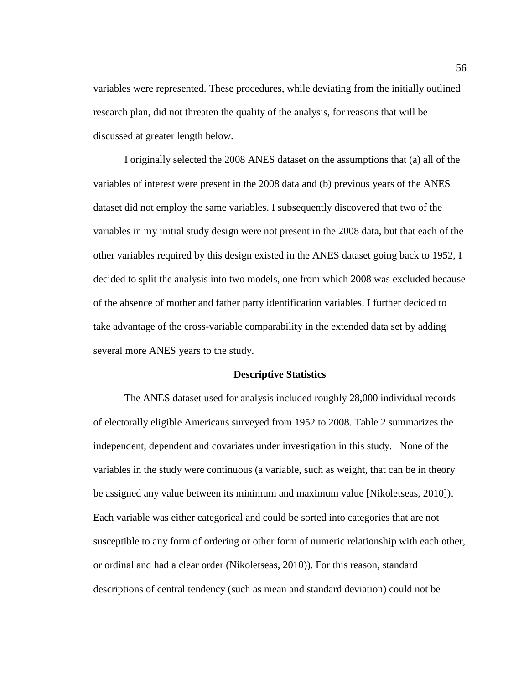variables were represented. These procedures, while deviating from the initially outlined research plan, did not threaten the quality of the analysis, for reasons that will be discussed at greater length below.

I originally selected the 2008 ANES dataset on the assumptions that (a) all of the variables of interest were present in the 2008 data and (b) previous years of the ANES dataset did not employ the same variables. I subsequently discovered that two of the variables in my initial study design were not present in the 2008 data, but that each of the other variables required by this design existed in the ANES dataset going back to 1952, I decided to split the analysis into two models, one from which 2008 was excluded because of the absence of mother and father party identification variables. I further decided to take advantage of the cross-variable comparability in the extended data set by adding several more ANES years to the study.

## **Descriptive Statistics**

The ANES dataset used for analysis included roughly 28,000 individual records of electorally eligible Americans surveyed from 1952 to 2008. Table 2 summarizes the independent, dependent and covariates under investigation in this study. None of the variables in the study were continuous (a variable, such as weight, that can be in theory be assigned any value between its minimum and maximum value [Nikoletseas, 2010]). Each variable was either categorical and could be sorted into categories that are not susceptible to any form of ordering or other form of numeric relationship with each other, or ordinal and had a clear order (Nikoletseas, 2010)). For this reason, standard descriptions of central tendency (such as mean and standard deviation) could not be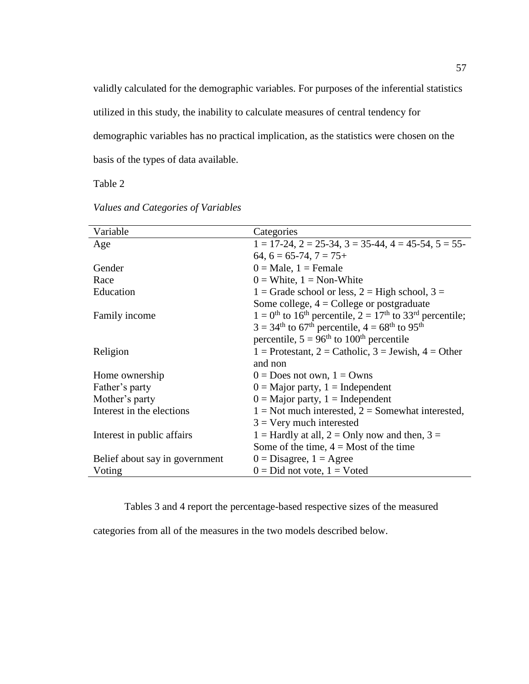validly calculated for the demographic variables. For purposes of the inferential statistics

utilized in this study, the inability to calculate measures of central tendency for

demographic variables has no practical implication, as the statistics were chosen on the

basis of the types of data available.

Table 2

| Variable                       | Categories                                                                                                   |  |
|--------------------------------|--------------------------------------------------------------------------------------------------------------|--|
| Age                            | $1 = 17-24$ , $2 = 25-34$ , $3 = 35-44$ , $4 = 45-54$ , $5 = 55-$                                            |  |
|                                | $64, 6 = 65-74, 7 = 75+$                                                                                     |  |
| Gender                         | $0 = Male$ , $1 = Female$                                                                                    |  |
| Race                           | $0 =$ White, $1 =$ Non-White                                                                                 |  |
| Education                      | 1 = Grade school or less, 2 = High school, 3 =                                                               |  |
|                                | Some college, $4 =$ College or postgraduate                                                                  |  |
|                                | $1 = 0$ <sup>th</sup> to 16 <sup>th</sup> percentile, $2 = 17$ <sup>th</sup> to 33 <sup>rd</sup> percentile; |  |
| Family income                  | $3 = 34^{\text{th}}$ to 67 <sup>th</sup> percentile, $4 = 68^{\text{th}}$ to 95 <sup>th</sup>                |  |
|                                |                                                                                                              |  |
|                                | percentile, $5 = 96th$ to $100th$ percentile                                                                 |  |
| Religion                       | 1 = Protestant, 2 = Catholic, 3 = Jewish, 4 = Other                                                          |  |
|                                | and non                                                                                                      |  |
| Home ownership                 | $0 = Does not own, 1 = Owns$                                                                                 |  |
| Father's party                 | $0 =$ Major party, 1 = Independent                                                                           |  |
| Mother's party                 | $0 =$ Major party, 1 = Independent                                                                           |  |
| Interest in the elections      | $1 =$ Not much interested, $2 =$ Somewhat interested,                                                        |  |
|                                | $3 =$ Very much interested                                                                                   |  |
| Interest in public affairs     | 1 = Hardly at all, 2 = Only now and then, 3 =                                                                |  |
|                                | Some of the time, $4 =$ Most of the time                                                                     |  |
| Belief about say in government | $0 = Disagree, 1 = Agree$                                                                                    |  |
| Voting                         | $0 = Did$ not vote, $1 = V$ oted                                                                             |  |

*Values and Categories of Variables*

Tables 3 and 4 report the percentage-based respective sizes of the measured

categories from all of the measures in the two models described below.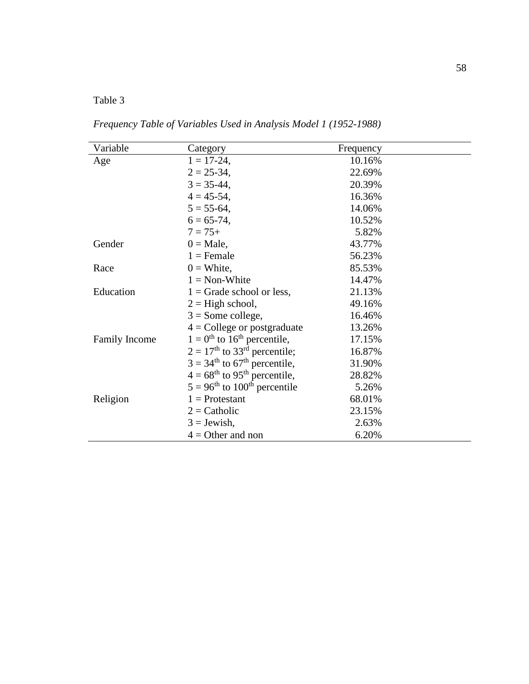# Table 3

*Frequency Table of Variables Used in Analysis Model 1 (1952-1988)*

| Variable             | Category                                              | Frequency |  |
|----------------------|-------------------------------------------------------|-----------|--|
|                      | $1 = 17 - 24$ ,                                       | 10.16%    |  |
| Age                  | $2 = 25 - 34$ ,                                       | 22.69%    |  |
|                      |                                                       |           |  |
|                      | $3 = 35 - 44$ ,                                       | 20.39%    |  |
|                      | $4 = 45 - 54$ ,                                       | 16.36%    |  |
|                      | $5 = 55-64$ ,                                         | 14.06%    |  |
|                      | $6 = 65 - 74$ ,                                       | 10.52%    |  |
|                      | $7 = 75+$                                             | 5.82%     |  |
| Gender               | $0 = Male$ ,                                          | 43.77%    |  |
|                      | $1 =$ Female                                          | 56.23%    |  |
| Race                 | $0 =$ White,                                          | 85.53%    |  |
|                      | $1 = \text{Non-White}$                                | 14.47%    |  |
| Education            | $1 =$ Grade school or less,                           | 21.13%    |  |
|                      | $2 =$ High school,                                    | 49.16%    |  |
|                      | $3 =$ Some college,                                   | 16.46%    |  |
|                      | $4 =$ College or postgraduate                         | 13.26%    |  |
| <b>Family Income</b> | $1 = 0$ <sup>th</sup> to 16 <sup>th</sup> percentile, | 17.15%    |  |
|                      | $2 = 17th$ to 33 <sup>rd</sup> percentile;            | 16.87%    |  |
|                      | $3 = 34th$ to 67 <sup>th</sup> percentile,            | 31.90%    |  |
|                      | $4 = 68^{\text{th}}$ to 95 <sup>th</sup> percentile,  | 28.82%    |  |
|                      | $5 = 96^{\text{th}}$ to $100^{\text{th}}$ percentile  | 5.26%     |  |
| Religion             | $1$ = Protestant                                      | 68.01%    |  |
|                      | $2 =$ Catholic                                        | 23.15%    |  |
|                      | $3 =$ Jewish,                                         | 2.63%     |  |
|                      | $4 =$ Other and non                                   | 6.20%     |  |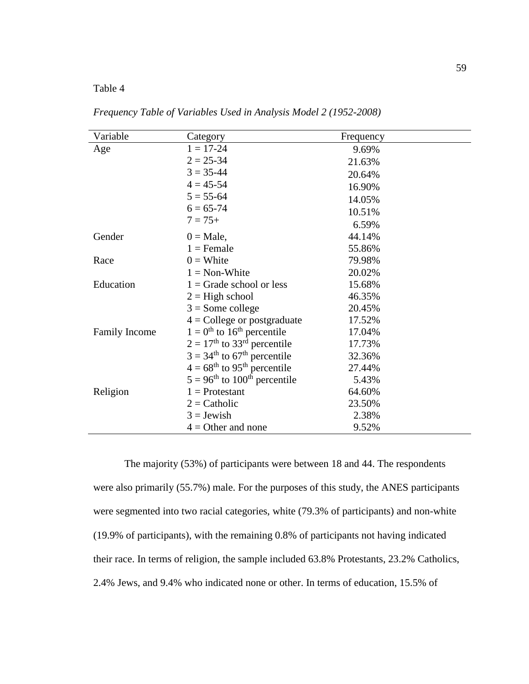# Table 4

| Variable             | Category                                             | Frequency |
|----------------------|------------------------------------------------------|-----------|
| Age                  | $1 = 17 - 24$                                        | 9.69%     |
|                      | $2 = 25 - 34$                                        | 21.63%    |
|                      | $3 = 35 - 44$                                        | 20.64%    |
|                      | $4 = 45 - 54$                                        | 16.90%    |
|                      | $5 = 55-64$                                          | 14.05%    |
|                      | $6 = 65 - 74$                                        | 10.51%    |
|                      | $7 = 75+$                                            | 6.59%     |
| Gender               | $0 = Male$ ,                                         | 44.14%    |
|                      | $1 =$ Female                                         | 55.86%    |
| Race                 | $0 =$ White                                          | 79.98%    |
|                      | $1 = \text{Non-White}$                               | 20.02%    |
| Education            | $1 =$ Grade school or less                           | 15.68%    |
|                      | $2 =$ High school                                    | 46.35%    |
|                      | $3 =$ Some college                                   | 20.45%    |
|                      | $4 =$ College or postgraduate                        | 17.52%    |
| <b>Family Income</b> | $1 = 0$ <sup>th</sup> to 16 <sup>th</sup> percentile | 17.04%    |
|                      | $2 = 17th$ to 33 <sup>rd</sup> percentile            | 17.73%    |
|                      | $3 = 34th$ to 67 <sup>th</sup> percentile            | 32.36%    |
|                      | $4 = 68th$ to 95 <sup>th</sup> percentile            | 27.44%    |
|                      | $5 = 96th$ to 100 <sup>th</sup> percentile           | 5.43%     |
| Religion             | $1 =$ Protestant                                     | 64.60%    |
|                      | $2 =$ Catholic                                       | 23.50%    |
|                      | $3 =$ Jewish                                         | 2.38%     |
|                      | $4 =$ Other and none                                 | 9.52%     |

*Frequency Table of Variables Used in Analysis Model 2 (1952-2008)*

The majority (53%) of participants were between 18 and 44. The respondents were also primarily (55.7%) male. For the purposes of this study, the ANES participants were segmented into two racial categories, white (79.3% of participants) and non-white (19.9% of participants), with the remaining 0.8% of participants not having indicated their race. In terms of religion, the sample included 63.8% Protestants, 23.2% Catholics, 2.4% Jews, and 9.4% who indicated none or other. In terms of education, 15.5% of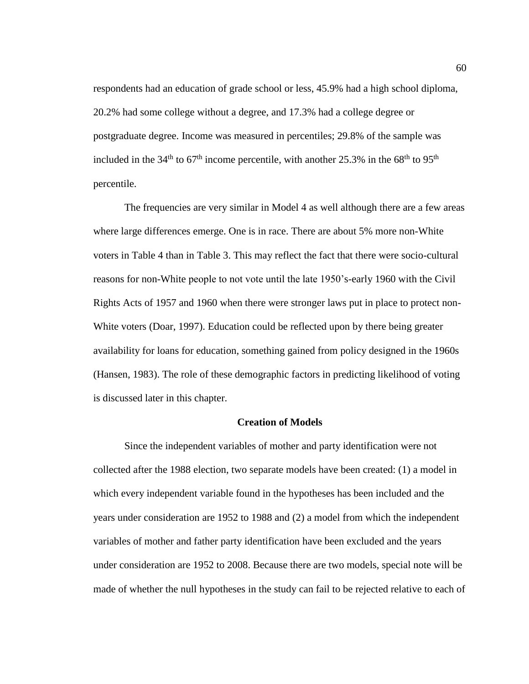respondents had an education of grade school or less, 45.9% had a high school diploma, 20.2% had some college without a degree, and 17.3% had a college degree or postgraduate degree. Income was measured in percentiles; 29.8% of the sample was included in the 34<sup>th</sup> to  $67<sup>th</sup>$  income percentile, with another 25.3% in the  $68<sup>th</sup>$  to 95<sup>th</sup> percentile.

The frequencies are very similar in Model 4 as well although there are a few areas where large differences emerge. One is in race. There are about 5% more non-White voters in Table 4 than in Table 3. This may reflect the fact that there were socio-cultural reasons for non-White people to not vote until the late 1950's-early 1960 with the Civil Rights Acts of 1957 and 1960 when there were stronger laws put in place to protect non-White voters (Doar, 1997). Education could be reflected upon by there being greater availability for loans for education, something gained from policy designed in the 1960s (Hansen, 1983). The role of these demographic factors in predicting likelihood of voting is discussed later in this chapter.

## **Creation of Models**

Since the independent variables of mother and party identification were not collected after the 1988 election, two separate models have been created: (1) a model in which every independent variable found in the hypotheses has been included and the years under consideration are 1952 to 1988 and (2) a model from which the independent variables of mother and father party identification have been excluded and the years under consideration are 1952 to 2008. Because there are two models, special note will be made of whether the null hypotheses in the study can fail to be rejected relative to each of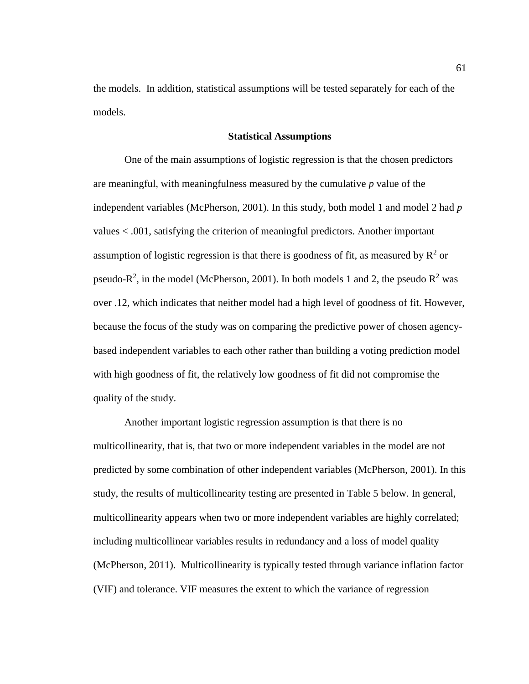the models. In addition, statistical assumptions will be tested separately for each of the models.

#### **Statistical Assumptions**

One of the main assumptions of logistic regression is that the chosen predictors are meaningful, with meaningfulness measured by the cumulative *p* value of the independent variables (McPherson, 2001). In this study, both model 1 and model 2 had *p*  values < .001, satisfying the criterion of meaningful predictors. Another important assumption of logistic regression is that there is goodness of fit, as measured by  $\mathbb{R}^2$  or pseudo- $R^2$ , in the model (McPherson, 2001). In both models 1 and 2, the pseudo  $R^2$  was over .12, which indicates that neither model had a high level of goodness of fit. However, because the focus of the study was on comparing the predictive power of chosen agencybased independent variables to each other rather than building a voting prediction model with high goodness of fit, the relatively low goodness of fit did not compromise the quality of the study.

Another important logistic regression assumption is that there is no multicollinearity, that is, that two or more independent variables in the model are not predicted by some combination of other independent variables (McPherson, 2001). In this study, the results of multicollinearity testing are presented in Table 5 below. In general, multicollinearity appears when two or more independent variables are highly correlated; including multicollinear variables results in redundancy and a loss of model quality (McPherson, 2011). Multicollinearity is typically tested through variance inflation factor (VIF) and tolerance. VIF measures the extent to which the variance of regression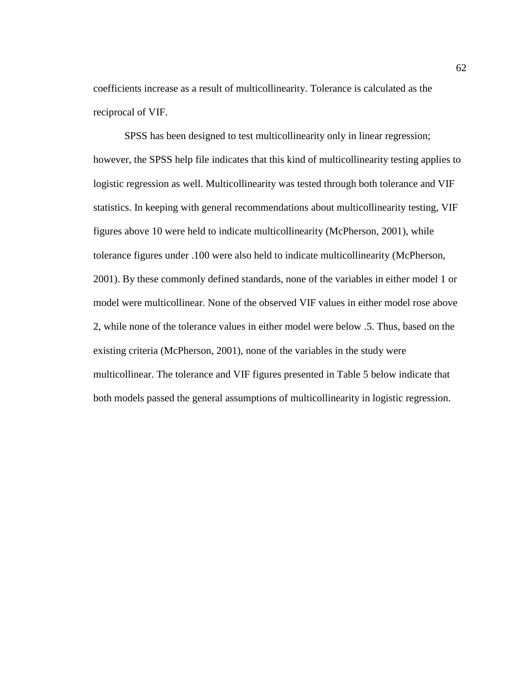coefficients increase as a result of multicollinearity. Tolerance is calculated as the reciprocal of VIF.

SPSS has been designed to test multicollinearity only in linear regression; however, the SPSS help file indicates that this kind of multicollinearity testing applies to logistic regression as well. Multicollinearity was tested through both tolerance and VIF statistics. In keeping with general recommendations about multicollinearity testing, VIF figures above 10 were held to indicate multicollinearity (McPherson, 2001), while tolerance figures under .100 were also held to indicate multicollinearity (McPherson, 2001). By these commonly defined standards, none of the variables in either model 1 or model were multicollinear. None of the observed VIF values in either model rose above 2, while none of the tolerance values in either model were below .5. Thus, based on the existing criteria (McPherson, 2001), none of the variables in the study were multicollinear. The tolerance and VIF figures presented in Table 5 below indicate that both models passed the general assumptions of multicollinearity in logistic regression.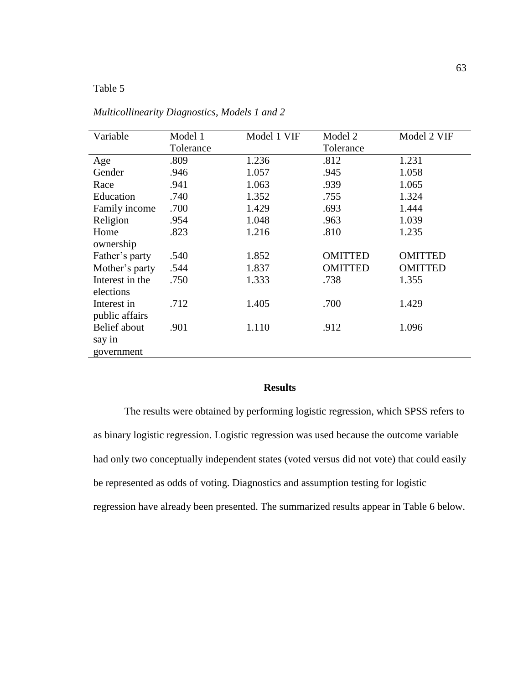# Table 5

| Variable        | Model 1   | Model 1 VIF | Model 2        | Model 2 VIF    |
|-----------------|-----------|-------------|----------------|----------------|
|                 | Tolerance |             | Tolerance      |                |
| Age             | .809      | 1.236       | .812           | 1.231          |
| Gender          | .946      | 1.057       | .945           | 1.058          |
| Race            | .941      | 1.063       | .939           | 1.065          |
| Education       | .740      | 1.352       | .755           | 1.324          |
| Family income   | .700      | 1.429       | .693           | 1.444          |
| Religion        | .954      | 1.048       | .963           | 1.039          |
| Home            | .823      | 1.216       | .810           | 1.235          |
| ownership       |           |             |                |                |
| Father's party  | .540      | 1.852       | <b>OMITTED</b> | <b>OMITTED</b> |
| Mother's party  | .544      | 1.837       | <b>OMITTED</b> | <b>OMITTED</b> |
| Interest in the | .750      | 1.333       | .738           | 1.355          |
| elections       |           |             |                |                |
| Interest in     | .712      | 1.405       | .700           | 1.429          |
| public affairs  |           |             |                |                |
| Belief about    | .901      | 1.110       | .912           | 1.096          |
| say in          |           |             |                |                |
| government      |           |             |                |                |

*Multicollinearity Diagnostics*, *Models 1 and 2*

# **Results**

The results were obtained by performing logistic regression, which SPSS refers to as binary logistic regression. Logistic regression was used because the outcome variable had only two conceptually independent states (voted versus did not vote) that could easily be represented as odds of voting. Diagnostics and assumption testing for logistic regression have already been presented. The summarized results appear in Table 6 below.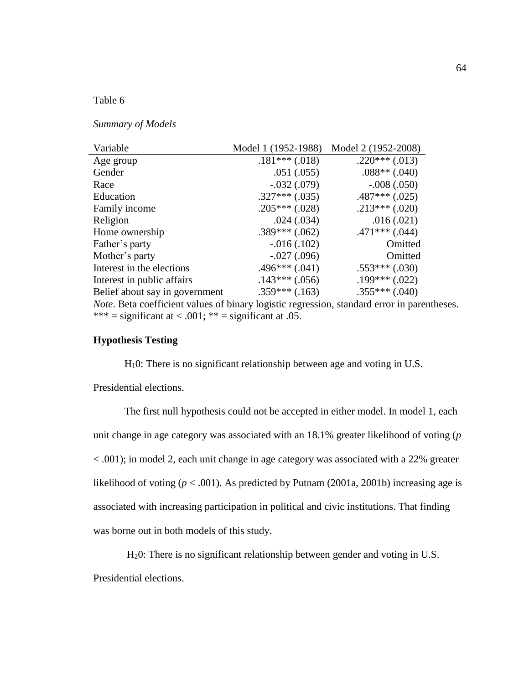# Table 6

### *Summary of Models*

| Variable                       | Model 1 (1952-1988) | Model 2 (1952-2008) |
|--------------------------------|---------------------|---------------------|
| Age group                      | $.181***(.018)$     | $.220***(.013)$     |
| Gender                         | .051(.055)          | $.088**(.040)$      |
| Race                           | $-.032(.079)$       | $-.008(.050)$       |
| Education                      | $.327***$ $(.035)$  | $.487***(.025)$     |
| Family income                  | $.205***(.028)$     | $.213***(.020)$     |
| Religion                       | .024(.034)          | .016(.021)          |
| Home ownership                 | $.389***(.062)$     | $.471***(.044)$     |
| Father's party                 | $-0.016(0.102)$     | Omitted             |
| Mother's party                 | $-.027(.096)$       | Omitted             |
| Interest in the elections      | $.496***(.041)$     | $.553***$ $(.030)$  |
| Interest in public affairs     | $.143***(.056)$     | $.199***(.022)$     |
| Belief about say in government | $.359***(.163)$     | $.355***$ $(.040)$  |

*Note*. Beta coefficient values of binary logistic regression, standard error in parentheses. \*\*\* = significant at < .001; \*\* = significant at .05.

# **Hypothesis Testing**

H10: There is no significant relationship between age and voting in U.S.

Presidential elections.

The first null hypothesis could not be accepted in either model. In model 1, each unit change in age category was associated with an 18.1% greater likelihood of voting (*p*  < .001); in model 2, each unit change in age category was associated with a 22% greater likelihood of voting  $(p < .001)$ . As predicted by Putnam (2001a, 2001b) increasing age is associated with increasing participation in political and civic institutions. That finding was borne out in both models of this study.

H20: There is no significant relationship between gender and voting in U.S.

Presidential elections.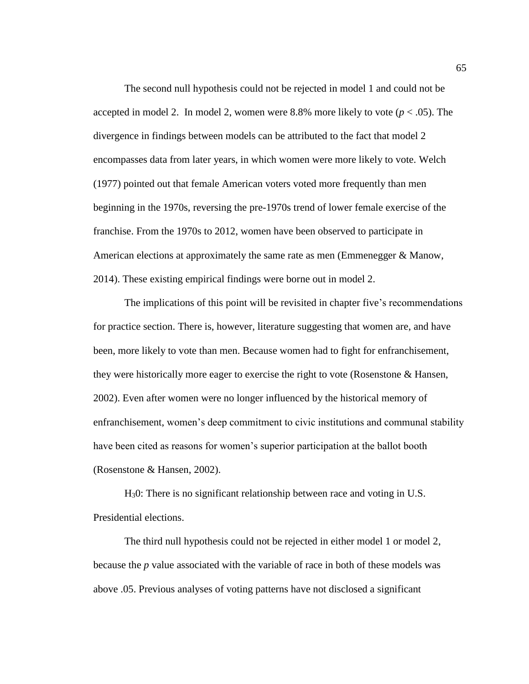The second null hypothesis could not be rejected in model 1 and could not be accepted in model 2. In model 2, women were 8.8% more likely to vote  $(p < .05)$ . The divergence in findings between models can be attributed to the fact that model 2 encompasses data from later years, in which women were more likely to vote. Welch (1977) pointed out that female American voters voted more frequently than men beginning in the 1970s, reversing the pre-1970s trend of lower female exercise of the franchise. From the 1970s to 2012, women have been observed to participate in American elections at approximately the same rate as men (Emmenegger & Manow, 2014). These existing empirical findings were borne out in model 2.

The implications of this point will be revisited in chapter five's recommendations for practice section. There is, however, literature suggesting that women are, and have been, more likely to vote than men. Because women had to fight for enfranchisement, they were historically more eager to exercise the right to vote (Rosenstone & Hansen, 2002). Even after women were no longer influenced by the historical memory of enfranchisement, women's deep commitment to civic institutions and communal stability have been cited as reasons for women's superior participation at the ballot booth (Rosenstone & Hansen, 2002).

H30: There is no significant relationship between race and voting in U.S. Presidential elections.

The third null hypothesis could not be rejected in either model 1 or model 2, because the *p* value associated with the variable of race in both of these models was above .05. Previous analyses of voting patterns have not disclosed a significant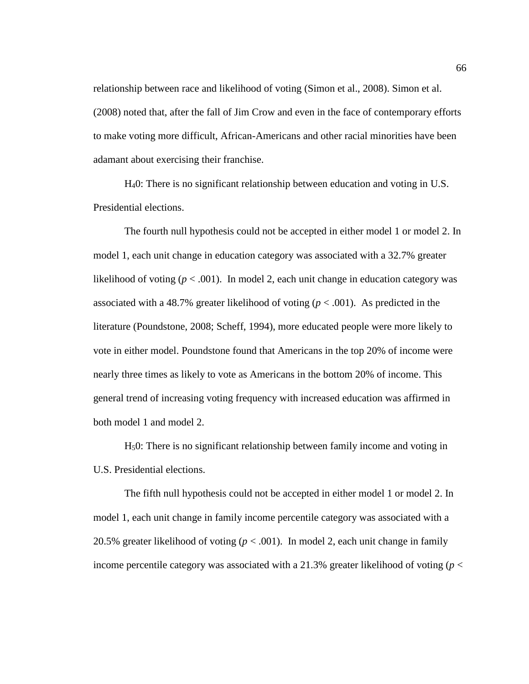relationship between race and likelihood of voting (Simon et al., 2008). Simon et al. (2008) noted that, after the fall of Jim Crow and even in the face of contemporary efforts to make voting more difficult, African-Americans and other racial minorities have been adamant about exercising their franchise.

H40: There is no significant relationship between education and voting in U.S. Presidential elections.

The fourth null hypothesis could not be accepted in either model 1 or model 2. In model 1, each unit change in education category was associated with a 32.7% greater likelihood of voting  $(p < .001)$ . In model 2, each unit change in education category was associated with a 48.7% greater likelihood of voting  $(p < .001)$ . As predicted in the literature (Poundstone, 2008; Scheff, 1994), more educated people were more likely to vote in either model. Poundstone found that Americans in the top 20% of income were nearly three times as likely to vote as Americans in the bottom 20% of income. This general trend of increasing voting frequency with increased education was affirmed in both model 1 and model 2.

H50: There is no significant relationship between family income and voting in U.S. Presidential elections.

The fifth null hypothesis could not be accepted in either model 1 or model 2. In model 1, each unit change in family income percentile category was associated with a 20.5% greater likelihood of voting  $(p < .001)$ . In model 2, each unit change in family income percentile category was associated with a 21.3% greater likelihood of voting (*p* <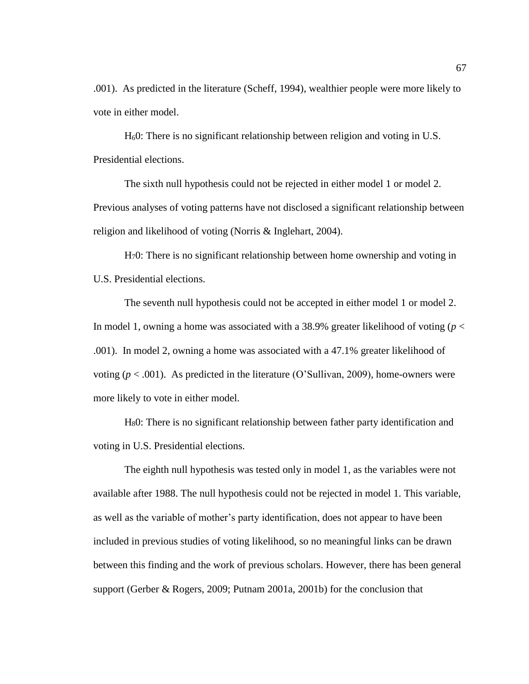.001). As predicted in the literature (Scheff, 1994), wealthier people were more likely to vote in either model.

H60: There is no significant relationship between religion and voting in U.S. Presidential elections.

The sixth null hypothesis could not be rejected in either model 1 or model 2. Previous analyses of voting patterns have not disclosed a significant relationship between religion and likelihood of voting (Norris & Inglehart, 2004).

H70: There is no significant relationship between home ownership and voting in U.S. Presidential elections.

The seventh null hypothesis could not be accepted in either model 1 or model 2. In model 1, owning a home was associated with a 38.9% greater likelihood of voting (*p* < .001). In model 2, owning a home was associated with a 47.1% greater likelihood of voting  $(p < .001)$ . As predicted in the literature (O'Sullivan, 2009), home-owners were more likely to vote in either model.

H80: There is no significant relationship between father party identification and voting in U.S. Presidential elections.

The eighth null hypothesis was tested only in model 1, as the variables were not available after 1988. The null hypothesis could not be rejected in model 1. This variable, as well as the variable of mother's party identification, does not appear to have been included in previous studies of voting likelihood, so no meaningful links can be drawn between this finding and the work of previous scholars. However, there has been general support (Gerber & Rogers, 2009; Putnam 2001a, 2001b) for the conclusion that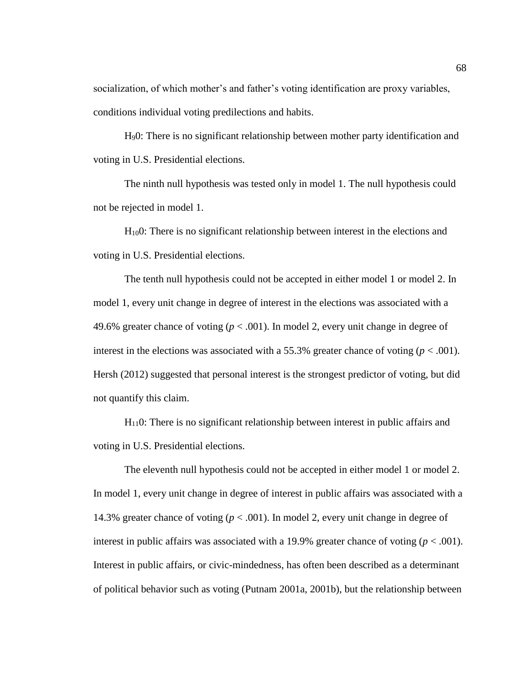socialization, of which mother's and father's voting identification are proxy variables, conditions individual voting predilections and habits.

H90: There is no significant relationship between mother party identification and voting in U.S. Presidential elections.

The ninth null hypothesis was tested only in model 1. The null hypothesis could not be rejected in model 1.

H100: There is no significant relationship between interest in the elections and voting in U.S. Presidential elections.

The tenth null hypothesis could not be accepted in either model 1 or model 2. In model 1, every unit change in degree of interest in the elections was associated with a 49.6% greater chance of voting  $(p < .001)$ . In model 2, every unit change in degree of interest in the elections was associated with a 55.3% greater chance of voting  $(p < .001)$ . Hersh (2012) suggested that personal interest is the strongest predictor of voting, but did not quantify this claim.

 $H<sub>11</sub>0$ : There is no significant relationship between interest in public affairs and voting in U.S. Presidential elections.

The eleventh null hypothesis could not be accepted in either model 1 or model 2. In model 1, every unit change in degree of interest in public affairs was associated with a 14.3% greater chance of voting ( $p < .001$ ). In model 2, every unit change in degree of interest in public affairs was associated with a 19.9% greater chance of voting  $(p < .001)$ . Interest in public affairs, or civic-mindedness, has often been described as a determinant of political behavior such as voting (Putnam 2001a, 2001b), but the relationship between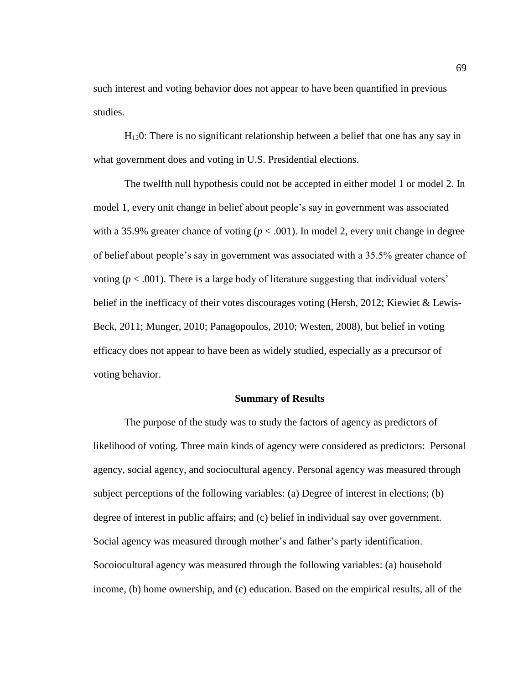such interest and voting behavior does not appear to have been quantified in previous studies.

H120: There is no significant relationship between a belief that one has any say in what government does and voting in U.S. Presidential elections.

The twelfth null hypothesis could not be accepted in either model 1 or model 2. In model 1, every unit change in belief about people's say in government was associated with a 35.9% greater chance of voting ( $p < .001$ ). In model 2, every unit change in degree of belief about people's say in government was associated with a 35.5% greater chance of voting (*p* < .001). There is a large body of literature suggesting that individual voters' belief in the inefficacy of their votes discourages voting (Hersh, 2012; Kiewiet & Lewis-Beck, 2011; Munger, 2010; Panagopoulos, 2010; Westen, 2008), but belief in voting efficacy does not appear to have been as widely studied, especially as a precursor of voting behavior.

#### **Summary of Results**

The purpose of the study was to study the factors of agency as predictors of likelihood of voting. Three main kinds of agency were considered as predictors: Personal agency, social agency, and sociocultural agency. Personal agency was measured through subject perceptions of the following variables: (a) Degree of interest in elections; (b) degree of interest in public affairs; and (c) belief in individual say over government. Social agency was measured through mother's and father's party identification. Socoiocultural agency was measured through the following variables: (a) household income, (b) home ownership, and (c) education. Based on the empirical results, all of the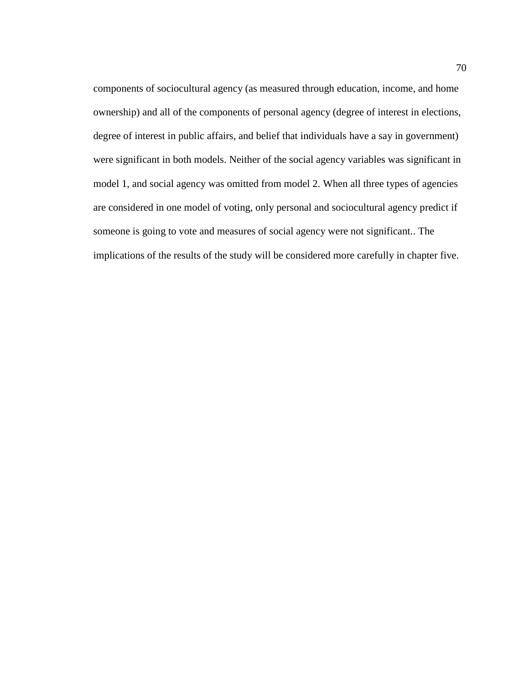components of sociocultural agency (as measured through education, income, and home ownership) and all of the components of personal agency (degree of interest in elections, degree of interest in public affairs, and belief that individuals have a say in government) were significant in both models. Neither of the social agency variables was significant in model 1, and social agency was omitted from model 2. When all three types of agencies are considered in one model of voting, only personal and sociocultural agency predict if someone is going to vote and measures of social agency were not significant.. The implications of the results of the study will be considered more carefully in chapter five.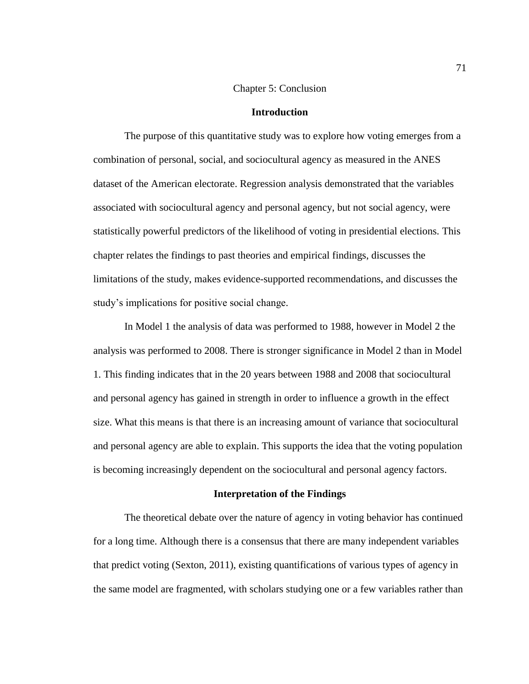#### Chapter 5: Conclusion

### **Introduction**

The purpose of this quantitative study was to explore how voting emerges from a combination of personal, social, and sociocultural agency as measured in the ANES dataset of the American electorate. Regression analysis demonstrated that the variables associated with sociocultural agency and personal agency, but not social agency, were statistically powerful predictors of the likelihood of voting in presidential elections. This chapter relates the findings to past theories and empirical findings, discusses the limitations of the study, makes evidence-supported recommendations, and discusses the study's implications for positive social change.

In Model 1 the analysis of data was performed to 1988, however in Model 2 the analysis was performed to 2008. There is stronger significance in Model 2 than in Model 1. This finding indicates that in the 20 years between 1988 and 2008 that sociocultural and personal agency has gained in strength in order to influence a growth in the effect size. What this means is that there is an increasing amount of variance that sociocultural and personal agency are able to explain. This supports the idea that the voting population is becoming increasingly dependent on the sociocultural and personal agency factors.

### **Interpretation of the Findings**

The theoretical debate over the nature of agency in voting behavior has continued for a long time. Although there is a consensus that there are many independent variables that predict voting (Sexton, 2011), existing quantifications of various types of agency in the same model are fragmented, with scholars studying one or a few variables rather than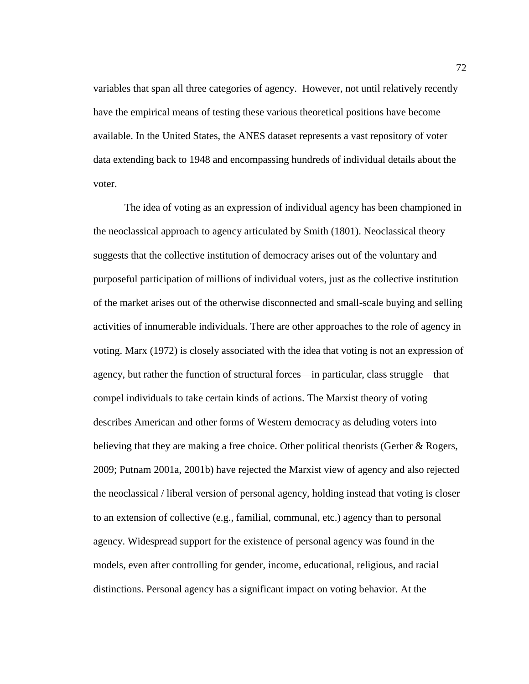variables that span all three categories of agency. However, not until relatively recently have the empirical means of testing these various theoretical positions have become available. In the United States, the ANES dataset represents a vast repository of voter data extending back to 1948 and encompassing hundreds of individual details about the voter.

The idea of voting as an expression of individual agency has been championed in the neoclassical approach to agency articulated by Smith (1801). Neoclassical theory suggests that the collective institution of democracy arises out of the voluntary and purposeful participation of millions of individual voters, just as the collective institution of the market arises out of the otherwise disconnected and small-scale buying and selling activities of innumerable individuals. There are other approaches to the role of agency in voting. Marx (1972) is closely associated with the idea that voting is not an expression of agency, but rather the function of structural forces—in particular, class struggle—that compel individuals to take certain kinds of actions. The Marxist theory of voting describes American and other forms of Western democracy as deluding voters into believing that they are making a free choice. Other political theorists (Gerber & Rogers, 2009; Putnam 2001a, 2001b) have rejected the Marxist view of agency and also rejected the neoclassical / liberal version of personal agency, holding instead that voting is closer to an extension of collective (e.g., familial, communal, etc.) agency than to personal agency. Widespread support for the existence of personal agency was found in the models, even after controlling for gender, income, educational, religious, and racial distinctions. Personal agency has a significant impact on voting behavior. At the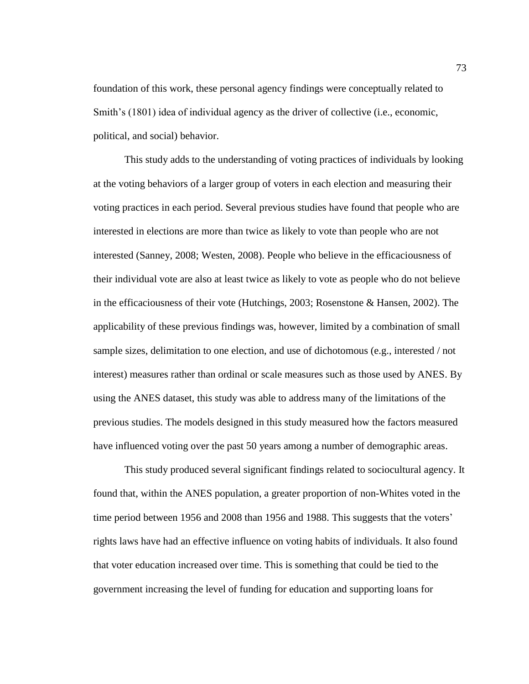foundation of this work, these personal agency findings were conceptually related to Smith's (1801) idea of individual agency as the driver of collective (i.e., economic, political, and social) behavior.

This study adds to the understanding of voting practices of individuals by looking at the voting behaviors of a larger group of voters in each election and measuring their voting practices in each period. Several previous studies have found that people who are interested in elections are more than twice as likely to vote than people who are not interested (Sanney, 2008; Westen, 2008). People who believe in the efficaciousness of their individual vote are also at least twice as likely to vote as people who do not believe in the efficaciousness of their vote (Hutchings, 2003; Rosenstone & Hansen, 2002). The applicability of these previous findings was, however, limited by a combination of small sample sizes, delimitation to one election, and use of dichotomous (e.g., interested / not interest) measures rather than ordinal or scale measures such as those used by ANES. By using the ANES dataset, this study was able to address many of the limitations of the previous studies. The models designed in this study measured how the factors measured have influenced voting over the past 50 years among a number of demographic areas.

This study produced several significant findings related to sociocultural agency. It found that, within the ANES population, a greater proportion of non-Whites voted in the time period between 1956 and 2008 than 1956 and 1988. This suggests that the voters' rights laws have had an effective influence on voting habits of individuals. It also found that voter education increased over time. This is something that could be tied to the government increasing the level of funding for education and supporting loans for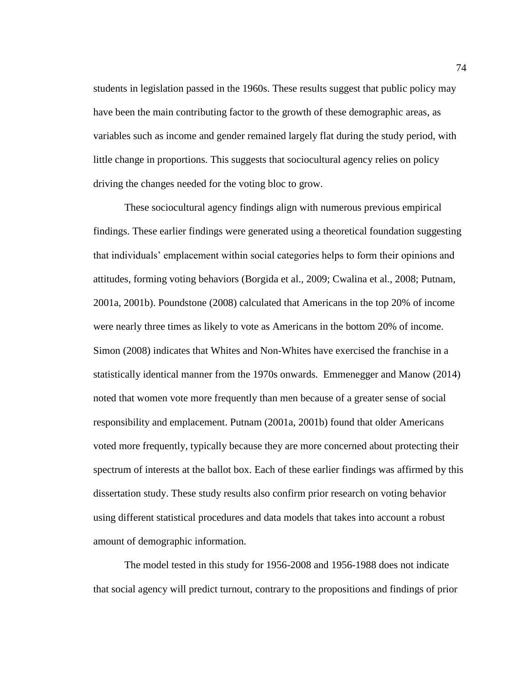students in legislation passed in the 1960s. These results suggest that public policy may have been the main contributing factor to the growth of these demographic areas, as variables such as income and gender remained largely flat during the study period, with little change in proportions. This suggests that sociocultural agency relies on policy driving the changes needed for the voting bloc to grow.

These sociocultural agency findings align with numerous previous empirical findings. These earlier findings were generated using a theoretical foundation suggesting that individuals' emplacement within social categories helps to form their opinions and attitudes, forming voting behaviors (Borgida et al., 2009; Cwalina et al., 2008; Putnam, 2001a, 2001b). Poundstone (2008) calculated that Americans in the top 20% of income were nearly three times as likely to vote as Americans in the bottom 20% of income. Simon (2008) indicates that Whites and Non-Whites have exercised the franchise in a statistically identical manner from the 1970s onwards. Emmenegger and Manow (2014) noted that women vote more frequently than men because of a greater sense of social responsibility and emplacement. Putnam (2001a, 2001b) found that older Americans voted more frequently, typically because they are more concerned about protecting their spectrum of interests at the ballot box. Each of these earlier findings was affirmed by this dissertation study. These study results also confirm prior research on voting behavior using different statistical procedures and data models that takes into account a robust amount of demographic information.

The model tested in this study for 1956-2008 and 1956-1988 does not indicate that social agency will predict turnout, contrary to the propositions and findings of prior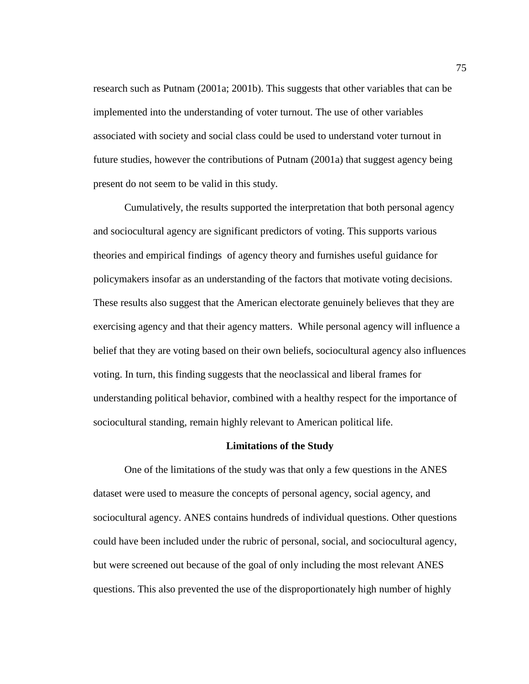research such as Putnam (2001a; 2001b). This suggests that other variables that can be implemented into the understanding of voter turnout. The use of other variables associated with society and social class could be used to understand voter turnout in future studies, however the contributions of Putnam (2001a) that suggest agency being present do not seem to be valid in this study.

Cumulatively, the results supported the interpretation that both personal agency and sociocultural agency are significant predictors of voting. This supports various theories and empirical findings of agency theory and furnishes useful guidance for policymakers insofar as an understanding of the factors that motivate voting decisions. These results also suggest that the American electorate genuinely believes that they are exercising agency and that their agency matters. While personal agency will influence a belief that they are voting based on their own beliefs, sociocultural agency also influences voting. In turn, this finding suggests that the neoclassical and liberal frames for understanding political behavior, combined with a healthy respect for the importance of sociocultural standing, remain highly relevant to American political life.

# **Limitations of the Study**

One of the limitations of the study was that only a few questions in the ANES dataset were used to measure the concepts of personal agency, social agency, and sociocultural agency. ANES contains hundreds of individual questions. Other questions could have been included under the rubric of personal, social, and sociocultural agency, but were screened out because of the goal of only including the most relevant ANES questions. This also prevented the use of the disproportionately high number of highly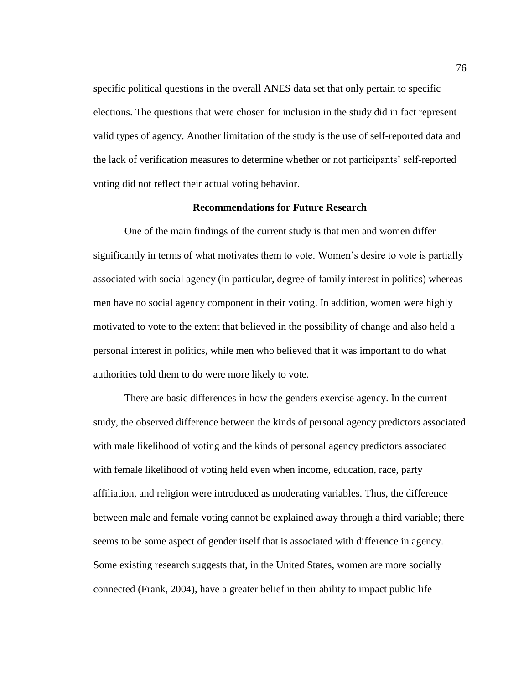specific political questions in the overall ANES data set that only pertain to specific elections. The questions that were chosen for inclusion in the study did in fact represent valid types of agency. Another limitation of the study is the use of self-reported data and the lack of verification measures to determine whether or not participants' self-reported voting did not reflect their actual voting behavior.

### **Recommendations for Future Research**

One of the main findings of the current study is that men and women differ significantly in terms of what motivates them to vote. Women's desire to vote is partially associated with social agency (in particular, degree of family interest in politics) whereas men have no social agency component in their voting. In addition, women were highly motivated to vote to the extent that believed in the possibility of change and also held a personal interest in politics, while men who believed that it was important to do what authorities told them to do were more likely to vote.

There are basic differences in how the genders exercise agency. In the current study, the observed difference between the kinds of personal agency predictors associated with male likelihood of voting and the kinds of personal agency predictors associated with female likelihood of voting held even when income, education, race, party affiliation, and religion were introduced as moderating variables. Thus, the difference between male and female voting cannot be explained away through a third variable; there seems to be some aspect of gender itself that is associated with difference in agency. Some existing research suggests that, in the United States, women are more socially connected (Frank, 2004), have a greater belief in their ability to impact public life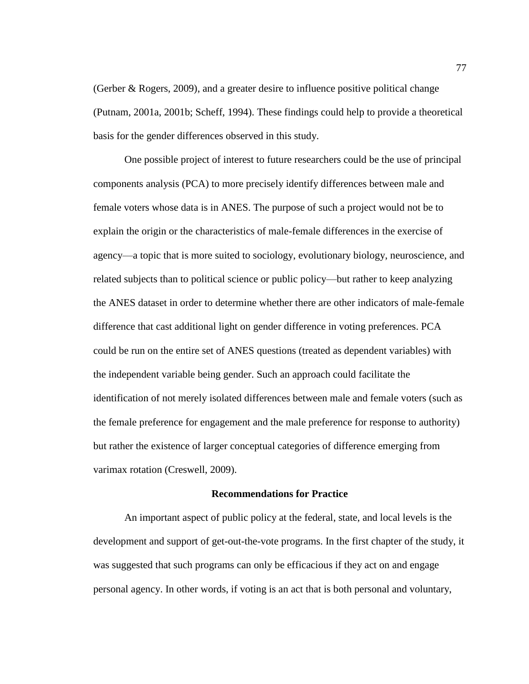(Gerber & Rogers, 2009), and a greater desire to influence positive political change (Putnam, 2001a, 2001b; Scheff, 1994). These findings could help to provide a theoretical basis for the gender differences observed in this study.

One possible project of interest to future researchers could be the use of principal components analysis (PCA) to more precisely identify differences between male and female voters whose data is in ANES. The purpose of such a project would not be to explain the origin or the characteristics of male-female differences in the exercise of agency—a topic that is more suited to sociology, evolutionary biology, neuroscience, and related subjects than to political science or public policy—but rather to keep analyzing the ANES dataset in order to determine whether there are other indicators of male-female difference that cast additional light on gender difference in voting preferences. PCA could be run on the entire set of ANES questions (treated as dependent variables) with the independent variable being gender. Such an approach could facilitate the identification of not merely isolated differences between male and female voters (such as the female preference for engagement and the male preference for response to authority) but rather the existence of larger conceptual categories of difference emerging from varimax rotation (Creswell, 2009).

# **Recommendations for Practice**

An important aspect of public policy at the federal, state, and local levels is the development and support of get-out-the-vote programs. In the first chapter of the study, it was suggested that such programs can only be efficacious if they act on and engage personal agency. In other words, if voting is an act that is both personal and voluntary,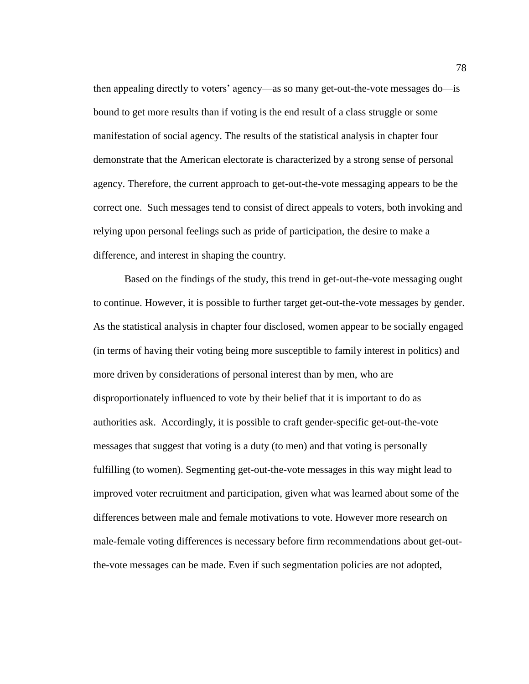then appealing directly to voters' agency—as so many get-out-the-vote messages do—is bound to get more results than if voting is the end result of a class struggle or some manifestation of social agency. The results of the statistical analysis in chapter four demonstrate that the American electorate is characterized by a strong sense of personal agency. Therefore, the current approach to get-out-the-vote messaging appears to be the correct one. Such messages tend to consist of direct appeals to voters, both invoking and relying upon personal feelings such as pride of participation, the desire to make a difference, and interest in shaping the country.

Based on the findings of the study, this trend in get-out-the-vote messaging ought to continue. However, it is possible to further target get-out-the-vote messages by gender. As the statistical analysis in chapter four disclosed, women appear to be socially engaged (in terms of having their voting being more susceptible to family interest in politics) and more driven by considerations of personal interest than by men, who are disproportionately influenced to vote by their belief that it is important to do as authorities ask. Accordingly, it is possible to craft gender-specific get-out-the-vote messages that suggest that voting is a duty (to men) and that voting is personally fulfilling (to women). Segmenting get-out-the-vote messages in this way might lead to improved voter recruitment and participation, given what was learned about some of the differences between male and female motivations to vote. However more research on male-female voting differences is necessary before firm recommendations about get-outthe-vote messages can be made. Even if such segmentation policies are not adopted,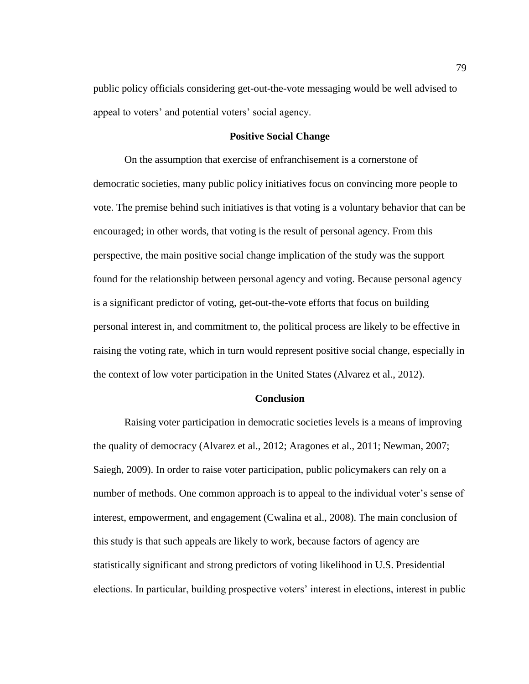public policy officials considering get-out-the-vote messaging would be well advised to appeal to voters' and potential voters' social agency.

### **Positive Social Change**

On the assumption that exercise of enfranchisement is a cornerstone of democratic societies, many public policy initiatives focus on convincing more people to vote. The premise behind such initiatives is that voting is a voluntary behavior that can be encouraged; in other words, that voting is the result of personal agency. From this perspective, the main positive social change implication of the study was the support found for the relationship between personal agency and voting. Because personal agency is a significant predictor of voting, get-out-the-vote efforts that focus on building personal interest in, and commitment to, the political process are likely to be effective in raising the voting rate, which in turn would represent positive social change, especially in the context of low voter participation in the United States (Alvarez et al., 2012).

### **Conclusion**

Raising voter participation in democratic societies levels is a means of improving the quality of democracy (Alvarez et al., 2012; Aragones et al., 2011; Newman, 2007; Saiegh, 2009). In order to raise voter participation, public policymakers can rely on a number of methods. One common approach is to appeal to the individual voter's sense of interest, empowerment, and engagement (Cwalina et al., 2008). The main conclusion of this study is that such appeals are likely to work, because factors of agency are statistically significant and strong predictors of voting likelihood in U.S. Presidential elections. In particular, building prospective voters' interest in elections, interest in public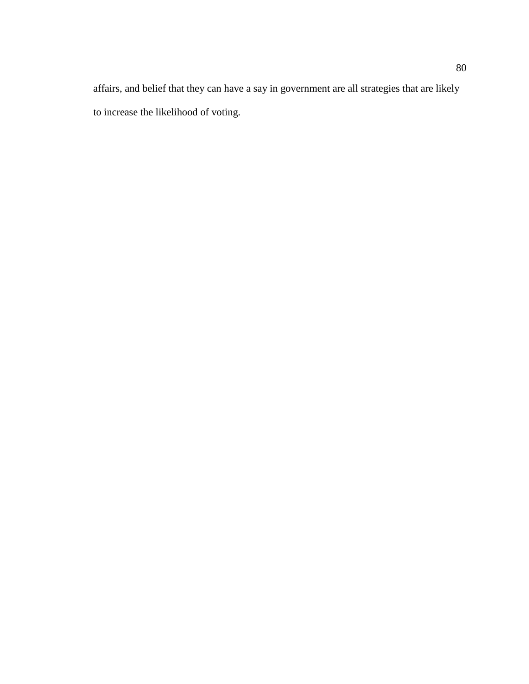affairs, and belief that they can have a say in government are all strategies that are likely to increase the likelihood of voting.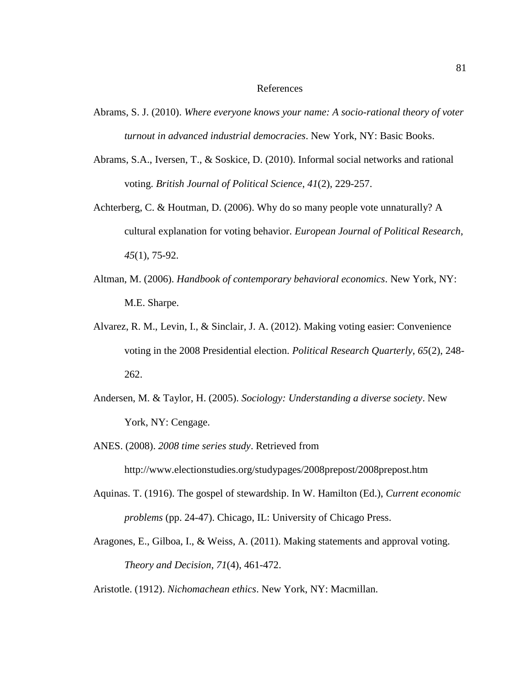#### References

- Abrams, S. J. (2010). *Where everyone knows your name: A socio-rational theory of voter turnout in advanced industrial democracies*. New York, NY: Basic Books.
- Abrams, S.A., Iversen, T., & Soskice, D. (2010). Informal social networks and rational voting. *British Journal of Political Science*, *41*(2), 229-257.
- Achterberg, C. & Houtman, D. (2006). Why do so many people vote unnaturally? A cultural explanation for voting behavior. *European Journal of Political Research*, *45*(1), 75-92.
- Altman, M. (2006). *Handbook of contemporary behavioral economics*. New York, NY: M.E. Sharpe.
- Alvarez, R. M., Levin, I., & Sinclair, J. A. (2012). Making voting easier: Convenience voting in the 2008 Presidential election. *Political Research Quarterly*, *65*(2), 248- 262.
- Andersen, M. & Taylor, H. (2005). *Sociology: Understanding a diverse society*. New York, NY: Cengage.
- ANES. (2008). *2008 time series study*. Retrieved from http://www.electionstudies.org/studypages/2008prepost/2008prepost.htm
- Aquinas. T. (1916). The gospel of stewardship. In W. Hamilton (Ed.), *Current economic problems* (pp. 24-47). Chicago, IL: University of Chicago Press.
- Aragones, E., Gilboa, I., & Weiss, A. (2011). Making statements and approval voting. *Theory and Decision*, *71*(4), 461-472.
- Aristotle. (1912). *Nichomachean ethics*. New York, NY: Macmillan.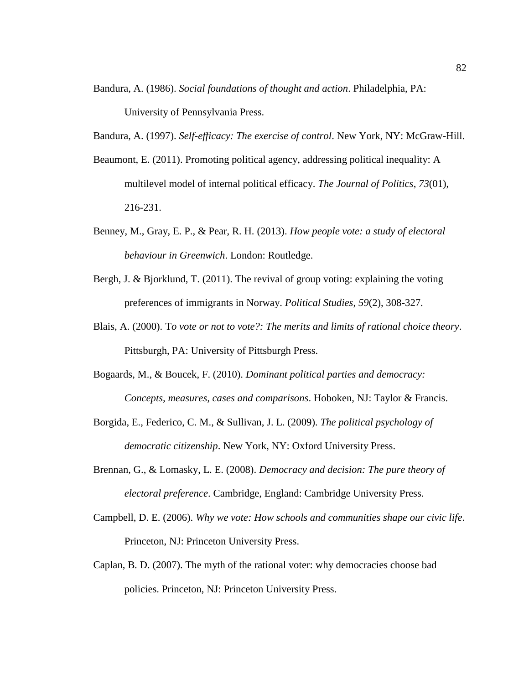- Bandura, A. (1986). *Social foundations of thought and action*. Philadelphia, PA: University of Pennsylvania Press.
- Bandura, A. (1997). *Self-efficacy: The exercise of control*. New York, NY: McGraw-Hill.
- Beaumont, E. (2011). Promoting political agency, addressing political inequality: A multilevel model of internal political efficacy. *The Journal of Politics*, *73*(01), 216-231.
- Benney, M., Gray, E. P., & Pear, R. H. (2013). *How people vote: a study of electoral behaviour in Greenwich*. London: Routledge.
- Bergh, J. & Bjorklund, T. (2011). The revival of group voting: explaining the voting preferences of immigrants in Norway. *Political Studies*, *59*(2), 308-327.
- Blais, A. (2000). T*o vote or not to vote?: The merits and limits of rational choice theory*. Pittsburgh, PA: University of Pittsburgh Press.
- Bogaards, M., & Boucek, F. (2010). *Dominant political parties and democracy: Concepts, measures, cases and comparisons*. Hoboken, NJ: Taylor & Francis.
- Borgida, E., Federico, C. M., & Sullivan, J. L. (2009). *The political psychology of democratic citizenship*. New York, NY: Oxford University Press.
- Brennan, G., & Lomasky, L. E. (2008). *Democracy and decision: The pure theory of electoral preference*. Cambridge, England: Cambridge University Press.
- Campbell, D. E. (2006). *Why we vote: How schools and communities shape our civic life*. Princeton, NJ: Princeton University Press.
- Caplan, B. D. (2007). The myth of the rational voter: why democracies choose bad policies. Princeton, NJ: Princeton University Press.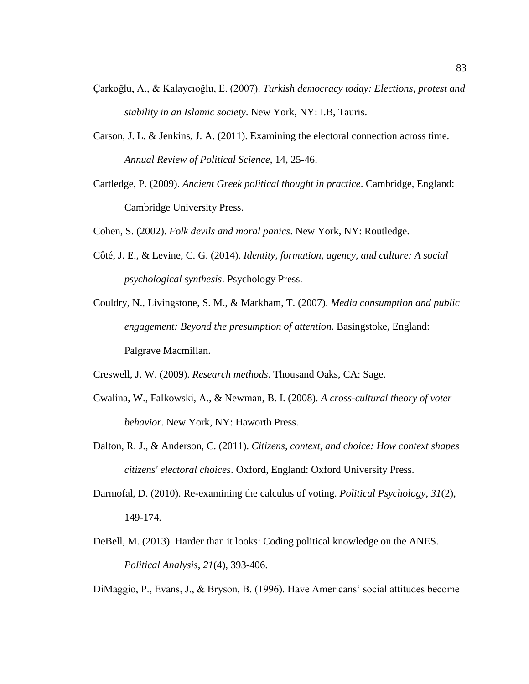- Çarkoğlu, A., & Kalaycıoğlu, E. (2007). *Turkish democracy today: Elections, protest and stability in an Islamic society*. New York, NY: I.B, Tauris.
- Carson, J. L. & Jenkins, J. A. (2011). Examining the electoral connection across time. *Annual Review of Political Science*, 14, 25-46.
- Cartledge, P. (2009). *Ancient Greek political thought in practice*. Cambridge, England: Cambridge University Press.
- Cohen, S. (2002). *Folk devils and moral panics*. New York, NY: Routledge.
- Côté, J. E., & Levine, C. G. (2014). *Identity, formation, agency, and culture: A social psychological synthesis*. Psychology Press.
- Couldry, N., Livingstone, S. M., & Markham, T. (2007). *Media consumption and public engagement: Beyond the presumption of attention*. Basingstoke, England: Palgrave Macmillan.
- Creswell, J. W. (2009). *Research methods*. Thousand Oaks, CA: Sage.
- Cwalina, W., Falkowski, A., & Newman, B. I. (2008). *A cross-cultural theory of voter behavior*. New York, NY: Haworth Press.
- Dalton, R. J., & Anderson, C. (2011). *Citizens, context, and choice: How context shapes citizens' electoral choices*. Oxford, England: Oxford University Press.
- Darmofal, D. (2010). Re-examining the calculus of voting. *Political Psychology, 31*(2), 149-174.
- DeBell, M. (2013). Harder than it looks: Coding political knowledge on the ANES. *Political Analysis*, *21*(4), 393-406.

DiMaggio, P., Evans, J., & Bryson, B. (1996). Have Americans' social attitudes become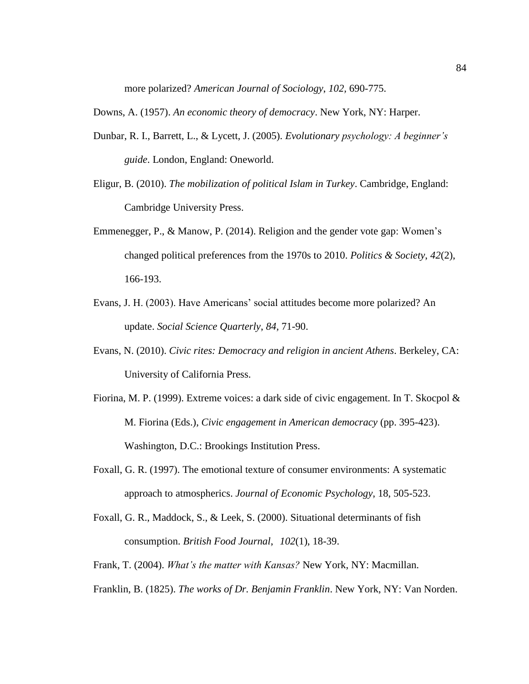more polarized? *American Journal of Sociology*, *102,* 690-775.

Downs, A. (1957). *An economic theory of democracy*. New York, NY: Harper.

- Dunbar, R. I., Barrett, L., & Lycett, J. (2005). *Evolutionary psychology: A beginner's guide*. London, England: Oneworld.
- Eligur, B. (2010). *The mobilization of political Islam in Turkey*. Cambridge, England: Cambridge University Press.
- Emmenegger, P., & Manow, P. (2014). Religion and the gender vote gap: Women's changed political preferences from the 1970s to 2010. *Politics & Society*, *42*(2), 166-193.
- Evans, J. H. (2003). Have Americans' social attitudes become more polarized? An update. *Social Science Quarterly*, *84,* 71-90.
- Evans, N. (2010). *Civic rites: Democracy and religion in ancient Athens*. Berkeley, CA: University of California Press.
- Fiorina, M. P. (1999). Extreme voices: a dark side of civic engagement. In T. Skocpol & M. Fiorina (Eds.), *Civic engagement in American democracy* (pp. 395-423). Washington, D.C.: Brookings Institution Press.
- Foxall, G. R. (1997). The emotional texture of consumer environments: A systematic approach to atmospherics. *Journal of Economic Psychology*, 18, 505-523.
- Foxall, G. R., Maddock, S., & Leek, S. (2000). Situational determinants of fish consumption. *British Food Journal*, *102*(1), 18-39.
- Frank, T. (2004). *What's the matter with Kansas?* New York, NY: Macmillan.
- Franklin, B. (1825). *The works of Dr. Benjamin Franklin*. New York, NY: Van Norden.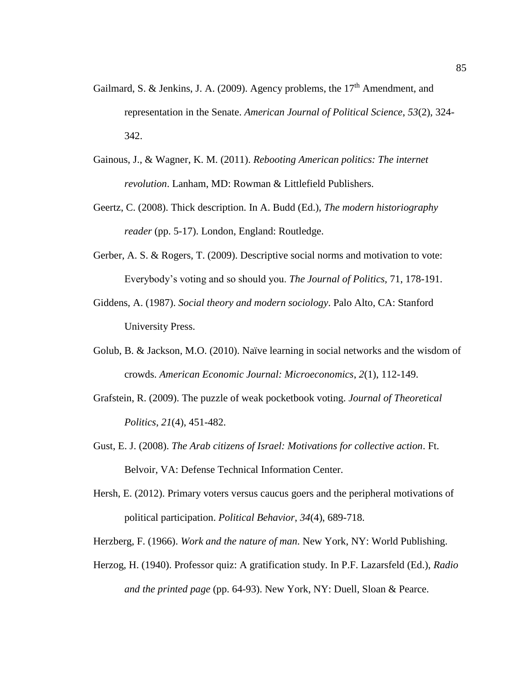- Gailmard, S. & Jenkins, J. A. (2009). Agency problems, the  $17<sup>th</sup>$  Amendment, and representation in the Senate. *American Journal of Political Science*, *53*(2), 324- 342.
- Gainous, J., & Wagner, K. M. (2011). *Rebooting American politics: The internet revolution*. Lanham, MD: Rowman & Littlefield Publishers.
- Geertz, C. (2008). Thick description. In A. Budd (Ed.), *The modern historiography reader* (pp. 5-17). London, England: Routledge.
- Gerber, A. S. & Rogers, T. (2009). Descriptive social norms and motivation to vote: Everybody's voting and so should you. *The Journal of Politics,* 71, 178-191.
- Giddens, A. (1987). *Social theory and modern sociology*. Palo Alto, CA: Stanford University Press.
- Golub, B. & Jackson, M.O. (2010). Naïve learning in social networks and the wisdom of crowds. *American Economic Journal: Microeconomics*, *2*(1), 112-149.
- Grafstein, R. (2009). The puzzle of weak pocketbook voting. *Journal of Theoretical Politics*, *21*(4), 451-482.
- Gust, E. J. (2008). *The Arab citizens of Israel: Motivations for collective action*. Ft. Belvoir, VA: Defense Technical Information Center.
- Hersh, E. (2012). Primary voters versus caucus goers and the peripheral motivations of political participation. *Political Behavior*, *34*(4), 689-718.
- Herzberg, F. (1966). *Work and the nature of man*. New York, NY: World Publishing.
- Herzog, H. (1940). Professor quiz: A gratification study. In P.F. Lazarsfeld (Ed.), *Radio and the printed page* (pp. 64-93). New York, NY: Duell, Sloan & Pearce.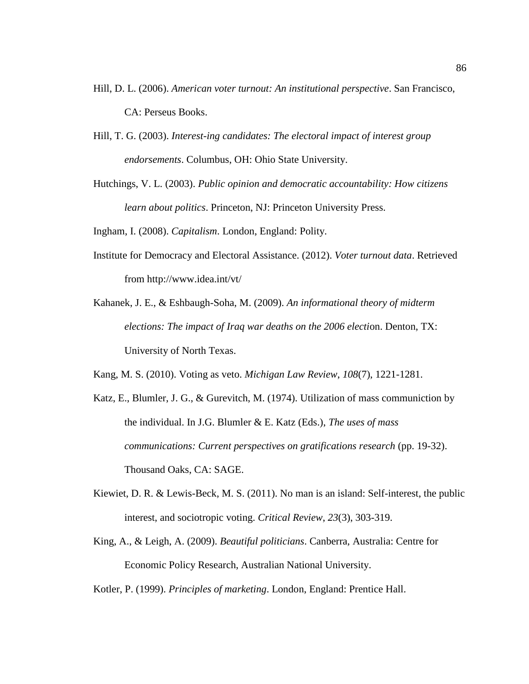- Hill, D. L. (2006). *American voter turnout: An institutional perspective*. San Francisco, CA: Perseus Books.
- Hill, T. G. (2003). *Interest-ing candidates: The electoral impact of interest group endorsements*. Columbus, OH: Ohio State University.
- Hutchings, V. L. (2003). *Public opinion and democratic accountability: How citizens learn about politics*. Princeton, NJ: Princeton University Press.

Ingham, I. (2008). *Capitalism*. London, England: Polity.

- Institute for Democracy and Electoral Assistance. (2012). *Voter turnout data*. Retrieved from http://www.idea.int/vt/
- Kahanek, J. E., & Eshbaugh-Soha, M. (2009). *An informational theory of midterm elections: The impact of Iraq war deaths on the 2006 election. Denton, TX:* University of North Texas.
- Kang, M. S. (2010). Voting as veto. *Michigan Law Review*, *108*(7), 1221-1281.
- Katz, E., Blumler, J. G., & Gurevitch, M. (1974). Utilization of mass communiction by the individual. In J.G. Blumler & E. Katz (Eds.), *The uses of mass communications: Current perspectives on gratifications research* (pp. 19-32). Thousand Oaks, CA: SAGE.
- Kiewiet, D. R. & Lewis-Beck, M. S. (2011). No man is an island: Self-interest, the public interest, and sociotropic voting. *Critical Review*, *23*(3), 303-319.
- King, A., & Leigh, A. (2009). *Beautiful politicians*. Canberra, Australia: Centre for Economic Policy Research, Australian National University.

Kotler, P. (1999). *Principles of marketing*. London, England: Prentice Hall.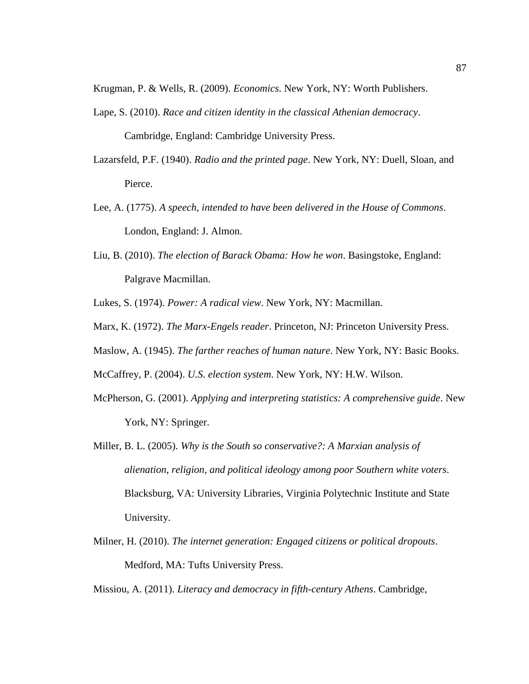Krugman, P. & Wells, R. (2009). *Economics*. New York, NY: Worth Publishers.

- Lape, S. (2010). *Race and citizen identity in the classical Athenian democracy*. Cambridge, England: Cambridge University Press.
- Lazarsfeld, P.F. (1940). *Radio and the printed page*. New York, NY: Duell, Sloan, and Pierce.
- Lee, A. (1775). *A speech, intended to have been delivered in the House of Commons*. London, England: J. Almon.
- Liu, B. (2010). *The election of Barack Obama: How he won*. Basingstoke, England: Palgrave Macmillan.

Lukes, S. (1974). *Power: A radical view*. New York, NY: Macmillan.

- Marx, K. (1972). *The Marx-Engels reader*. Princeton, NJ: Princeton University Press.
- Maslow, A. (1945). *The farther reaches of human nature*. New York, NY: Basic Books.

McCaffrey, P. (2004). *U.S. election system*. New York, NY: H.W. Wilson.

- McPherson, G. (2001). *Applying and interpreting statistics: A comprehensive guide*. New York, NY: Springer.
- Miller, B. L. (2005). *Why is the South so conservative?: A Marxian analysis of alienation, religion, and political ideology among poor Southern white voters*. Blacksburg, VA: University Libraries, Virginia Polytechnic Institute and State University.
- Milner, H. (2010). *The internet generation: Engaged citizens or political dropouts*. Medford, MA: Tufts University Press.

Missiou, A. (2011). *Literacy and democracy in fifth-century Athens*. Cambridge,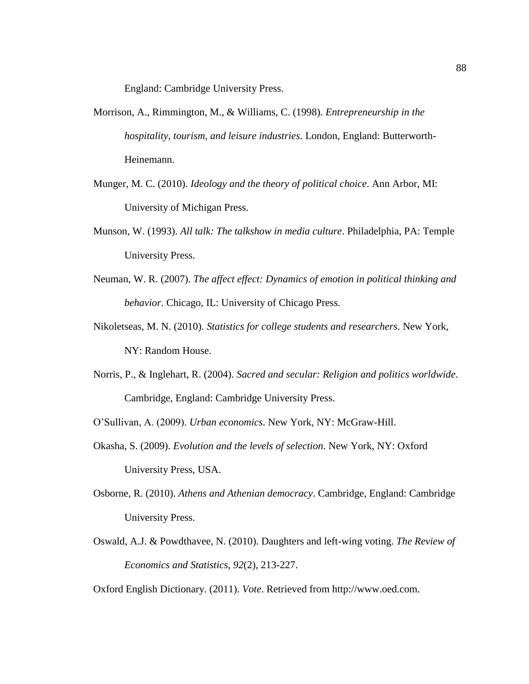England: Cambridge University Press.

- Morrison, A., Rimmington, M., & Williams, C. (1998). *Entrepreneurship in the hospitality, tourism, and leisure industries*. London, England: Butterworth-Heinemann.
- Munger, M. C. (2010). *Ideology and the theory of political choice*. Ann Arbor, MI: University of Michigan Press.
- Munson, W. (1993). *All talk: The talkshow in media culture*. Philadelphia, PA: Temple University Press.
- Neuman, W. R. (2007). *The affect effect: Dynamics of emotion in political thinking and behavior*. Chicago, IL: University of Chicago Press.
- Nikoletseas, M. N. (2010). *Statistics for college students and researchers*. New York, NY: Random House.
- Norris, P., & Inglehart, R. (2004). *Sacred and secular: Religion and politics worldwide*. Cambridge, England: Cambridge University Press.

O'Sullivan, A. (2009). *Urban economics*. New York, NY: McGraw-Hill.

- Okasha, S. (2009). *Evolution and the levels of selection*. New York, NY: Oxford University Press, USA.
- Osborne, R. (2010). *Athens and Athenian democracy*. Cambridge, England: Cambridge University Press.
- Oswald, A.J. & Powdthavee, N. (2010). Daughters and left-wing voting. *The Review of Economics and Statistics*, *92*(2), 213-227.

Oxford English Dictionary. (2011). *Vote*. Retrieved from http://www.oed.com.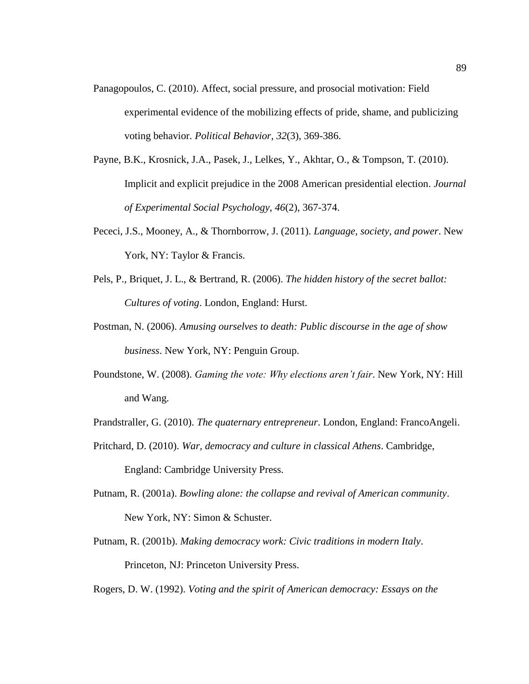- Panagopoulos, C. (2010). Affect, social pressure, and prosocial motivation: Field experimental evidence of the mobilizing effects of pride, shame, and publicizing voting behavior. *Political Behavior*, *32*(3), 369-386.
- Payne, B.K., Krosnick, J.A., Pasek, J., Lelkes, Y., Akhtar, O., & Tompson, T. (2010). Implicit and explicit prejudice in the 2008 American presidential election. *Journal of Experimental Social Psychology*, *46*(2), 367-374.
- Pececi, J.S., Mooney, A., & Thornborrow, J. (2011). *Language, society, and power*. New York, NY: Taylor & Francis.
- Pels, P., Briquet, J. L., & Bertrand, R. (2006). *The hidden history of the secret ballot: Cultures of voting*. London, England: Hurst.
- Postman, N. (2006). *Amusing ourselves to death: Public discourse in the age of show business*. New York, NY: Penguin Group.
- Poundstone, W. (2008). *Gaming the vote: Why elections aren't fair*. New York, NY: Hill and Wang.
- Prandstraller, G. (2010). *The quaternary entrepreneur*. London, England: FrancoAngeli.
- Pritchard, D. (2010). *War, democracy and culture in classical Athens*. Cambridge, England: Cambridge University Press.
- Putnam, R. (2001a). *Bowling alone: the collapse and revival of American community*. New York, NY: Simon & Schuster.
- Putnam, R. (2001b). *Making democracy work: Civic traditions in modern Italy*. Princeton, NJ: Princeton University Press.
- Rogers, D. W. (1992). *Voting and the spirit of American democracy: Essays on the*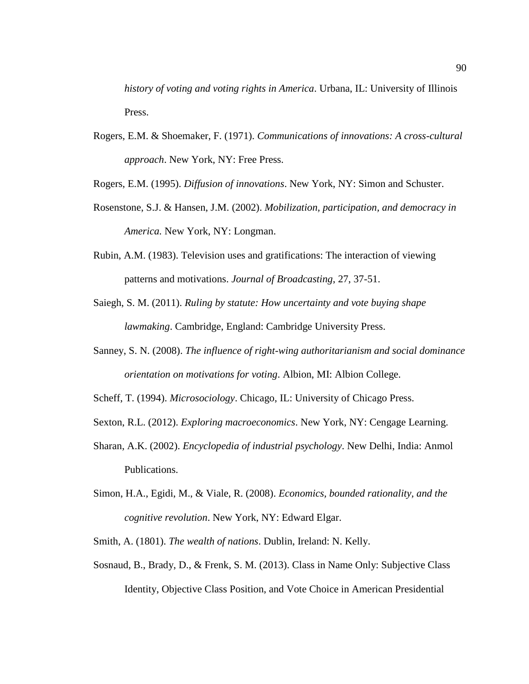*history of voting and voting rights in America*. Urbana, IL: University of Illinois Press.

Rogers, E.M. & Shoemaker, F. (1971). *Communications of innovations: A cross-cultural approach*. New York, NY: Free Press.

Rogers, E.M. (1995). *Diffusion of innovations*. New York, NY: Simon and Schuster.

- Rosenstone, S.J. & Hansen, J.M. (2002). *Mobilization, participation, and democracy in America.* New York, NY: Longman.
- Rubin, A.M. (1983). Television uses and gratifications: The interaction of viewing patterns and motivations. *Journal of Broadcasting*, 27, 37-51.
- Saiegh, S. M. (2011). *Ruling by statute: How uncertainty and vote buying shape lawmaking*. Cambridge, England: Cambridge University Press.
- Sanney, S. N. (2008). *The influence of right-wing authoritarianism and social dominance orientation on motivations for voting*. Albion, MI: Albion College.
- Scheff, T. (1994). *Microsociology*. Chicago, IL: University of Chicago Press.
- Sexton, R.L. (2012). *Exploring macroeconomics*. New York, NY: Cengage Learning.
- Sharan, A.K. (2002). *Encyclopedia of industrial psychology*. New Delhi, India: Anmol Publications.
- Simon, H.A., Egidi, M., & Viale, R. (2008). *Economics, bounded rationality, and the cognitive revolution*. New York, NY: Edward Elgar.
- Smith, A. (1801). *The wealth of nations*. Dublin, Ireland: N. Kelly.
- Sosnaud, B., Brady, D., & Frenk, S. M. (2013). Class in Name Only: Subjective Class Identity, Objective Class Position, and Vote Choice in American Presidential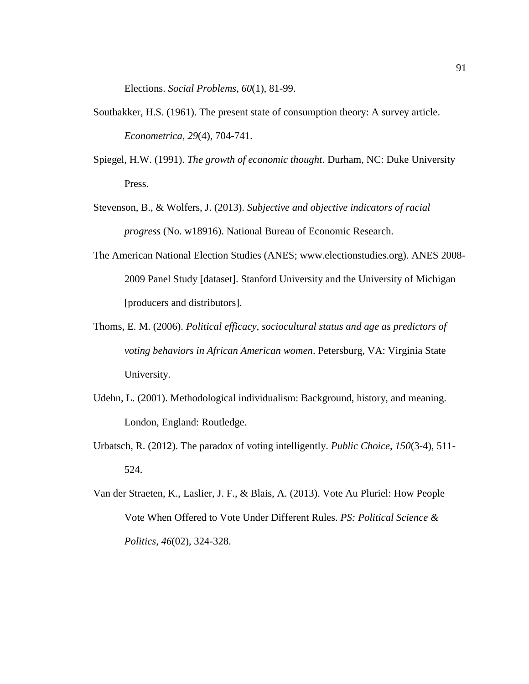Elections. *Social Problems*, *60*(1), 81-99.

- Southakker, H.S. (1961). The present state of consumption theory: A survey article. *Econometrica*, *29*(4), 704-741.
- Spiegel, H.W. (1991). *The growth of economic thought*. Durham, NC: Duke University Press.
- Stevenson, B., & Wolfers, J. (2013). *Subjective and objective indicators of racial progress* (No. w18916). National Bureau of Economic Research.
- The American National Election Studies (ANES; www.electionstudies.org). ANES 2008- 2009 Panel Study [dataset]. Stanford University and the University of Michigan [producers and distributors].
- Thoms, E. M. (2006). *Political efficacy, sociocultural status and age as predictors of voting behaviors in African American women*. Petersburg, VA: Virginia State University.
- Udehn, L. (2001). Methodological individualism: Background, history, and meaning. London, England: Routledge.
- Urbatsch, R. (2012). The paradox of voting intelligently. *Public Choice*, *150*(3-4), 511- 524.
- Van der Straeten, K., Laslier, J. F., & Blais, A. (2013). Vote Au Pluriel: How People Vote When Offered to Vote Under Different Rules. *PS: Political Science & Politics*, *46*(02), 324-328.